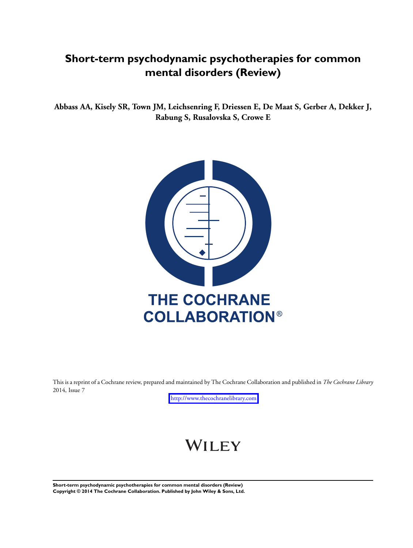# **Short-term psychodynamic psychotherapies for common mental disorders (Review)**

**Abbass AA, Kisely SR, Town JM, Leichsenring F, Driessen E, De Maat S, Gerber A, Dekker J, Rabung S, Rusalovska S, Crowe E**



This is a reprint of a Cochrane review, prepared and maintained by The Cochrane Collaboration and published in *The Cochrane Library* 2014, Issue 7

<http://www.thecochranelibrary.com>

# WILEY

**Short-term psychodynamic psychotherapies for common mental disorders (Review) Copyright © 2014 The Cochrane Collaboration. Published by John Wiley & Sons, Ltd.**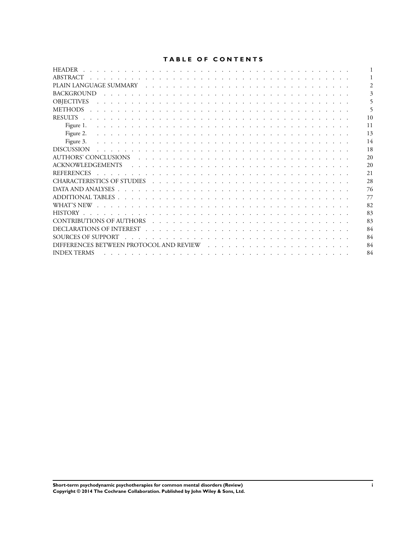# **TABLE OF CONTENTS**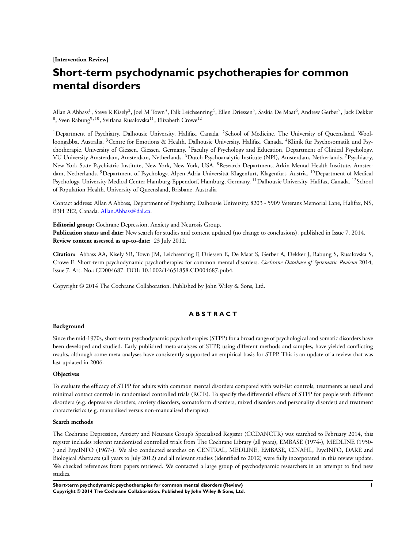**[Intervention Review]**

# **Short-term psychodynamic psychotherapies for common mental disorders**

Allan A Abbass<sup>1</sup>, Steve R Kisely<sup>2</sup>, Joel M Town<sup>3</sup>, Falk Leichsenring<sup>4</sup>, Ellen Driessen<sup>5</sup>, Saskia De Maat<sup>6</sup>, Andrew Gerber<sup>7</sup>, Jack Dekker  $^8$ , Sven Rabung $^9, ^{10},$  Svitlana Rusalovska $^{11},$  Elizabeth Crowe $^{12}$ 

<sup>1</sup>Department of Psychiatry, Dalhousie University, Halifax, Canada. <sup>2</sup>School of Medicine, The University of Queensland, Woolloongabba, Australia. <sup>3</sup>Centre for Emotions & Health, Dalhousie University, Halifax, Canada. <sup>4</sup>Klinik für Psychosomatik und Psychotherapie, University of Giessen, Giessen, Germany. <sup>5</sup>Faculty of Psychology and Education, Department of Clinical Psychology, VU University Amsterdam, Amsterdam, Netherlands. <sup>6</sup>Dutch Psychoanalytic Institute (NPI), Amsterdam, Netherlands. <sup>7</sup>Psychiatry, New York State Psychiatric Institute, New York, New York, USA. <sup>8</sup>Research Department, Arkin Mental Health Institute, Amsterdam, Netherlands. <sup>9</sup>Department of Psychology, Alpen-Adria-Universität Klagenfurt, Klagenfurt, Austria. <sup>10</sup>Department of Medical Psychology, University Medical Center Hamburg-Eppendorf, Hamburg, Germany. <sup>11</sup>Dalhousie University, Halifax, Canada. <sup>12</sup>School of Population Health, University of Queensland, Brisbane, Australia

Contact address: Allan A Abbass, Department of Psychiatry, Dalhousie University, 8203 - 5909 Veterans Memorial Lane, Halifax, NS, B3H 2E2, Canada. [Allan.Abbass@dal.ca.](mailto:Allan.Abbass@dal.ca)

**Editorial group:** Cochrane Depression, Anxiety and Neurosis Group.

**Publication status and date:** New search for studies and content updated (no change to conclusions), published in Issue 7, 2014. **Review content assessed as up-to-date:** 23 July 2012.

**Citation:** Abbass AA, Kisely SR, Town JM, Leichsenring F, Driessen E, De Maat S, Gerber A, Dekker J, Rabung S, Rusalovska S, Crowe E. Short-term psychodynamic psychotherapies for common mental disorders. *Cochrane Database of Systematic Reviews* 2014, Issue 7. Art. No.: CD004687. DOI: 10.1002/14651858.CD004687.pub4.

Copyright © 2014 The Cochrane Collaboration. Published by John Wiley & Sons, Ltd.

## **A B S T R A C T**

#### **Background**

Since the mid-1970s, short-term psychodynamic psychotherapies (STPP) for a broad range of psychological and somatic disorders have been developed and studied. Early published meta-analyses of STPP, using different methods and samples, have yielded conflicting results, although some meta-analyses have consistently supported an empirical basis for STPP. This is an update of a review that was last updated in 2006.

## **Objectives**

To evaluate the efficacy of STPP for adults with common mental disorders compared with wait-list controls, treatments as usual and minimal contact controls in randomised controlled trials (RCTs). To specify the differential effects of STPP for people with different disorders (e.g. depressive disorders, anxiety disorders, somatoform disorders, mixed disorders and personality disorder) and treatment characteristics (e.g. manualised versus non-manualised therapies).

# **Search methods**

The Cochrane Depression, Anxiety and Neurosis Group's Specialised Register (CCDANCTR) was searched to February 2014, this register includes relevant randomised controlled trials from The Cochrane Library (all years), EMBASE (1974-), MEDLINE (1950- ) and PsycINFO (1967-). We also conducted searches on CENTRAL, MEDLINE, EMBASE, CINAHL, PsycINFO, DARE and Biological Abstracts (all years to July 2012) and all relevant studies (identified to 2012) were fully incorporated in this review update. We checked references from papers retrieved. We contacted a large group of psychodynamic researchers in an attempt to find new studies.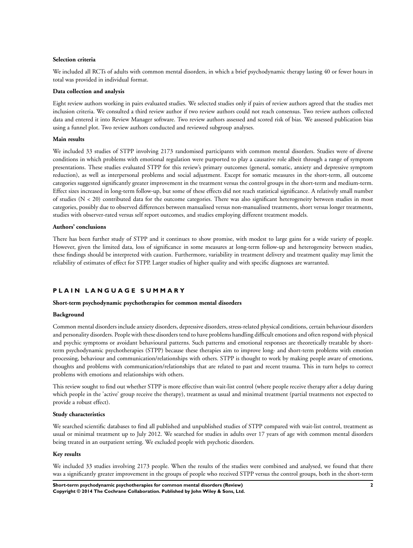#### **Selection criteria**

We included all RCTs of adults with common mental disorders, in which a brief psychodynamic therapy lasting 40 or fewer hours in total was provided in individual format.

#### **Data collection and analysis**

Eight review authors working in pairs evaluated studies. We selected studies only if pairs of review authors agreed that the studies met inclusion criteria. We consulted a third review author if two review authors could not reach consensus. Two review authors collected data and entered it into Review Manager software. Two review authors assessed and scored risk of bias. We assessed publication bias using a funnel plot. Two review authors conducted and reviewed subgroup analyses.

## **Main results**

We included 33 studies of STPP involving 2173 randomised participants with common mental disorders. Studies were of diverse conditions in which problems with emotional regulation were purported to play a causative role albeit through a range of symptom presentations. These studies evaluated STPP for this review's primary outcomes (general, somatic, anxiety and depressive symptom reduction), as well as interpersonal problems and social adjustment. Except for somatic measures in the short-term, all outcome categories suggested significantly greater improvement in the treatment versus the control groups in the short-term and medium-term. Effect sizes increased in long-term follow-up, but some of these effects did not reach statistical significance. A relatively small number of studies (N < 20) contributed data for the outcome categories. There was also significant heterogeneity between studies in most categories, possibly due to observed differences between manualised versus non-manualised treatments, short versus longer treatments, studies with observer-rated versus self report outcomes, and studies employing different treatment models.

## **Authors' conclusions**

There has been further study of STPP and it continues to show promise, with modest to large gains for a wide variety of people. However, given the limited data, loss of significance in some measures at long-term follow-up and heterogeneity between studies, these findings should be interpreted with caution. Furthermore, variability in treatment delivery and treatment quality may limit the reliability of estimates of effect for STPP. Larger studies of higher quality and with specific diagnoses are warranted.

# **P L A I N L A N G U A G E S U M M A R Y**

#### **Short-term psychodynamic psychotherapies for common mental disorders**

#### **Background**

Common mental disorders include anxiety disorders, depressive disorders, stress-related physical conditions, certain behaviour disorders and personality disorders. People with these disorders tend to have problems handling difficult emotions and often respond with physical and psychic symptoms or avoidant behavioural patterns. Such patterns and emotional responses are theoretically treatable by shortterm psychodynamic psychotherapies (STPP) because these therapies aim to improve long- and short-term problems with emotion processing, behaviour and communication/relationships with others. STPP is thought to work by making people aware of emotions, thoughts and problems with communication/relationships that are related to past and recent trauma. This in turn helps to correct problems with emotions and relationships with others.

This review sought to find out whether STPP is more effective than wait-list control (where people receive therapy after a delay during which people in the 'active' group receive the therapy), treatment as usual and minimal treatment (partial treatments not expected to provide a robust effect).

#### **Study characteristics**

We searched scientific databases to find all published and unpublished studies of STPP compared with wait-list control, treatment as usual or minimal treatment up to July 2012. We searched for studies in adults over 17 years of age with common mental disorders being treated in an outpatient setting. We excluded people with psychotic disorders.

#### **Key results**

We included 33 studies involving 2173 people. When the results of the studies were combined and analysed, we found that there was a significantly greater improvement in the groups of people who received STPP versus the control groups, both in the short-term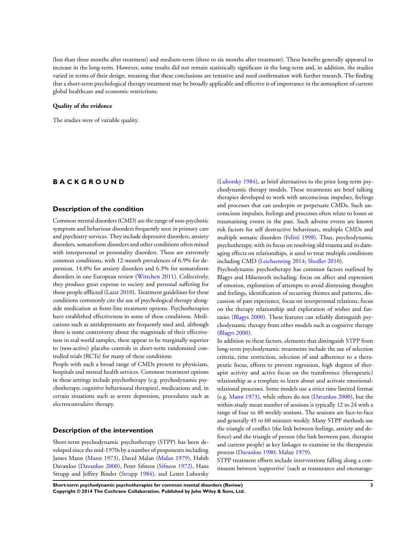(less than three months after treatment) and medium-term (three to six months after treatment). These benefits generally appeared to increase in the long-term. However, some results did not remain statistically significant in the long-term and, in addition, the studies varied in terms of their design, meaning that these conclusions are tentative and need confirmation with further research. The finding that a short-term psychological therapy treatment may be broadly applicable and effective is of importance in the atmosphere of current global healthcare and economic restrictions.

#### **Quality of the evidence**

The studies were of variable quality.

# **B A C K G R O U N D**

#### **Description of the condition**

Common mental disorders (CMD) are the range of non-psychotic symptom and behaviour disorders frequently seen in primary care and psychiatry services. They include depressive disorders, anxiety disorders, somatoform disorders and other conditions often mixed with interpersonal or personality disorders. These are extremely common conditions, with 12-month prevalences of 6.9% for depression, 14.0% for anxiety disorders and 6.3% for somatoform disorders in one European review ([Wittchen 2011](#page-22-0)). Collectively, they produce great expense to society and personal suffering for those people afflicted ([Lazar 2010](#page-22-0)). Treatment guidelines for these conditions commonly cite the use of psychological therapy alongside medication as front-line treatment options. Psychotherapies have established effectiveness in some of these conditions. Medications such as antidepressants are frequently used and, although there is some controversy about the magnitude of their effectiveness in real world samples, these appear to be marginally superior to (non-active) placebo controls in short-term randomised controlled trials (RCTs) for many of these conditions.

People with such a broad range of CMDs present to physicians, hospitals and mental health services. Common treatment options in these settings include psychotherapy (e.g. psychodynamic psychotherapy, cognitive behavioural therapies), medications and, in certain situations such as severe depression, procedures such as electroconvulsive therapy.

## **Description of the intervention**

Short-term psychodynamic psychotherapy (STPP) has been developed since the mid-1970s by a number of proponents including James Mann ([Mann 1973\)](#page-22-0), David Malan ([Malan 1979](#page-22-0)), Habib Davanloo ([Davanloo 2000](#page-22-0)), Peter Sifneos [\(Sifneos 1972\)](#page-22-0), Hans Strupp and Jeffrey Binder ([Strupp 1984\)](#page-22-0), and Lester Luborsky

[\(Luborsky 1984](#page-22-0)), as brief alternatives to the prior long-term psychodynamic therapy models. These treatments are brief talking therapies developed to work with unconscious impulses, feelings and processes that can underpin or perpetuate CMDs. Such unconscious impulses, feelings and processes often relate to losses or traumatising events in the past. Such adverse events are known risk factors for self destructive behaviours, multiple CMDs and multiple somatic disorders ([Felitti 1998](#page-22-0)). Thus, psychodynamic psychotherapy, with its focus on resolving old trauma and its damaging effects on relationships, is used to treat multiple conditions including CMD [\(Leichsenring 2014;](#page-22-0) [Shedler 2010](#page-22-0)).

Psychodynamic psychotherapy has common factors outlined by Blagys and Hilsenroth including: focus on affect and expression of emotion, exploration of attempts to avoid distressing thoughts and feelings, identification of recurring themes and patterns, discussion of past experience, focus on interpersonal relations, focus on the therapy relationship and exploration of wishes and fantasies ([Blagys 2000\)](#page-22-0). These features can reliably distinguish psychodynamic therapy from other models such as cognitive therapy [\(Blagys 2000](#page-22-0)).

In addition to these factors, elements that distinguish STPP from long-term psychodynamic treatments include the use of selection criteria, time restriction, selection of and adherence to a therapeutic focus, efforts to prevent regression, high degrees of therapist activity and active focus on the transference (therapeutic) relationship as a template to learn about and activate emotionalrelational processes. Some models use a strict time limited format (e.g. [Mann 1973\)](#page-22-0), while others do not ([Davanloo 2000\)](#page-22-0), but the within-study mean number of sessions is typically 12 to 24 with a range of four to 40 weekly sessions. The sessions are face-to-face and generally 45 to 60 minutes weekly. Many STPP methods use the triangle of conflict (the link between feelings, anxiety and defence) and the triangle of person (the link between past, therapist and current people) as key linkages to examine in the therapeutic process [\(Davanloo 1980; Malan 1979](#page-22-0)).

STPP treatment efforts include interventions falling along a continuum between 'supportive' (such as reassurance and encourage-

**Short-term psychodynamic psychotherapies for common mental disorders (Review) 3 Copyright © 2014 The Cochrane Collaboration. Published by John Wiley & Sons, Ltd.**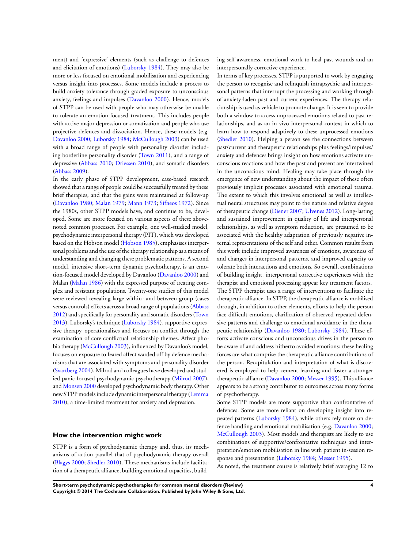ment) and 'expressive' elements (such as challenge to defences and elicitation of emotions) ([Luborsky 1984\)](#page-22-0). They may also be more or less focused on emotional mobilisation and experiencing versus insight into processes. Some models include a process to build anxiety tolerance through graded exposure to unconscious anxiety, feelings and impulses ([Davanloo 2000\)](#page-22-0). Hence, models of STPP can be used with people who may otherwise be unable to tolerate an emotion-focused treatment. This includes people with active major depression or somatisation and people who use projective defences and dissociation. Hence, these models (e.g. [Davanloo 2000](#page-22-0); [Luborsky 1984](#page-22-0); [McCullough 2003](#page-22-0)) can be used with a broad range of people with personality disorder including borderline personality disorder ([Town 2011](#page-22-0)), and a range of depressive ([Abbass 2010](#page-22-0); [Driessen 2010\)](#page-22-0), and somatic disorders [\(Abbass 2009](#page-22-0)).

In the early phase of STPP development, case-based research showed that a range of people could be successfully treated by these brief therapies, and that the gains were maintained at follow-up [\(Davanloo 1980](#page-22-0); [Malan 1979](#page-22-0); [Mann 1973;](#page-22-0) [Sifneos 1972](#page-22-0)). Since the 1980s, other STPP models have, and continue to be, developed. Some are more focused on various aspects of these abovenoted common processes. For example, one well-studied model, psychodynamic interpersonal therapy (PIT), which was developed based on the Hobson model ([Hobson 1985](#page-22-0)), emphasises interpersonal problems and the use of the therapy relationship as a means of understanding and changing these problematic patterns. A second model, intensive short-term dynamic psychotherapy, is an emotion-focused model developed by Davanloo [\(Davanloo 2000\)](#page-22-0) and Malan [\(Malan 1986\)](#page-22-0) with the expressed purpose of treating complex and resistant populations. Twenty-one studies of this model were reviewed revealing large within- and between-group (cases versus controls) effects across a broad range of populations [\(Abbass](#page-22-0) [2012](#page-22-0)) and specifically for personality and somatic disorders [\(Town](#page-22-0) [2013](#page-22-0)). Luborsky's technique [\(Luborsky 1984\)](#page-22-0), supportive-expressive therapy, operationalises and focuses on conflict through the examination of core conflictual relationship themes. Affect phobia therapy ([McCullough 2003](#page-22-0)), influenced by Davanloo's model, focuses on exposure to feared affect warded off by defence mechanisms that are associated with symptoms and personality disorder [\(Svartberg 2004](#page-22-0)). Milrod and colleagues have developed and studied panic-focused psychodynamic psychotherapy [\(Milrod 2007](#page-22-0)), and [Monsen 2000](#page-22-0) developed psychodynamic body therapy. Other new STPP models include dynamic interpersonal therapy [\(Lemma](#page-22-0) [2010](#page-22-0)), a time-limited treatment for anxiety and depression.

## **How the intervention might work**

STPP is a form of psychodynamic therapy and, thus, its mechanisms of action parallel that of psychodynamic therapy overall [\(Blagys 2000](#page-22-0); [Shedler 2010](#page-22-0)). These mechanisms include facilitation of a therapeutic alliance, building emotional capacities, building self awareness, emotional work to heal past wounds and an interpersonally corrective experience.

In terms of key processes, STPP is purported to work by engaging the person to recognise and relinquish intrapsychic and interpersonal patterns that interrupt the processing and working through of anxiety-laden past and current experiences. The therapy relationship is used as vehicle to promote change. It is seen to provide both a window to access unprocessed emotions related to past relationships, and as an in vivo interpersonal context in which to learn how to respond adaptively to these unprocessed emotions [\(Shedler 2010](#page-22-0)). Helping a person see the connections between past/current and therapeutic relationships plus feelings/impulses/ anxiety and defences brings insight on how emotions activate unconscious reactions and how the past and present are intertwined in the unconscious mind. Healing may take place through the emergence of new understanding about the impact of these often previously implicit processes associated with emotional trauma. The extent to which this involves emotional as well as intellectual neural structures may point to the nature and relative degree of therapeutic change [\(Diener 2007;](#page-22-0) [Ulvenes 2012\)](#page-22-0). Long-lasting and sustained improvement in quality of life and interpersonal relationships, as well as symptom reduction, are presumed to be associated with the healthy adaptation of previously negative internal representations of the self and other. Common results from this work include improved awareness of emotions, awareness of and changes in interpersonal patterns, and improved capacity to tolerate both interactions and emotions. So overall, combinations of building insight, interpersonal corrective experiences with the therapist and emotional processing appear key treatment factors. The STPP therapist uses a range of interventions to facilitate the therapeutic alliance. In STPP, the therapeutic alliance is mobilised through, in addition to other elements, efforts to help the person face difficult emotions, clarification of observed repeated defensive patterns and challenge to emotional avoidance in the therapeutic relationship [\(Davanloo 1980;](#page-22-0) [Luborsky 1984\)](#page-22-0). These efforts activate conscious and unconscious drives in the person to be aware of and address hitherto avoided emotions: these healing forces are what comprise the therapeutic alliance contributions of the person. Recapitulation and interpretation of what is discovered is employed to help cement learning and foster a stronger therapeutic alliance [\(Davanloo 2000;](#page-22-0) [Messer 1995](#page-22-0)). This alliance appears to be a strong contributor to outcomes across many forms of psychotherapy.

Some STPP models are more supportive than confrontative of defences. Some are more reliant on developing insight into repeated patterns [\(Luborsky 1984\)](#page-22-0), while others rely more on defence handling and emotional mobilisation (e.g. [Davanloo 2000;](#page-22-0) [McCullough 2003](#page-22-0)). Most models and therapists are likely to use combinations of supportive/confrontative techniques and interpretation/emotion mobilisation in line with patient in-session re-sponse and presentation ([Luborsky 1984](#page-22-0); [Messer 1995](#page-22-0)).

As noted, the treatment course is relatively brief averaging 12 to

**Short-term psychodynamic psychotherapies for common mental disorders (Review) 4 Copyright © 2014 The Cochrane Collaboration. Published by John Wiley & Sons, Ltd.**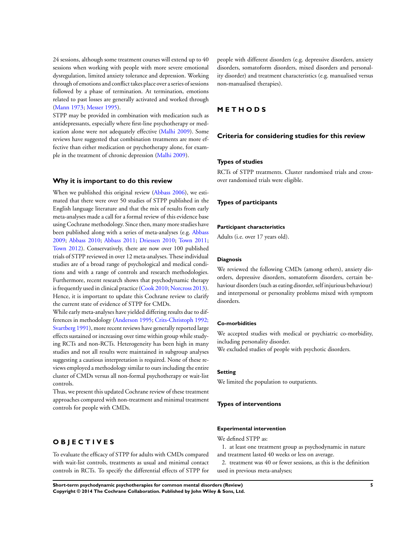24 sessions, although some treatment courses will extend up to 40 sessions when working with people with more severe emotional dysregulation, limited anxiety tolerance and depression. Working through of emotions and conflict takes place over a series of sessions followed by a phase of termination. At termination, emotions related to past losses are generally activated and worked through [\(Mann 1973](#page-22-0); [Messer 1995](#page-22-0)).

STPP may be provided in combination with medication such as antidepressants, especially where first-line psychotherapy or medication alone were not adequately effective ([Malhi 2009\)](#page-22-0). Some reviews have suggested that combination treatments are more effective than either medication or psychotherapy alone, for example in the treatment of chronic depression [\(Malhi 2009\)](#page-22-0).

#### **Why it is important to do this review**

When we published this original review [\(Abbass 2006\)](#page-22-0), we estimated that there were over 50 studies of STPP published in the English language literature and that the mix of results from early meta-analyses made a call for a formal review of this evidence base using Cochrane methodology. Since then, many more studies have been published along with a series of meta-analyses (e.g. [Abbass](#page-22-0) [2009](#page-22-0); [Abbass 2010;](#page-22-0) [Abbass 2011;](#page-22-0) [Driessen 2010](#page-22-0); [Town 2011;](#page-22-0) [Town 2012](#page-22-0)). Conservatively, there are now over 100 published trials of STPP reviewed in over 12 meta-analyses. These individual studies are of a broad range of psychological and medical conditions and with a range of controls and research methodologies. Furthermore, recent research shows that psychodynamic therapy is frequently used in clinical practice [\(Cook 2010](#page-22-0); [Norcross 2013](#page-22-0)). Hence, it is important to update this Cochrane review to clarify the current state of evidence of STPP for CMDs.

While early meta-analyses have yielded differing results due to differences in methodology ([Anderson 1995](#page-22-0); [Crits-Christoph 1992;](#page-22-0) [Svartberg 1991](#page-22-0)), more recent reviews have generally reported large effects sustained or increasing over time within group while studying RCTs and non-RCTs. Heterogeneity has been high in many studies and not all results were maintained in subgroup analyses suggesting a cautious interpretation is required. None of these reviews employed a methodology similar to ours including the entire cluster of CMDs versus all non-formal psychotherapy or wait-list controls.

Thus, we present this updated Cochrane review of these treatment approaches compared with non-treatment and minimal treatment controls for people with CMDs.

# **O B J E C T I V E S**

To evaluate the efficacy of STPP for adults with CMDs compared with wait-list controls, treatments as usual and minimal contact controls in RCTs. To specify the differential effects of STPP for people with different disorders (e.g. depressive disorders, anxiety disorders, somatoform disorders, mixed disorders and personality disorder) and treatment characteristics (e.g. manualised versus non-manualised therapies).

# **M E T H O D S**

## **Criteria for considering studies for this review**

# **Types of studies**

RCTs of STPP treatments. Cluster randomised trials and crossover randomised trials were eligible.

#### **Types of participants**

## **Participant characteristics**

Adults (i.e. over 17 years old).

### **Diagnosis**

We reviewed the following CMDs (among others), anxiety disorders, depressive disorders, somatoform disorders, certain behaviour disorders (such as eating disorder, self injurious behaviour) and interpersonal or personality problems mixed with symptom disorders.

#### **Co-morbidities**

We accepted studies with medical or psychiatric co-morbidity, including personality disorder.

We excluded studies of people with psychotic disorders.

#### **Setting**

We limited the population to outpatients.

#### **Types of interventions**

#### **Experimental intervention**

We defined STPP as:

- 1. at least one treatment group as psychodynamic in nature and treatment lasted 40 weeks or less on average.
- 2. treatment was 40 or fewer sessions, as this is the definition used in previous meta-analyses;

**Short-term psychodynamic psychotherapies for common mental disorders (Review) 5 Copyright © 2014 The Cochrane Collaboration. Published by John Wiley & Sons, Ltd.**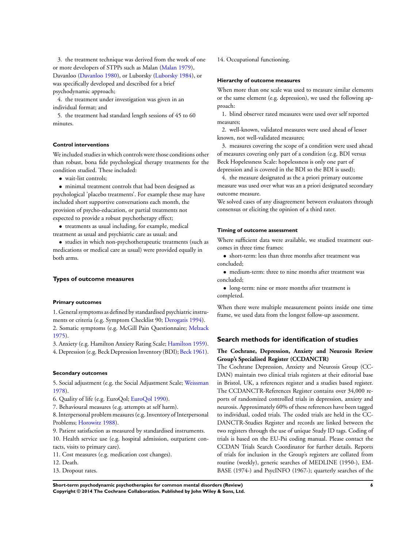3. the treatment technique was derived from the work of one or more developers of STPPs such as Malan ([Malan 1979\)](#page-22-0), Davanloo [\(Davanloo 1980](#page-22-0)), or Luborsky ([Luborsky 1984\)](#page-22-0), or was specifically developed and described for a brief psychodynamic approach;

4. the treatment under investigation was given in an individual format; and

5. the treatment had standard length sessions of 45 to 60 minutes.

#### **Control interventions**

We included studies in which controls were those conditions other than robust, bona fide psychological therapy treatments for the condition studied. These included:

• wait-list controls:

• minimal treatment controls that had been designed as psychological 'placebo treatments'. For example these may have included short supportive conversations each month, the provision of psycho-education, or partial treatments not expected to provide a robust psychotherapy effect;

• treatments as usual including, for example, medical treatment as usual and psychiatric care as usual; and

• studies in which non-psychotherapeutic treatments (such as medications or medical care as usual) were provided equally in both arms.

#### **Types of outcome measures**

#### **Primary outcomes**

1. General symptoms as defined by standardised psychiatric instruments or criteria (e.g. Symptom Checklist 90; [Derogatis 1994](#page-22-0)). 2. Somatic symptoms (e.g. McGill Pain Questionnaire; [Melzack](#page-22-0) [1975](#page-22-0)).

3. Anxiety (e.g. Hamilton Anxiety Rating Scale; [Hamilton 1959](#page-22-0)). 4. Depression (e.g. Beck Depression Inventory (BDI); [Beck 1961](#page-22-0)).

## **Secondary outcomes**

5. Social adjustment (e.g. the Social Adjustment Scale; [Weissman](#page-22-0) [1978](#page-22-0)).

6. Quality of life (e.g. EuroQol; [EuroQol 1990\)](#page-22-0).

7. Behavioural measures (e.g. attempts at self harm).

8. Interpersonal problem measures (e.g. Inventory of Interpersonal Problems; [Horowitz 1988](#page-22-0)).

9. Patient satisfaction as measured by standardised instruments. 10. Health service use (e.g. hospital admission, outpatient contacts, visits to primary care).

11. Cost measures (e.g. medication cost changes).

12. Death.

13. Dropout rates.

14. Occupational functioning.

## **Hierarchy of outcome measures**

When more than one scale was used to measure similar elements or the same element (e.g. depression), we used the following approach:

1. blind observer rated measures were used over self reported measures;

2. well-known, validated measures were used ahead of lesser known, not well-validated measures;

3. measures covering the scope of a condition were used ahead of measures covering only part of a condition (e.g. BDI versus Beck Hopelessness Scale: hopelessness is only one part of depression and is covered in the BDI so the BDI is used);

4. the measure designated as the a priori primary outcome measure was used over what was an a priori designated secondary outcome measure.

We solved cases of any disagreement between evaluators through consensus or eliciting the opinion of a third rater.

#### **Timing of outcome assessment**

Where sufficient data were available, we studied treatment outcomes in three time frames:

• short-term: less than three months after treatment was concluded;

• medium-term: three to nine months after treatment was concluded;

• long-term: nine or more months after treatment is completed.

When there were multiple measurement points inside one time frame, we used data from the longest follow-up assessment.

## **Search methods for identification of studies**

## **The Cochrane, Depression, Anxiety and Neurosis Review Group's Specialised Register (CCDANCTR)**

The Cochrane Depression, Anxiety and Neurosis Group (CC-DAN) maintain two clinical trials registers at their editorial base in Bristol, UK, a references register and a studies based register. The CCDANCTR-References Register contains over 34,000 reports of randomized controlled trials in depression, anxiety and neurosis. Approximately 60% of these references have been tagged to individual, coded trials. The coded trials are held in the CC-DANCTR-Studies Register and records are linked between the two registers through the use of unique Study ID tags. Coding of trials is based on the EU-Psi coding manual. Please contact the CCDAN Trials Search Coordinator for further details. Reports of trials for inclusion in the Group's registers are collated from routine (weekly), generic searches of MEDLINE (1950-), EM-BASE (1974-) and PsycINFO (1967-); quarterly searches of the

**Short-term psychodynamic psychotherapies for common mental disorders (Review) 6 Copyright © 2014 The Cochrane Collaboration. Published by John Wiley & Sons, Ltd.**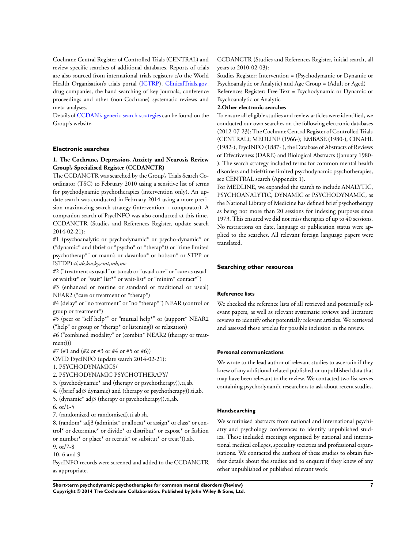Cochrane Central Register of Controlled Trials (CENTRAL) and review specific searches of additional databases. Reports of trials are also sourced from international trials registers c/o the World Health Organisation's trials portal ([ICTRP\)](http://apps.who.int/trialsearch/), [ClinicalTrials.gov,](http://www.clinicaltrials.gov/) drug companies, the hand-searching of key journals, conference proceedings and other (non-Cochrane) systematic reviews and meta-analyses.

Details of [CCDAN's generic search strategies](http://ccdan.cochrane.org/search-strategies-identification-studies) can be found on the Group's website.

#### **Electronic searches**

## **1. The Cochrane, Depression, Anxiety and Neurosis Review Group's Specialised Register (CCDANCTR)**

The CCDANCTR was searched by the Group's Trials Search Coordinator (TSC) to February 2010 using a sensitive list of terms for psychodynamic psychotherapies (intervention only). An update search was conducted in February 2014 using a more precision maximazing search strategy (intervention + comparator). A companion search of PsycINFO was also conducted at this time. CCDANCTR (Studies and References Register, update search 2014-02-21):

#1 (psychoanalytic or psychodynamic\* or psycho-dynamic\* or (\*dynamic\* and (brief or \*psycho\* or \*therap\*)) or "time limited psychotherap\*" or mann's or davanloo\* or hobson\* or STPP or ISTDP):*ti,ab,kw,ky,emt,mh,mc*

#2 ("treatment as usual" or tau:ab or "usual care" or "care as usual" or waitlist\* or "wait\* list\*" or wait-list\* or "minim\* contact\*")

#3 (enhanced or routine or standard or traditional or usual) NEAR2 (\*care or treatment or \*therap\*)

#4 (delay\* or "no treatment" or "no \*therap\*") NEAR (control or group or treatment\*)

#5 (peer or "self help\*" or "mutual help\*" or (support\* NEAR2 ("help" or group or \*therap\* or listening)) or relaxation)

#6 ("combined modality" or (combin\* NEAR2 (therapy or treatment)))

#7 (#1 and (#2 or #3 or #4 or #5 or #6))

OVID PsycINFO (update search 2014-02-21):

1. PSYCHODYNAMICS/

2. PSYCHODYNAMIC PSYCHOTHERAPY/

3. (psychodynamic\* and (therapy or psychotherapy)).ti,ab.

4. ((brief adj3 dynamic) and (therapy or psychotherapy)).ti,ab.

5. (dynamic\* adj3 (therapy or psychotherapy)).ti,ab.

6. or/1-5

7. (randomized or randomised).ti,ab,sh.

8. (random\* adj3 (administ\* or allocat\* or assign\* or class\* or control\* or determine\* or divide\* or distribut\* or expose\* or fashion or number\* or place\* or recruit\* or subsitut\* or treat\*)).ab. 9. or/7-8

10. 6 and 9

PsycINFO records were screened and added to the CCDANCTR as appropriate.

CCDANCTR (Studies and References Register, initial search, all years to 2010-02-03):

Studies Register: Intervention = (Psychodynamic or Dynamic or Psychoanalytic or Analytic) and Age Group = (Adult or Aged) References Register: Free-Text = Psychodynamic or Dynamic or Psychoanalytic or Analytic

#### **2.Other electronic searches**

To ensure all eligible studies and review articles were identified, we conducted our own searches on the following electronic databases (2012-07-23): The Cochrane Central Register of Controlled Trials (CENTRAL); MEDLINE (1966-); EMBASE (1980-), CINAHL (1982-), PsycINFO (1887- ), the Database of Abstracts of Reviews of Effectiveness (DARE) and Biological Abstracts (January 1980- ). The search strategy included terms for common mental health disorders and brief/time limited psychodynamic psychotherapies, see CENTRAL search (Appendix 1).

For MEDLINE, we expanded the search to include ANALYTIC, PSYCHOANALYTIC, DYNAMIC or PSYCHODYNAMIC, as the National Library of Medicine has defined brief psychotherapy as being not more than 20 sessions for indexing purposes since 1973. This ensured we did not miss therapies of up to 40 sessions. No restrictions on date, language or publication status were applied to the searches. All relevant foreign language papers were translated.

#### **Searching other resources**

#### **Reference lists**

We checked the reference lists of all retrieved and potentially relevant papers, as well as relevant systematic reviews and literature reviews to identify other potentially relevant articles. We retrieved and assessed these articles for possible inclusion in the review.

#### **Personal communications**

We wrote to the lead author of relevant studies to ascertain if they knew of any additional related published or unpublished data that may have been relevant to the review. We contacted two list serves containing psychodynamic researchers to ask about recent studies.

## **Handsearching**

We scrutinised abstracts from national and international psychiatry and psychology conferences to identify unpublished studies. These included meetings organised by national and international medical colleges, speciality societies and professional organisations. We contacted the authors of these studies to obtain further details about the studies and to enquire if they knew of any other unpublished or published relevant work.

**Short-term psychodynamic psychotherapies for common mental disorders (Review) 7 Copyright © 2014 The Cochrane Collaboration. Published by John Wiley & Sons, Ltd.**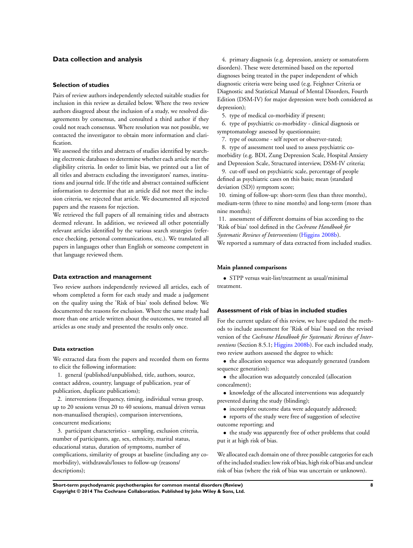## **Data collection and analysis**

#### **Selection of studies**

Pairs of review authors independently selected suitable studies for inclusion in this review as detailed below. Where the two review authors disagreed about the inclusion of a study, we resolved disagreements by consensus, and consulted a third author if they could not reach consensus. Where resolution was not possible, we contacted the investigator to obtain more information and clarification.

We assessed the titles and abstracts of studies identified by searching electronic databases to determine whether each article met the eligibility criteria. In order to limit bias, we printed out a list of all titles and abstracts excluding the investigators' names, institutions and journal title. If the title and abstract contained sufficient information to determine that an article did not meet the inclusion criteria, we rejected that article. We documented all rejected papers and the reasons for rejection.

We retrieved the full papers of all remaining titles and abstracts deemed relevant. In addition, we reviewed all other potentially relevant articles identified by the various search strategies (reference checking, personal communications, etc.). We translated all papers in languages other than English or someone competent in that language reviewed them.

#### **Data extraction and management**

Two review authors independently reviewed all articles, each of whom completed a form for each study and made a judgement on the quality using the 'Risk of bias' tools defined below. We documented the reasons for exclusion. Where the same study had more than one article written about the outcomes, we treated all articles as one study and presented the results only once.

#### **Data extraction**

We extracted data from the papers and recorded them on forms to elicit the following information:

1. general (published/unpublished, title, authors, source, contact address, country, language of publication, year of publication, duplicate publications);

2. interventions (frequency, timing, individual versus group, up to 20 sessions versus 20 to 40 sessions, manual driven versus non-manualised therapies), comparison interventions, concurrent medications;

3. participant characteristics - sampling, exclusion criteria, number of participants, age, sex, ethnicity, marital status, educational status, duration of symptoms, number of complications, similarity of groups at baseline (including any comorbidity), withdrawals/losses to follow-up (reasons/ descriptions);

4. primary diagnosis (e.g. depression, anxiety or somatoform disorders). These were determined based on the reported diagnoses being treated in the paper independent of which diagnostic criteria were being used (e.g. Feighner Criteria or Diagnostic and Statistical Manual of Mental Disorders, Fourth Edition (DSM-IV) for major depression were both considered as depression);

5. type of medical co-morbidity if present;

6. type of psychiatric co-morbidity - clinical diagnosis or symptomatology assessed by questionnaire;

7. type of outcome - self report or observer-rated;

8. type of assessment tool used to assess psychiatric comorbidity (e.g. BDI, Zung Depression Scale, Hospital Anxiety and Depression Scale, Structured interview, DSM-IV criteria;

9. cut-off used on psychiatric scale, percentage of people defined as psychiatric cases on this basis; mean (standard deviation (SD)) symptom score;

10. timing of follow-up: short-term (less than three months), medium-term (three to nine months) and long-term (more than nine months);

11. assessment of different domains of bias according to the 'Risk of bias' tool defined in the *Cochrane Handbook for Systematic Reviews of Interventions* [\(Higgins 2008b](#page-22-0)). We reported a summary of data extracted from included studies.

## **Main planned comparisons**

• STPP versus wait-list/treatment as usual/minimal treatment.

## **Assessment of risk of bias in included studies**

For the current update of this review, we have updated the methods to include assessment for 'Risk of bias' based on the revised version of the *Cochrane Handbook for Systematic Reviews of Interventions* (Section 8.5.1; [Higgins 2008b](#page-22-0)). For each included study, two review authors assessed the degree to which:

• the allocation sequence was adequately generated (random sequence generation);

• the allocation was adequately concealed (allocation concealment);

• knowledge of the allocated interventions was adequately prevented during the study (blinding);

• incomplete outcome data were adequately addressed;

• reports of the study were free of suggestion of selective outcome reporting; and

• the study was apparently free of other problems that could put it at high risk of bias.

We allocated each domain one of three possible categories for each of the included studies: low risk of bias, high risk of bias and unclear risk of bias (where the risk of bias was uncertain or unknown).

**Short-term psychodynamic psychotherapies for common mental disorders (Review) 8 Copyright © 2014 The Cochrane Collaboration. Published by John Wiley & Sons, Ltd.**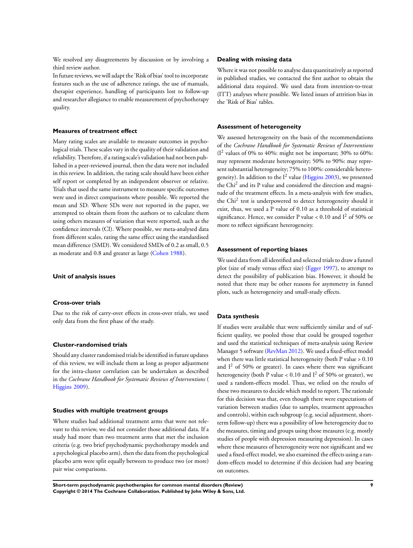We resolved any disagreements by discussion or by involving a third review author.

Infuture reviews, we will adapt the 'Risk of bias' tool to incorporate features such as the use of adherence ratings, the use of manuals, therapist experience, handling of participants lost to follow-up and researcher allegiance to enable measurement of psychotherapy quality.

## **Measures of treatment effect**

Many rating scales are available to measure outcomes in psychological trials. These scales vary in the quality of their validation and reliability. Therefore, if a rating scale's validation had not been published in a peer-reviewed journal, then the data were not included in this review. In addition, the rating scale should have been either self report or completed by an independent observer or relative. Trials that used the same instrument to measure specific outcomes were used in direct comparisons where possible. We reported the mean and SD. Where SDs were not reported in the paper, we attempted to obtain them from the authors or to calculate them using others measures of variation that were reported, such as the confidence intervals (CI). Where possible, we meta-analysed data from different scales, rating the same effect using the standardised mean difference (SMD). We considered SMDs of 0.2 as small, 0.5 as moderate and 0.8 and greater as large ([Cohen 1988\)](#page-22-0).

#### **Unit of analysis issues**

#### **Cross-over trials**

Due to the risk of carry-over effects in cross-over trials, we used only data from the first phase of the study.

#### **Cluster-randomised trials**

Should any cluster randomised trials be identified in future updates of this review, we will include them as long as proper adjustment for the intra-cluster correlation can be undertaken as described in the *Cochrane Handbook for Systematic Reviews of Interventions* ( [Higgins 2009](http://archie.cochrane.org/sections/documents/view?document=637899072120134263%26format=REVMAN#REF-Higgins-2009)).

## **Studies with multiple treatment groups**

Where studies had additional treatment arms that were not relevant to this review, we did not consider those additional data. If a study had more than two treatment arms that met the inclusion criteria (e.g. two brief psychodynamic psychotherapy models and a psychological placebo arm), then the data from the psychological placebo arm were split equally between to produce two (or more) pair wise comparisons.

#### **Dealing with missing data**

Where it was not possible to analyse data quantitatively as reported in published studies, we contacted the first author to obtain the additional data required. We used data from intention-to-treat (ITT) analyses where possible. We listed issues of attrition bias in the 'Risk of Bias' tables.

#### **Assessment of heterogeneity**

We assessed heterogeneity on the basis of the recommendations of the *Cochrane Handbook for Systematic Reviews of Interventions*  $(I<sup>2</sup>$  values of 0% to 40%: might not be important; 30% to 60%: may represent moderate heterogeneity; 50% to 90%: may represent substantial heterogeneity; 75% to 100%: considerable heterogeneity). In addition to the  $I^2$  value [\(Higgins 2003\)](#page-22-0), we presented the Chi<sup>2</sup> and its P value and considered the direction and magnitude of the treatment effects. In a meta-analysis with few studies, the Chi<sup>2</sup> test is underpowered to detect heterogeneity should it exist, thus, we used a P value of 0.10 as a threshold of statistical significance. Hence, we consider P value < 0.10 and  $I^2$  of 50% or more to reflect significant heterogeneity.

#### **Assessment of reporting biases**

We used data from all identified and selected trials to draw a funnel plot (size of study versus effect size) ([Egger 1997\)](#page-22-0), to attempt to detect the possibility of publication bias. However, it should be noted that there may be other reasons for asymmetry in funnel plots, such as heterogeneity and small-study effects.

## **Data synthesis**

If studies were available that were sufficiently similar and of sufficient quality, we pooled those that could be grouped together and used the statistical techniques of meta-analysis using Review Manager 5 software ([RevMan 2012](#page-22-0)). We used a fixed-effect model when there was little statistical heterogeneity (both P value > 0.10 and  $I^2$  of 50% or greater). In cases where there was significant heterogeneity (both P value  $< 0.10$  and  $I<sup>2</sup>$  of 50% or greater), we used a random-effects model. Thus, we relied on the results of these two measures to decide which model to report. The rationale for this decision was that, even though there were expectations of variation between studies (due to samples, treatment approaches and controls), within each subgroup (e.g. social adjustment, shortterm follow-up) there was a possibility of low heterogeneity due to the measures, timing and groups using those measures (e.g. mostly studies of people with depression measuring depression). In cases where these measures of heterogeneity were not significant and we used a fixed-effect model, we also examined the effects using a random-effects model to determine if this decision had any bearing on outcomes.

**Short-term psychodynamic psychotherapies for common mental disorders (Review) 9 Copyright © 2014 The Cochrane Collaboration. Published by John Wiley & Sons, Ltd.**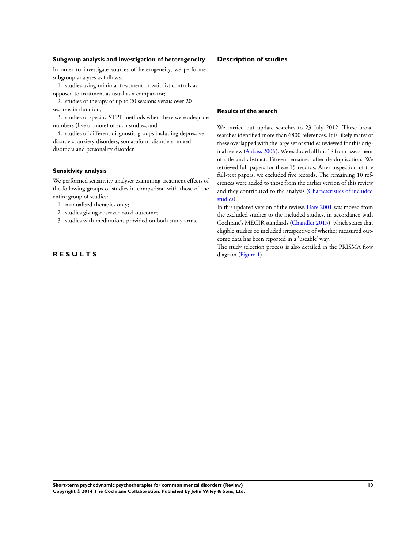## **Subgroup analysis and investigation of heterogeneity**

In order to investigate sources of heterogeneity, we performed subgroup analyses as follows:

1. studies using minimal treatment or wait-list controls as opposed to treatment as usual as a comparator;

2. studies of therapy of up to 20 sessions versus over 20 sessions in duration;

3. studies of specific STPP methods when there were adequate numbers (five or more) of such studies; and

4. studies of different diagnostic groups including depressive disorders, anxiety disorders, somatoform disorders, mixed disorders and personality disorder.

## **Sensitivity analysis**

We performed sensitivity analyses examining treatment effects of the following groups of studies in comparison with those of the entire group of studies:

- 1. manualised therapies only;
- 2. studies giving observer-rated outcome;
- 3. studies with medications provided on both study arms.

## **R E S U L T S**

## **Description of studies**

#### **Results of the search**

We carried out update searches to 23 July 2012. These broad searches identified more than 6800 references. It is likely many of these overlapped with the large set of studies reviewed for this original review [\(Abbass 2006\)](#page-22-0). We excluded all but 18 from assessment of title and abstract. Fifteen remained after de-duplication. We retrieved full papers for these 15 records. After inspection of the full-text papers, we excluded five records. The remaining 10 references were added to those from the earlier version of this review and they contributed to the analysis ([Characteristics of included](#page-30-0) [studies\)](#page-30-0).

In this updated version of the review, [Dare 2001](#page-22-0) was moved from the excluded studies to the included studies, in accordance with Cochrane's MECIR standards [\(Chandler 2013\)](#page-22-0), which states that eligible studies be included irrespective of whether measured outcome data has been reported in a 'useable' way.

The study selection process is also detailed in the PRISMA flow diagram ([Figure 1](#page-12-0)).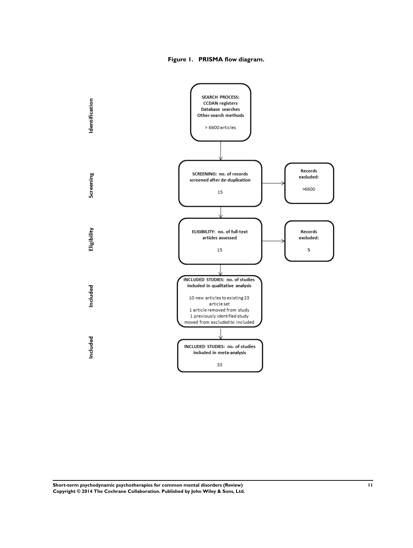**Figure 1. PRISMA flow diagram.**

<span id="page-12-0"></span>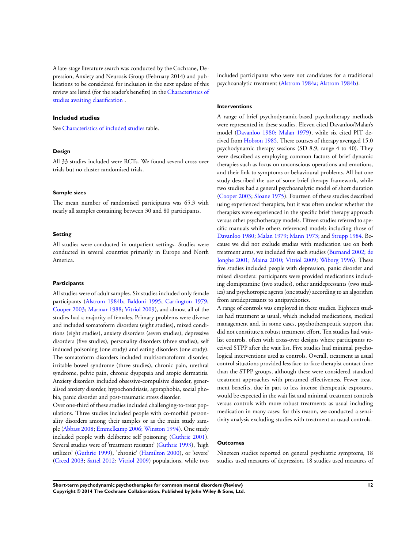A late-stage literature search was conducted by the Cochrane, Depression, Anxiety and Neurosis Group (February 2014) and publications to be considered for inclusion in the next update of this review are listed (for the reader's benefits) in the [Characteristics of](#page-71-0) [studies awaiting classification](#page-71-0) .

## **Included studies**

See [Characteristics of included studies](#page-30-0) table.

## **Design**

All 33 studies included were RCTs. We found several cross-over trials but no cluster randomised trials.

#### **Sample sizes**

The mean number of randomised participants was 65.3 with nearly all samples containing between 30 and 80 participants.

## **Setting**

All studies were conducted in outpatient settings. Studies were conducted in several countries primarily in Europe and North America.

#### **Participants**

All studies were of adult samples. Six studies included only female participants ([Alstrom 1984b;](#page-22-0) [Baldoni 1995;](#page-22-0) [Carrington 1979;](#page-22-0) [Cooper 2003;](#page-22-0) [Marmar 1988;](#page-22-0) [Vitriol 2009](#page-22-0)), and almost all of the studies had a majority of females. Primary problems were diverse and included somatoform disorders (eight studies), mixed conditions (eight studies), anxiety disorders (seven studies), depressive disorders (five studies), personality disorders (three studies), self induced poisoning (one study) and eating disorders (one study). The somatoform disorders included multisomatoform disorder, irritable bowel syndrome (three studies), chronic pain, urethral syndrome, pelvic pain, chronic dyspepsia and atopic dermatitis. Anxiety disorders included obsessive-compulsive disorder, generalised anxiety disorder, hypochondriasis, agoraphobia, social phobia, panic disorder and post-traumatic stress disorder.

Over one-third of these studies included challenging-to-treat populations. Three studies included people with co-morbid personality disorders among their samples or as the main study sample [\(Abbass 2008](#page-22-0); [Emmelkamp 2006; Winston 1994](#page-22-0)). One study included people with deliberate self poisoning [\(Guthrie 2001](#page-22-0)). Several studies were of 'treatment resistant' [\(Guthrie 1993](#page-22-0)), 'high utilizers' ([Guthrie 1999](#page-22-0)), 'chronic' ([Hamilton 2000](#page-22-0)), or 'severe' [\(Creed 2003;](#page-22-0) [Sattel 2012;](#page-22-0) [Vitriol 2009\)](#page-22-0) populations, while two included participants who were not candidates for a traditional psychoanalytic treatment [\(Alstrom 1984a; Alstrom 1984b\)](#page-22-0).

#### **Interventions**

A range of brief psychodynamic-based psychotherapy methods were represented in these studies. Eleven cited Davanloo/Malan's model [\(Davanloo 1980; Malan 1979](#page-22-0)), while six cited PIT derived from [Hobson 1985.](#page-22-0) These courses of therapy averaged 15.0 psychodynamic therapy sessions (SD 8.9, range 4 to 40). They were described as employing common factors of brief dynamic therapies such as focus on unconscious operations and emotions, and their link to symptoms or behavioural problems. All but one study described the use of some brief therapy framework, while two studies had a general psychoanalytic model of short duration [\(Cooper 2003](#page-22-0); [Sloane 1975](#page-22-0)). Fourteen of these studies described using experienced therapists, but it was often unclear whether the therapists were experienced in the specific brief therapy approach versus other psychotherapy models. Fifteen studies referred to specific manuals while others referenced models including those of [Davanloo 1980;](#page-22-0) [Malan 1979; Mann 1973;](#page-22-0) and [Strupp 1984](#page-22-0). Because we did not exclude studies with medication use on both treatment arms, we included five such studies ([Burnand 2002; de](#page-22-0) [Jonghe 2001; Maina 2010; Vitriol 2009](#page-22-0); [Wiborg 1996](#page-22-0)). These five studies included people with depression, panic disorder and mixed disorders: participants were provided medications including clomipramine (two studies), other antidepressants (two studies) and psychotropic agents (one study) according to an algorithm from antidepressants to antipsychotics.

A range of controls was employed in these studies. Eighteen studies had treatment as usual, which included medications, medical management and, in some cases, psychotherapeutic support that did not constitute a robust treatment effort. Ten studies had waitlist controls, often with cross-over designs where participants received STPP after the wait list. Five studies had minimal psychological interventions used as controls. Overall, treatment as usual control situations provided less face-to-face therapist contact time than the STPP groups, although these were considered standard treatment approaches with presumed effectiveness. Fewer treatment benefits, due in part to less intense therapeutic exposures, would be expected in the wait list and minimal treatment controls versus controls with more robust treatments as usual including medication in many cases: for this reason, we conducted a sensitivity analysis excluding studies with treatment as usual controls.

## **Outcomes**

Nineteen studies reported on general psychiatric symptoms, 18 studies used measures of depression, 18 studies used measures of

**Short-term psychodynamic psychotherapies for common mental disorders (Review) 12 Copyright © 2014 The Cochrane Collaboration. Published by John Wiley & Sons, Ltd.**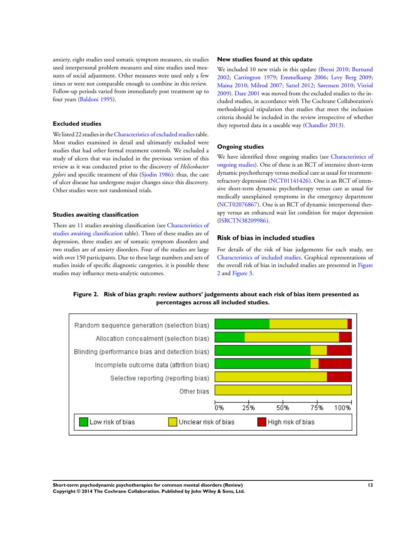anxiety, eight studies used somatic symptom measures, six studies used interpersonal problem measures and nine studies used measures of social adjustment. Other measures were used only a few times or were not comparable enough to combine in this review. Follow-up periods varied from immediately post treatment up to four years [\(Baldoni 1995\)](#page-22-0).

## **Excluded studies**

We listed 22 studies in the [Characteristics of excluded studies](#page-70-0) table. Most studies examined in detail and ultimately excluded were studies that had other formal treatment controls. We excluded a study of ulcers that was included in the previous version of this review as it was conducted prior to the discovery of *Helicobacter pylori* and specific treatment of this [\(Sjodin 1986\)](#page-22-0): thus, the care of ulcer disease has undergone major changes since this discovery. Other studies were not randomised trials.

#### **Studies awaiting classification**

There are 11 studies awaiting classification (see [Characteristics of](#page-71-0) [studies awaiting classification](#page-71-0) table). Three of these studies are of depression, three studies are of somatic symptom disorders and two studies are of anxiety disorders. Four of the studies are large with over 150 participants. Due to these large numbers and sets of studies inside of specific diagnostic categories, it is possible these studies may influence meta-analytic outcomes.

#### **New studies found at this update**

We included 10 new trials in this update [\(Bressi 2010;](#page-22-0) [Burnand](#page-22-0) [2002](#page-22-0); [Carrington 1979](#page-22-0); [Emmelkamp 2006](#page-22-0); [Levy Berg 2009;](#page-22-0) [Maina 2010;](#page-22-0) [Milrod 2007](#page-22-0); [Sattel 2012;](#page-22-0) [Sørensen 2010](#page-22-0); [Vitriol](#page-22-0) [2009](#page-22-0)). [Dare 2001](#page-22-0) was moved from the excluded studies to the included studies, in accordance with The Cochrane Collaboration's methodological stipulation that studies that meet the inclusion criteria should be included in the review irrespective of whether they reported data in a useable way ([Chandler 2013\)](#page-22-0).

#### **Ongoing studies**

We have identified three ongoing studies (see [Characteristics of](#page-74-0) [ongoing studies\)](#page-74-0). One of these is an RCT of intensive short-term dynamic psychotherapy versus medical care as usual for treatmentrefractory depression [\(NCT01141426](#page-22-0)). One is an RCT of intensive short-term dynamic psychotherapy versus care as usual for medically unexplained symptoms in the emergency department [\(NCT02076867](#page-22-0)). One is an RCT of dynamic interpersonal therapy versus an enhanced wait list condition for major depression [\(ISRCTN38209986](#page-22-0)).

# **Risk of bias in included studies**

For details of the risk of bias judgements for each study, see [Characteristics of included studies.](#page-30-0) Graphical representations of the overall risk of bias in included studies are presented in Figure 2 and [Figure 3.](#page-15-0)





**Short-term psychodynamic psychotherapies for common mental disorders (Review) 13 Copyright © 2014 The Cochrane Collaboration. Published by John Wiley & Sons, Ltd.**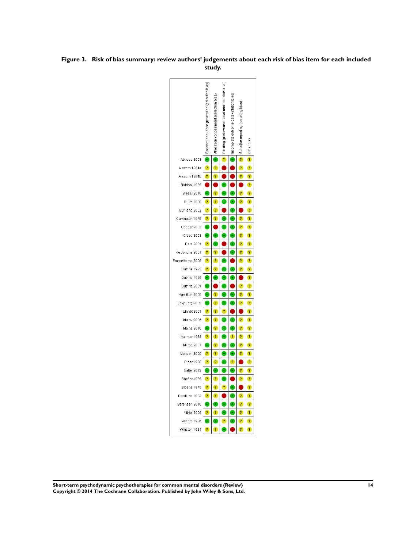## <span id="page-15-0"></span>**Figure 3. Risk of bias summary: review authors' judgements about each risk of bias item for each included study.**



**Short-term psychodynamic psychotherapies for common mental disorders (Review) 14 Copyright © 2014 The Cochrane Collaboration. Published by John Wiley & Sons, Ltd.**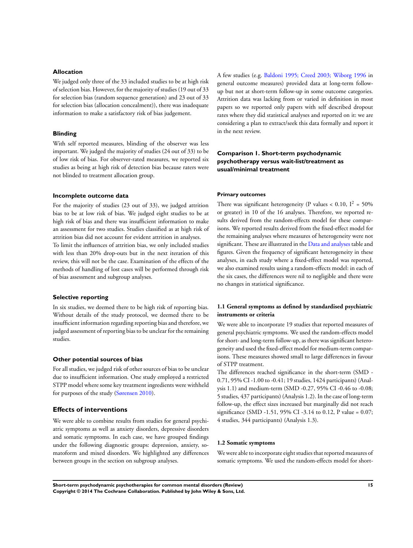## **Allocation**

We judged only three of the 33 included studies to be at high risk of selection bias. However, for the majority of studies (19 out of 33 for selection bias (random sequence generation) and 23 out of 33 for selection bias (allocation concealment)), there was inadequate information to make a satisfactory risk of bias judgement.

## **Blinding**

With self reported measures, blinding of the observer was less important. We judged the majority of studies (24 out of 33) to be of low risk of bias. For observer-rated measures, we reported six studies as being at high risk of detection bias because raters were not blinded to treatment allocation group.

## **Incomplete outcome data**

For the majority of studies (23 out of 33), we judged attrition bias to be at low risk of bias. We judged eight studies to be at high risk of bias and there was insufficient information to make an assessment for two studies. Studies classified as at high risk of attrition bias did not account for evident attrition in analyses. To limit the influences of attrition bias, we only included studies with less than 20% drop-outs but in the next iteration of this review, this will not be the case. Examination of the effects of the methods of handling of lost cases will be performed through risk of bias assessment and subgroup analyses.

## **Selective reporting**

In six studies, we deemed there to be high risk of reporting bias. Without details of the study protocol, we deemed there to be insufficient information regarding reporting bias and therefore, we judged assessment of reporting bias to be unclear for the remaining studies.

#### **Other potential sources of bias**

For all studies, we judged risk of other sources of bias to be unclear due to insufficient information. One study employed a restricted STPP model where some key treatment ingredients were withheld for purposes of the study ([Sørensen 2010\)](#page-22-0).

## **Effects of interventions**

We were able to combine results from studies for general psychiatric symptoms as well as anxiety disorders, depressive disorders and somatic symptoms. In each case, we have grouped findings under the following diagnostic groups: depression, anxiety, somatoform and mixed disorders. We highlighted any differences between groups in the section on subgroup analyses.

A few studies (e.g. [Baldoni 1995; Creed 2003; Wiborg 1996](#page-22-0) in general outcome measures) provided data at long-term followup but not at short-term follow-up in some outcome categories. Attrition data was lacking from or varied in definition in most papers so we reported only papers with self described dropout rates where they did statistical analyses and reported on it: we are considering a plan to extract/seek this data formally and report it in the next review.

## **Comparison 1. Short-term psychodynamic psychotherapy versus wait-list/treatment as usual/minimal treatment**

## **Primary outcomes**

There was significant heterogeneity (P values < 0.10,  $I^2 = 50\%$ or greater) in 10 of the 16 analyses. Therefore, we reported results derived from the random-effects model for these comparisons. We reported results derived from the fixed-effect model for the remaining analyses where measures of heterogeneity were not significant. These are illustrated in the [Data and analyses](#page-77-0) table and figures. Given the frequency of significant heterogeneity in these analyses, in each study where a fixed-effect model was reported, we also examined results using a random-effects model: in each of the six cases, the differences were nil to negligible and there were no changes in statistical significance.

## **1.1 General symptoms as defined by standardised psychiatric instruments or criteria**

We were able to incorporate 19 studies that reported measures of general psychiatric symptoms. We used the random-effects model for short- and long-term follow-up, as there was significant heterogeneity and used the fixed-effect model for medium-term comparisons. These measures showed small to large differences in favour of STPP treatment.

The differences reached significance in the short-term (SMD - 0.71, 95% CI -1.00 to -0.41; 19 studies, 1424 participants) (Analysis 1.1) and medium-term (SMD -0.27, 95% CI -0.46 to -0.08; 5 studies, 437 participants) (Analysis 1.2). In the case of long-term follow-up, the effect sizes increased but marginally did not reach significance (SMD -1.51, 95% CI -3.14 to 0.12, P value = 0.07; 4 studies, 344 participants) (Analysis 1.3).

#### **1.2 Somatic symptoms**

We were able to incorporate eight studies that reported measures of somatic symptoms. We used the random-effects model for short-

**Short-term psychodynamic psychotherapies for common mental disorders (Review) 15 Copyright © 2014 The Cochrane Collaboration. Published by John Wiley & Sons, Ltd.**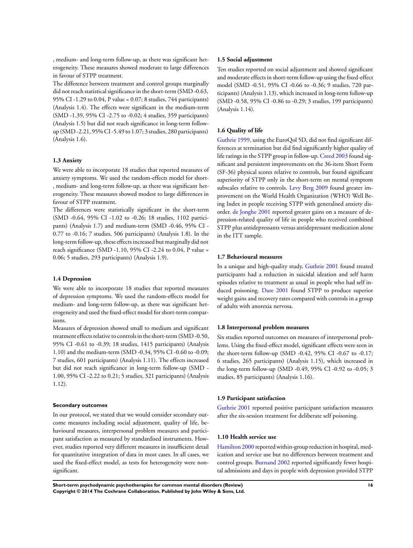, medium- and long-term follow-up, as there was significant heterogeneity. These measures showed moderate to large differences in favour of STPP treatment.

The difference between treatment and control groups marginally did not reach statistical significance in the short-term (SMD -0.63, 95% CI -1.29 to 0.04, P value = 0.07; 8 studies, 744 participants) (Analysis 1.4). The effects were significant in the medium-term (SMD -1.39, 95% CI -2.75 to -0.02; 4 studies, 359 participants) (Analysis 1.5) but did not reach significance in long-term followup (SMD -2.21, 95% CI -5.49 to 1.07; 3 studies, 280 participants) (Analysis 1.6).

#### **1.3 Anxiety**

We were able to incorporate 18 studies that reported measures of anxiety symptoms. We used the random-effects model for short- , medium- and long-term follow-up, as there was significant heterogeneity. These measures showed modest to large differences in favour of STPP treatment.

The differences were statistically significant in the short-term (SMD -0.64, 95% CI -1.02 to -0.26; 18 studies, 1102 participants) (Analysis 1.7) and medium-term (SMD -0.46, 95% CI - 0.77 to -0.16; 7 studies, 506 participants) (Analysis 1.8). In the long-term follow-up, these effects increased but marginally did not reach significance (SMD -1.10, 95% CI -2.24 to 0.04, P value = 0.06; 5 studies, 293 participants) (Analysis 1.9).

#### **1.4 Depression**

We were able to incorporate 18 studies that reported measures of depression symptoms. We used the random-effects model for medium- and long-term follow-up, as there was significant heterogeneity and used the fixed-effect model for short-term comparisons.

Measures of depression showed small to medium and significant treatment effects relative to controls in the short-term (SMD -0.50, 95% CI -0.61 to -0.39; 18 studies, 1415 participants) (Analysis 1.10) and the medium-term (SMD -0.34, 95% CI -0.60 to -0.09; 7 studies, 601 participants) (Analysis 1.11). The effects increased but did not reach significance in long-term follow-up (SMD - 1.00, 95% CI -2.22 to 0.21; 5 studies, 321 participants) (Analysis 1.12).

#### **Secondary outcomes**

In our protocol, we stated that we would consider secondary outcome measures including social adjustment, quality of life, behavioural measures, interpersonal problem measures and participant satisfaction as measured by standardised instruments. However, studies reported very different measures in insufficient detail for quantitative integration of data in most cases. In all cases, we used the fixed-effect model, as tests for heterogeneity were nonsignificant.

#### **1.5 Social adjustment**

Ten studies reported on social adjustment and showed significant and moderate effects in short-term follow-up using the fixed-effect model (SMD -0.51, 95% CI -0.66 to -0.36; 9 studies, 720 participants) (Analysis 1.13), which increased in long-term follow-up (SMD -0.58, 95% CI -0.86 to -0.29; 3 studies, 199 participants) (Analysis 1.14).

## **1.6 Quality of life**

[Guthrie 1999](#page-22-0), using the EuroQol 5D, did not find significant differences at termination but did find significantly higher quality of life ratings in the STPP group in follow-up. [Creed 2003](#page-22-0) found significant and persistent improvements on the 36-item Short Form (SF-36) physical scores relative to controls, but found significant superiority of STPP only in the short-term on mental symptom subscales relative to controls. [Levy Berg 2009](#page-22-0) found greater improvement on the World Health Organization (WHO) Well Being Index in people receiving STPP with generalised anxiety disorder. [de Jonghe 2001](#page-22-0) reported greater gains on a measure of depression-related quality of life in people who received combined STPP plus antidepressants versus antidepressant medication alone in the ITT sample.

#### **1.7 Behavioural measures**

In a unique and high-quality study, [Guthrie 2001](#page-22-0) found treated participants had a reduction in suicidal ideation and self harm episodes relative to treatment as usual in people who had self induced poisoning. [Dare 2001](#page-22-0) found STPP to produce superior weight gains and recovery rates compared with controls in a group of adults with anorexia nervosa.

## **1.8 Interpersonal problem measures**

Six studies reported outcomes on measures of interpersonal problems. Using the fixed-effect model, significant effects were seen in the short-term follow-up (SMD -0.42, 95% CI -0.67 to -0.17; 6 studies, 265 participants) (Analysis 1.15), which increased in the long-term follow-up (SMD -0.49, 95% CI -0.92 to -0.05; 3 studies, 85 participants) (Analysis 1.16).

## **1.9 Participant satisfaction**

[Guthrie 2001](#page-22-0) reported positive participant satisfaction measures after the six-session treatment for deliberate self poisoning.

## **1.10 Health service use**

[Hamilton 2000](#page-22-0) reported within-group reduction in hospital, medication and service use but no differences between treatment and control groups. [Burnand 2002](#page-22-0) reported significantly fewer hospital admissions and days in people with depression provided STPP

**Short-term psychodynamic psychotherapies for common mental disorders (Review) 16 Copyright © 2014 The Cochrane Collaboration. Published by John Wiley & Sons, Ltd.**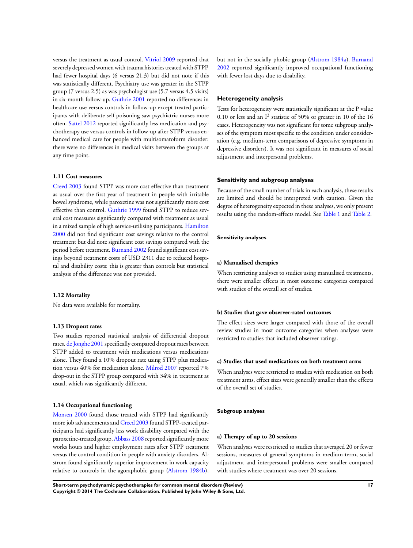versus the treatment as usual control. [Vitriol 2009](#page-22-0) reported that severely depressed women with trauma histories treated with STPP had fewer hospital days (6 versus 21.3) but did not note if this was statistically different. Psychiatry use was greater in the STPP group (7 versus 2.5) as was psychologist use (5.7 versus 4.5 visits) in six-month follow-up. [Guthrie 2001](#page-22-0) reported no differences in healthcare use versus controls in follow-up except treated participants with deliberate self poisoning saw psychiatric nurses more often. [Sattel 2012](#page-22-0) reported significantly less medication and psychotherapy use versus controls in follow-up after STPP versus enhanced medical care for people with multisomatoform disorder: there were no differences in medical visits between the groups at any time point.

## **1.11 Cost measures**

[Creed 2003](#page-22-0) found STPP was more cost effective than treatment as usual over the first year of treatment in people with irritable bowel syndrome, while paroxetine was not significantly more cost effective than control. [Guthrie 1999](#page-22-0) found STPP to reduce several cost measures significantly compared with treatment as usual in a mixed sample of high service-utilising participants. [Hamilton](#page-22-0) [2000](#page-22-0) did not find significant cost savings relative to the control treatment but did note significant cost savings compared with the period before treatment. [Burnand 2002](#page-22-0) found significant cost savings beyond treatment costs of USD 2311 due to reduced hospital and disability costs: this is greater than controls but statistical analysis of the difference was not provided.

#### **1.12 Mortality**

No data were available for mortality.

## **1.13 Dropout rates**

Two studies reported statistical analysis of differential dropout rates. [de Jonghe 2001](#page-22-0) specifically compared dropout rates between STPP added to treatment with medications versus medications alone. They found a 10% dropout rate using STPP plus medication versus 40% for medication alone. [Milrod 2007](#page-22-0) reported 7% drop-out in the STPP group compared with 34% in treatment as usual, which was significantly different.

## **1.14 Occupational functioning**

[Monsen 2000](#page-22-0) found those treated with STPP had significantly more job advancements and [Creed 2003](#page-22-0) found STPP-treated participants had significantly less work disability compared with the paroxetine-treated group. [Abbass 2008](#page-22-0) reported significantly more works hours and higher employment rates after STPP treatment versus the control condition in people with anxiety disorders. Alstrom found significantly superior improvement in work capacity relative to controls in the agoraphobic group ([Alstrom 1984b](#page-22-0)), but not in the socially phobic group [\(Alstrom 1984a\)](#page-22-0). [Burnand](#page-22-0) [2002](#page-22-0) reported significantly improved occupational functioning with fewer lost days due to disability.

## **Heterogeneity analysis**

Tests for heterogeneity were statistically significant at the P value 0.10 or less and an  $I^2$  statistic of 50% or greater in 10 of the 16 cases. Heterogeneity was not significant for some subgroup analyses of the symptom most specific to the condition under consideration (e.g. medium-term comparisons of depressive symptoms in depressive disorders). It was not significant in measures of social adjustment and interpersonal problems.

## **Sensitivity and subgroup analyses**

Because of the small number of trials in each analysis, these results are limited and should be interpreted with caution. Given the degree of heterogeneity expected in these analyses, we only present results using the random-effects model. See [Table 1](#page-79-0) and [Table 2](#page-82-0).

## **Sensitivity analyses**

#### **a) Manualised therapies**

When restricting analyses to studies using manualised treatments, there were smaller effects in most outcome categories compared with studies of the overall set of studies.

#### **b) Studies that gave observer-rated outcomes**

The effect sizes were larger compared with those of the overall review studies in most outcome categories when analyses were restricted to studies that included observer ratings.

## **c) Studies that used medications on both treatment arms**

When analyses were restricted to studies with medication on both treatment arms, effect sizes were generally smaller than the effects of the overall set of studies.

#### **Subgroup analyses**

#### **a) Therapy of up to 20 sessions**

When analyses were restricted to studies that averaged 20 or fewer sessions, measures of general symptoms in medium-term, social adjustment and interpersonal problems were smaller compared with studies where treatment was over 20 sessions.

**Short-term psychodynamic psychotherapies for common mental disorders (Review) 17 Copyright © 2014 The Cochrane Collaboration. Published by John Wiley & Sons, Ltd.**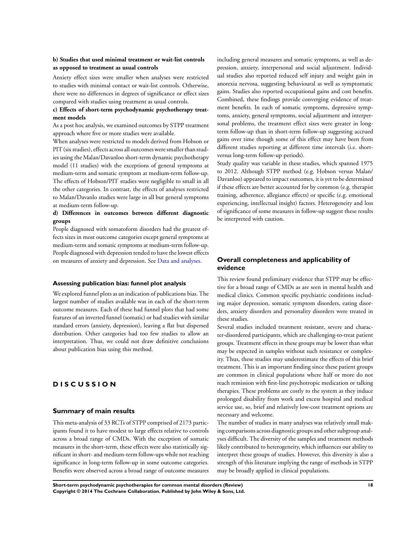## **b) Studies that used minimal treatment or wait-list controls as opposed to treatment as usual controls**

Anxiety effect sizes were smaller when analyses were restricted to studies with minimal contact or wait-list controls. Otherwise, there were no differences in degrees of significance or effect sizes compared with studies using treatment as usual controls.

## **c) Effects of short-term psychodynamic psychotherapy treatment models**

As a post hoc analysis, we examined outcomes by STPP treatment approach where five or more studies were available.

When analyses were restricted to models derived from Hobson or PIT (six studies), effects across all outcomes were smaller than studies using the Malan/Davanloo short-term dynamic psychotherapy model (11 studies) with the exceptions of general symptoms at medium-term and somatic symptom at medium-term follow-up. The effects of Hobson/PIT studies were negligible to small in all the other categories. In contrast, the effects of analyses restricted to Malan/Davanlo studies were large in all but general symptoms at medium-term follow-up.

## **d) Differences in outcomes between different diagnostic groups**

People diagnosed with somatoform disorders had the greatest effects sizes in most outcome categories except general symptoms at medium-term and somatic symptoms at medium-term follow-up. People diagnosed with depression tended to have the lowest effects on measures of anxiety and depression. See [Data and analyses](#page-77-0).

#### **Assessing publication bias: funnel plot analysis**

We explored funnel plots as an indication of publications bias. The largest number of studies available was in each of the short-term outcome measures. Each of these had funnel plots that had some features of an inverted funnel (somatic) or had studies with similar standard errors (anxiety, depression), leaving a flat but dispersed distribution. Other categories had too few studies to allow an interpretation. Thus, we could not draw definitive conclusions about publication bias using this method.

# **D I S C U S S I O N**

## **Summary of main results**

This meta-analysis of 33 RCTs of STPP comprised of 2173 participants found it to have modest to large effects relative to controls across a broad range of CMDs. With the exception of somatic measures in the short-term, these effects were also statistically significant in short- and medium-term follow-ups while not reaching significance in long-term follow-up in some outcome categories. Benefits were observed across a broad range of outcome measures

including general measures and somatic symptoms, as well as depression, anxiety, interpersonal and social adjustment. Individual studies also reported reduced self injury and weight gain in anorexia nervosa, suggesting behavioural as well as symptomatic gains. Studies also reported occupational gains and cost benefits. Combined, these findings provide converging evidence of treatment benefits. In each of somatic symptoms, depressive symptoms, anxiety, general symptoms, social adjustment and interpersonal problems, the treatment effect sizes were greater in longterm follow-up than in short-term follow-up suggesting accrued gains over time though some of this effect may have been from different studies reporting at different time intervals (i.e. shortversus long-term follow-up periods).

Study quality was variable in these studies, which spanned 1975 to 2012. Although STPP method (e.g. Hobson versus Malan/ Davanloo) appeared to impact outcomes, it is yet to be determined if these effects are better accounted for by common (e.g. therapist training, adherence, allegiance effects) or specific (e.g. emotional experiencing, intellectual insight) factors. Heterogeneity and loss of significance of some measures in follow-up suggest these results be interpreted with caution.

# **Overall completeness and applicability of evidence**

This review found preliminary evidence that STPP may be effective for a broad range of CMDs as are seen in mental health and medical clinics. Common specific psychiatric conditions including major depression, somatic symptom disorders, eating disorders, anxiety disorders and personality disorders were treated in these studies.

Several studies included treatment resistant, severe and character-disordered participants, which are challenging-to-treat patient groups. Treatment effects in these groups may be lower than what may be expected in samples without such resistance or complexity. Thus, these studies may underestimate the effects of this brief treatment. This is an important finding since these patient groups are common in clinical populations where half or more do not reach remission with first-line psychotropic medication or talking therapies. These problems are costly to the system as they induce prolonged disability from work and excess hospital and medical service use, so, brief and relatively low-cost treatment options are necessary and welcome.

The number of studies in many analyses was relatively small making comparisons across diagnostic groups and other subgroup analyses difficult. The diversity of the samples and treatment methods likely contributed to heterogeneity, which influences our ability to interpret these groups of studies. However, this diversity is also a strength of this literature implying the range of methods in STPP may be broadly applied in clinical populations.

**Short-term psychodynamic psychotherapies for common mental disorders (Review) 18 Copyright © 2014 The Cochrane Collaboration. Published by John Wiley & Sons, Ltd.**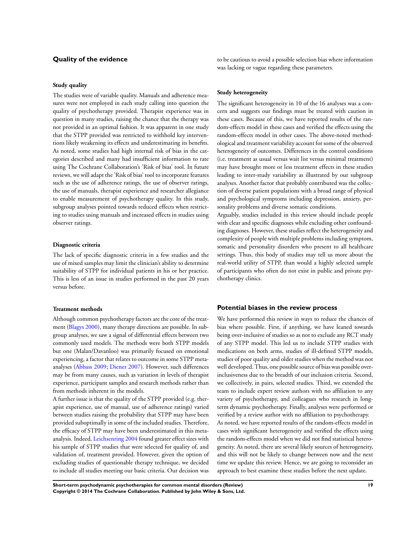# **Quality of the evidence**

#### **Study quality**

The studies were of variable quality. Manuals and adherence measures were not employed in each study calling into question the quality of psychotherapy provided. Therapist experience was in question in many studies, raising the chance that the therapy was not provided in an optimal fashion. It was apparent in one study that the STPP provided was restricted to withhold key interventions likely weakening its effects and underestimating its benefits. As noted, some studies had high internal risk of bias in the categories described and many had insufficient information to rate using The Cochrane Collaboration's 'Risk of bias' tool. In future reviews, we will adapt the 'Risk of bias' tool to incorporate features such as the use of adherence ratings, the use of observer ratings, the use of manuals, therapist experience and researcher allegiance to enable measurement of psychotherapy quality. In this study, subgroup analyses pointed towards reduced effects when restricting to studies using manuals and increased effects in studies using observer ratings.

## **Diagnostic criteria**

The lack of specific diagnostic criteria in a few studies and the use of mixed samples may limit the clinician's ability to determine suitability of STPP for individual patients in his or her practice. This is less of an issue in studies performed in the past 20 years versus before.

## **Treatment methods**

Although common psychotherapy factors are the core of the treatment [\(Blagys 2000](#page-22-0)), many therapy directions are possible. In subgroup analyses, we saw a signal of differential effects between two commonly used models. The methods were both STPP models but one (Malan/Davanloo) was primarily focused on emotional experiencing, a factor that relates to outcome in some STPP metaanalyses [\(Abbass 2009;](#page-22-0) [Diener 2007\)](#page-22-0). However, such differences may be from many causes, such as variation in levels of therapist experience, participant samples and research methods rather than from methods inherent in the models.

A further issue is that the quality of the STPP provided (e.g. therapist experience, use of manual, use of adherence ratings) varied between studies raising the probability that STPP may have been provided suboptimally in some of the included studies. Therefore, the efficacy of STPP may have been underestimated in this metaanalysis. Indeed, [Leichsenring 2004](#page-22-0) found greater effect sizes with his sample of STPP studies that were selected for quality of, and validation of, treatment provided. However, given the option of excluding studies of questionable therapy technique, we decided to include all studies meeting our basic criteria. Our decision was

to be cautious to avoid a possible selection bias where information was lacking or vague regarding these parameters.

#### **Study heterogeneity**

The significant heterogeneity in 10 of the 16 analyses was a concern and suggests our findings must be treated with caution in these cases. Because of this, we have reported results of the random-effects model in these cases and verified the effects using the random-effects model in other cases. The above-noted methodological and treatment variability account for some of the observed heterogeneity of outcomes. Differences in the control conditions (i.e. treatment as usual versus wait list versus minimal treatment) may have brought more or less treatment effects in these studies leading to inter-study variability as illustrated by our subgroup analyses. Another factor that probably contributed was the collection of diverse patient populations with a broad range of physical and psychological symptoms including depression, anxiety, personality problems and diverse somatic conditions.

Arguably, studies included in this review should include people with clear and specific diagnoses while excluding other confounding diagnoses. However, these studies reflect the heterogeneity and complexity of people with multiple problems including symptom, somatic and personality disorders who present to all healthcare settings. Thus, this body of studies may tell us more about the real-world utility of STPP, than would a highly selected sample of participants who often do not exist in public and private psychotherapy clinics.

#### **Potential biases in the review process**

We have performed this review in ways to reduce the chances of bias where possible. First, if anything, we have leaned towards being over-inclusive of studies so as not to exclude any RCT study of any STPP model. This led us to include STPP studies with medications on both arms, studies of ill-defined STPP models, studies of poor quality and older studies when the method was not well developed. Thus, one possible source of bias was possible overinclusiveness due to the breadth of our inclusion criteria. Second, we collectively, in pairs, selected studies. Third, we extended the team to include expert review authors with no affiliation to any variety of psychotherapy, and colleagues who research in longterm dynamic psychotherapy. Finally, analyses were performed or verified by a review author with no affiliation to psychotherapy. As noted, we have reported results of the random-effects model in cases with significant heterogeneity and verified the effects using the random-effects model when we did not find statistical heterogeneity. As noted, there are several likely sources of heterogeneity, and this will not be likely to change between now and the next time we update this review. Hence, we are going to reconsider an approach to best examine these studies before the next update.

**Short-term psychodynamic psychotherapies for common mental disorders (Review) 19 Copyright © 2014 The Cochrane Collaboration. Published by John Wiley & Sons, Ltd.**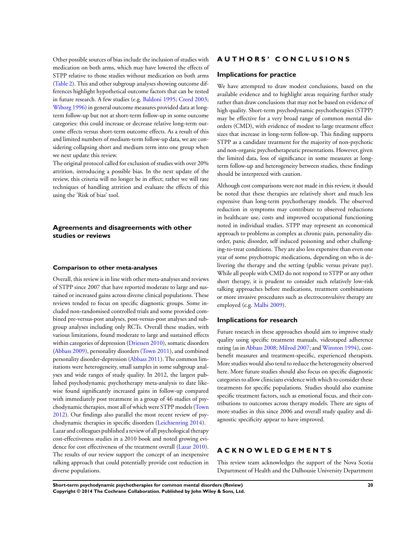Other possible sources of bias include the inclusion of studies with medication on both arms, which may have lowered the effects of STPP relative to those studies without medication on both arms [\(Table 2](#page-82-0)). This and other subgroup analyses showing outcome differences highlight hypothetical outcome factors that can be tested in future research. A few studies (e.g. [Baldoni 1995](#page-22-0); [Creed 2003;](#page-22-0) [Wiborg 1996\)](#page-22-0) in general outcome measures provided data at longterm follow-up but not at short-term follow-up in some outcome categories: this could increase or decrease relative long-term outcome effects versus short-term outcome effects. As a result of this and limited numbers of medium-term follow-up data, we are considering collapsing short and medium term into one group when we next update this review.

The original protocol called for exclusion of studies with over 20% attrition, introducing a possible bias. In the next update of the review, this criteria will no longer be in effect; rather we will rate techniques of handling attrition and evaluate the effects of this using the 'Risk of bias' tool.

## **Agreements and disagreements with other studies or reviews**

#### **Comparison to other meta-analyses**

Overall, this review is in line with other meta-analyses and reviews of STPP since 2007 that have reported moderate to large and sustained or increased gains across diverse clinical populations. These reviews tended to focus on specific diagnostic groups. Some included non-randomised controlled trials and some provided combined pre-versus-post analyses, post-versus-post analyses and subgroup analyses including only RCTs. Overall these studies, with various limitations, found moderate to large and sustained effects within categories of depression ([Driessen 2010\)](#page-22-0), somatic disorders [\(Abbass 2009\)](#page-22-0), personality disorders [\(Town 2011\)](#page-22-0), and combined personality disorder-depression ([Abbass 2011](#page-22-0)). The common limitations were heterogeneity, small samples in some subgroup analyses and wide ranges of study quality. In 2012, the largest published psychodynamic psychotherapy meta-analysis to date likewise found significantly increased gains in follow-up compared with immediately post treatment in a group of 46 studies of psychodynamic therapies, most all of which were STPP models ([Town](#page-22-0) [2012](#page-22-0)). Our findings also parallel the most recent review of psychodynamic therapies in specific disorders [\(Leichsenring 2014\)](#page-22-0). Lazar and colleagues published a review of all psychological therapy cost-effectiveness studies in a 2010 book and noted growing evidence for cost effectiveness of the treatment overall [\(Lazar 2010](#page-22-0)). The results of our review support the concept of an inexpensive talking approach that could potentially provide cost reduction in diverse populations.

# **A U T H O R S ' C O N C L U S I O N S**

## **Implications for practice**

We have attempted to draw modest conclusions, based on the available evidence and to highlight areas requiring further study rather than draw conclusions that may not be based on evidence of high quality. Short-term psychodynamic psychotherapies (STPP) may be effective for a very broad range of common mental disorders (CMD), with evidence of modest to large treatment effect sizes that increase in long-term follow-up. This finding supports STPP as a candidate treatment for the majority of non-psychotic and non-organic psychotherapeutic presentations. However, given the limited data, loss of significance in some measures at longterm follow-up and heterogeneity between studies, these findings should be interpreted with caution.

Although cost comparisons were not made in this review, it should be noted that these therapies are relatively short and much less expensive than long-term psychotherapy models. The observed reduction in symptoms may contribute to observed reductions in healthcare use, costs and improved occupational functioning noted in individual studies. STPP may represent an economical approach to problems as complex as chronic pain, personality disorder, panic disorder, self induced poisoning and other challenging-to-treat conditions. They are also less expensive than even one year of some psychotropic medications, depending on who is delivering the therapy and the setting (public versus private pay). While all people with CMD do not respond to STPP or any other short therapy, it is prudent to consider such relatively low-risk talking approaches before medications, treatment combinations or more invasive procedures such as electroconvulsive therapy are employed (e.g. [Malhi 2009\)](#page-22-0).

## **Implications for research**

Future research in these approaches should aim to improve study quality using specific treatment manuals, videotaped adherence rating (as in [Abbass 2008; Milrod 2007;](#page-22-0) and [Winston 1994\)](#page-22-0), costbenefit measures and treatment-specific, experienced therapists. More studies would also tend to reduce the heterogeneity observed here. More future studies should also focus on specific diagnostic categories to allow clinicians evidence with which to consider these treatments for specific populations. Studies should also examine specific treatment factors, such as emotional focus, and their contributions to outcomes across therapy models. There are signs of more studies in this since 2006 and overall study quality and diagnostic specificity appear to have improved.

# **A C K N O W L E D G E M E N T S**

This review team acknowledges the support of the Nova Scotia Department of Health and the Dalhousie University Department

**Short-term psychodynamic psychotherapies for common mental disorders (Review) 20 Copyright © 2014 The Cochrane Collaboration. Published by John Wiley & Sons, Ltd.**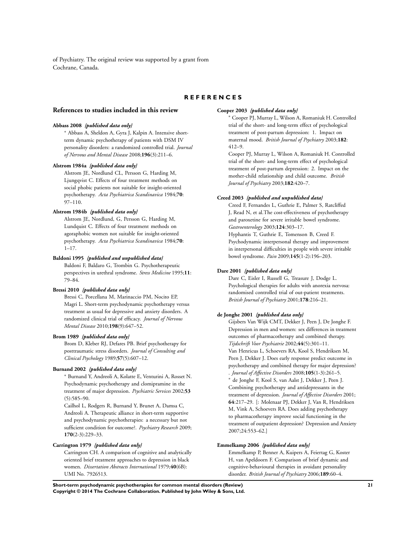<span id="page-22-0"></span>of Psychiatry. The original review was supported by a grant from Cochrane, Canada.

# **R E F E R E N C E S**

#### **References to studies included in this review**

#### **Abbass 2008** *{published data only}*

<sup>∗</sup> Abbass A, Sheldon A, Gyra J, Kalpin A. Intensive shortterm dynamic psychotherapy of patients with DSM IV personality disorders: a randomized controlled trial. *Journal of Nervous and Mental Disease* 2008;**196**(3):211–6.

#### **Alstrom 1984a** *{published data only}*

Alstrom JE, Nordlund CL, Persson G, Harding M, Ljungqvist C. Effects of four treatment methods on social phobic patients not suitable for insight-oriented psychotherapy. *Acta Psychiatrica Scandinavica* 1984;**70**: 97–110.

## **Alstrom 1984b** *{published data only}*

Alstrom JE, Nordlund, G, Persson G, Harding M, Lundquist C. Effects of four treatment methods on agoraphobic women not suitable for insight-oriented psychotherapy. *Acta Psychiatrica Scandinavica* 1984;**70**:  $1 - 17$ 

#### **Baldoni 1995** *{published and unpublished data}*

Baldoni F, Baldaro G, Trombin G. Psychotherapeutic perspectives in urethral syndrome. *Stress Medicine* 1995;**11**: 79–84.

#### **Bressi 2010** *{published data only}*

Bressi C, Porcellana M, Marinaccio PM, Nocito EP, Magri L. Short-term psychodynamic psychotherapy versus treatment as usual for depressive and anxiety disorders. A randomized clinical trial of efficacy. *Journal of Nervous Mental Disease* 2010;**198**(9):647–52.

## **Brom 1989** *{published data only}*

Brom D, Kleber RJ, Defares PB. Brief psychotherapy for posttraumatic stress disorders. *Journal of Consulting and Clinical Psychology* 1989;**57**(5):607–12.

#### **Burnand 2002** *{published data only}*

<sup>∗</sup> Burnand Y, Andreoli A, Kolatte E, Venturini A, Rosset N. Psychodynamic psychotherapy and clomipramine in the treatment of major depression. *Psychiatric Services* 2002;**53**  $(5):585-90.$ 

Cailhol L, Rodgers R, Burnand Y, Brunet A, Damsa C, Andreoli A. Therapeutic alliance in short-term supportive and psychodynamic psychotherapies: a necessary but not sufficient condition for outcome?. *Psychiatry Research* 2009; **170**(2-3):229–33.

#### **Carrington 1979** *{published data only}*

Carrington CH. A comparison of cognitive and analytically oriented brief treatment approaches to depression in black women. *Dissertation Abstracts International* 1979;**40**(6B): UMI No. 7926513.

#### **Cooper 2003** *{published data only}*

<sup>∗</sup> Cooper PJ, Murray L, Wilson A, Romaniuk H. Controlled trial of the short- and long-term effect of psychological treatment of post-partum depression: 1. Impact on maternal mood. *British Journal of Psychiatry* 2003;**182**: 412–9.

Cooper PJ, Murray L, Wilson A, Romaniuk H. Controlled trial of the short- and long-term effect of psychological treatment of post-partum depression: 2. Impact on the mother-child relationship and child outcome. *British Journal of Psychiatry* 2003;**182**:420–7.

## **Creed 2003** *{published and unpublished data}*

Creed F, Fernandes L, Guthrie E, Palmer S, Ratcliffed J, Read N, et al.The cost-effectiveness of psychotherapy and paroxetine for severe irritable bowel syndrome. *Gastroenterology* 2003;**124**:303–17. Hyphantis T, Guthrie E, Tomenson B, Creed F.

Psychodynamic interpersonal therapy and improvement in interpersonal difficulties in people with severe irritable bowel syndrome. *Pain* 2009;**145**(1-2):196–203.

#### **Dare 2001** *{published data only}*

Dare C, Eisler I, Russell G, Treasure J, Dodge L. Psychological therapies for adults with anorexia nervosa: randomised controlled trial of out-patient treatments. *British Journal of Psychiatry* 2001;**178**:216–21.

#### **de Jonghe 2001** *{published data only}*

Gijsbers Van Wijk CMT, Dekker J, Peen J, De Jonghe F. Depression in men and women: sex differences in treatment outcomes of pharmacotherapy and combined therapy. *Tijdschrift Voor Psychiatrie* 2002;**44**(5):301–11. Van Henricus L, Schoevers RA, Kool S, Hendriksen M, Peen J, Dekker J. Does early response predict outcome in psychotherapy and combined therapy for major depression? . *Journal of Affective Disorders* 2008;**105**(1-3):261–5.

<sup>∗</sup> de Jonghe F, Kool S, van Aalst J, Dekker J, Peen J. Combining psychotherapy and antidepressants in the treatment of depression. *Journal of Affective Disorders* 2001; **64**:217–29. [: Molenaar PJ, Dekker J, Van R, Hendriksen M, Vink A, Schoevers RA. Does adding psychotherapy to pharmacotherapy improve social functioning in the treatment of outpatient depression? Depression and Anxiety 2007;24:553–62.]

#### **Emmelkamp 2006** *{published data only}*

Emmelkamp P, Benner A, Kuipers A, Feiertag G, Koster H, van Apeldoorn F. Comparison of brief dynamic and cognitive-behavioural therapies in avoidant personality disorder. *British Journal of Psychiatry* 2006;**189**:60–4.

**Short-term psychodynamic psychotherapies for common mental disorders (Review) 21 Copyright © 2014 The Cochrane Collaboration. Published by John Wiley & Sons, Ltd.**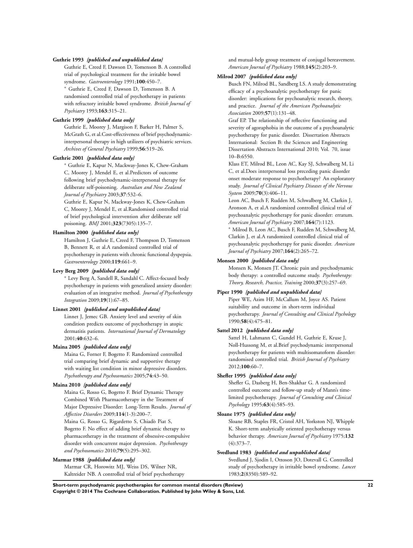#### **Guthrie 1993** *{published and unpublished data}*

Guthrie E, Creed F, Dawson D, Tomenson B. A controlled trial of psychological treatment for the irritable bowel syndrome. *Gastroenterology* 1991;**100**:450–7.

<sup>∗</sup> Guthrie E, Creed F, Dawson D, Tomenson B. A randomised controlled trial of psychotherapy in patients with refractory irritable bowel syndrome. *British Journal of Psychiatry* 1993;**163**:315–21.

#### **Guthrie 1999** *{published data only}*

Guthrie E, Moorey J, Margison F, Barker H, Palmer S, McGrath G, et al.Cost-effectiveness of brief psychodynamicinterpersonal therapy in high utilizers of psychiatric services. *Archives of General Psychiatry* 1999;**56**:519–26.

## **Guthrie 2001** *{published data only}*

<sup>∗</sup> Guthrie E, Kapur N, Mackway-Jones K, Chew-Graham C, Moorey J, Mendel E, et al.Predictors of outcome following brief psychodynamic-interpersonal therapy for deliberate self-poisoning. *Australian and New Zealand Journal of Psychiatry* 2003;**37**:532–6.

Guthrie E, Kapur N, Mackway-Jones K, Chew-Graham C, Moorey J, Mendel E, et al.Randomised controlled trial of brief psychological intervention after deliberate self poisoning. *BMJ* 2001;**323**(7305):135–7.

#### **Hamilton 2000** *{published data only}*

Hamilton J, Guthrie E, Creed F, Thompson D, Tomenson B, Bennett R, et al.A randomized controlled trial of psychotherapy in patients with chronic functional dyspepsia. *Gastroenterology* 2000;**119**:661–9.

## **Levy Berg 2009** *{published data only}*

<sup>∗</sup> Levy Berg A, Sandell R, Sandahl C. Affect-focused body psychotherapy in patients with generalized anxiety disorder: evaluation of an integrative method. *Journal of Psychotherapy Integration* 2009;**19**(1):67–85.

## **Linnet 2001** *{published and unpublished data}*

Linnet J, Jemec GB. Anxiety level and severity of skin condition predicts outcome of psychotherapy in atopic dermatitis patients. *International Journal of Dermatology* 2001;**40**:632–6.

#### **Maina 2005** *{published data only}*

Maina G, Forner F, Bogetto F. Randomized controlled trial comparing brief dynamic and supportive therapy with waiting list condition in minor depressive disorders. *Psychotherapy and Psychosomatics* 2005;**74**:43–50.

#### **Maina 2010** *{published data only}*

Maina G, Rosso G, Bogetto F. Brief Dynamic Therapy Combined With Pharmacotherapy in the Treatment of Major Depressive Disorder: Long-Term Results. *Journal of Affective Disorders* 2009;**114**(1-3):200–7. Maina G, Rosso G, Rigardetto S, Chiadò Piat S,

Bogetto F. No effect of adding brief dynamic therapy to pharmacotherapy in the treatment of obsessive-compulsive disorder with concurrent major depression. *Psychotherapy and Psychosomatics* 2010;**79**(5):295–302.

#### **Marmar 1988** *{published data only}*

Marmar CR, Horowitz MJ, Weiss DS, Wilner NR, Kaltreider NB. A controlled trial of brief psychotherapy and mutual-help group treatment of conjugal bereavement. *American Journal of Psychiatry* 1988;**145**(2):203–9.

## **Milrod 2007** *{published data only}*

Busch FN, Milrod BL, Sandberg LS. A study demonstrating efficacy of a psychoanalytic psychotherapy for panic disorder: implications for psychoanalytic research, theory, and practice. *Journal of the American Psychoanalytic Association* 2009;**57**(1):131–48.

Graf EP. The relationship of reflective functioning and severity of agoraphobia in the outcome of a psychoanalytic psychotherapy for panic disorder. Dissertation Abstracts International: Section B: the Sciences and Engineering Dissertation Abstracts International 2010; Vol. 70, issue 10–B:6550.

Klass ET, Milrod BL, Leon AC, Kay SJ, Schwalberg M, Li C, et al.Does interpersonal loss preceding panic disorder onset moderate response to psychotherapy? An exploratory study. *Journal of Clinical Psychiatry Diseases of the Nervous System* 2009;**70**(3):406–11.

Leon AC, Busch F, Rudden M, Schwalberg M, Clarkin J, Aronson A, et al.A randomized controlled clinical trial of psychoanalytic psychotherapy for panic disorder: erratum. *American Journal of Psychiatry* 2007;**164**(7):1123.

<sup>∗</sup> Milrod B, Leon AC, Busch F, Rudden M, Schwalberg M, Clarkin J, et al.A randomized controlled clinical trial of psychoanalytic psychotherapy for panic disorder. *American Journal of Psychiatry* 2007;**164**(2):265–72.

#### **Monsen 2000** *{published data only}*

Monsen K, Monsen JT. Chronic pain and psychodynamic body therapy: a controlled outcome study. *Psychotherapy: Theory, Research, Practice, Training* 2000;**37**(3):257–69.

#### **Piper 1990** *{published and unpublished data}*

Piper WE, Azim HF, McCallum M, Joyce AS. Patient suitability and outcome in short-term individual psychotherapy. *Journal of Consulting and Clinical Psychology* 1990;**58**(4):475–81.

#### **Sattel 2012** *{published data only}*

Sattel H, Lahmann C, Gundel H, Guthrie E, Kruse J, Noll-Hussong M, et al.Brief psychodynamic interpersonal psychotherapy for patients with multisomatoform disorder: randomised controlled trial. *British Journal of Psychiatry* 2012;**100**:60–7.

#### **Shefler 1995** *{published data only}*

Shefler G, Dasberg H, Ben-Shakhar G. A randomized controlled outcome and follow-up study of Mann's timelimited psychotherapy. *Journal of Consulting and Clinical Psychology* 1995;**63**(4):585–93.

#### **Sloane 1975** *{published data only}*

Sloane RB, Staples FR, Cristol AH, Yorkston NJ, Whipple K. Short-term analytically oriented psychotherapy versus behavior therapy. *American Journal of Psychiatry* 1975;**132** (4):373–7.

#### **Svedlund 1983** *{published and unpublished data}*

Svedlund J, Sjodin I, Ottoson JO, Dotevall G. Controlled study of psychotherapy in irritable bowel syndrome. *Lancet* 1983;**2**(8350):589–92.

**Short-term psychodynamic psychotherapies for common mental disorders (Review) 22 Copyright © 2014 The Cochrane Collaboration. Published by John Wiley & Sons, Ltd.**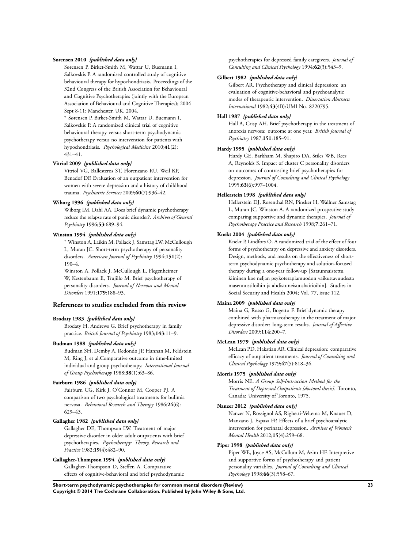## **Sørensen 2010** *{published data only}*

Sørensen P, Birket-Smith M, Wattar U, Buemann I, Salkovskis P. A randomised controlled study of cognitive behavioural therapy for hypochondriasis. Proceedings of the 32nd Congress of the British Association for Behavioural and Cognitive Psychotherapies (jointly with the European Association of Behavioural and Cognitive Therapies); 2004 Sept 8-11; Manchester, UK. 2004.

<sup>∗</sup> Sørensen P, Birket-Smith M, Wattar U, Buemann I, Salkovskis P. A randomized clinical trial of cognitive behavioural therapy versus short-term psychodynamic psychotherapy versus no intervention for patients with hypochondriasis. *Psychological Medicine* 2010;**41**(2): 431–41.

#### **Vitriol 2009** *{published data only}*

Vitriol VG, Ballesteros ST, Florenzano RU, Weil KP, Benadof DF. Evaluation of an outpatient intervention for women with severe depression and a history of childhood trauma. *Psychiatric Services* 2009;**60**(7):936–42.

## **Wiborg 1996** *{published data only}*

Wiborg IM, Dahl AA. Does brief dynamic psychotherapy reduce the relapse rate of panic disorder?. *Archives of General Psychiatry* 1996;**53**:689–94.

## **Winston 1994** *{published data only}*

<sup>∗</sup> Winston A, Laikin M, Pollack J, Samstag LW, McCullough L, Muran JC. Short-term psychotherapy of personality disorders. *American Journal of Psychiatry* 1994;**151**(2): 190–4.

Winston A, Pollack J, McCullough L, Flegenheimer W, Kestenbaum E, Trujillo M. Brief psychotherapy of personality disorders. *Journal of Nervous and Mental Disorders* 1991;**179**:188–93.

#### **References to studies excluded from this review**

#### **Brodaty 1983** *{published data only}*

Brodaty H, Andrews G. Brief psychotherapy in family practice. *British Journal of Psychiatry* 1983;**143**:11–9.

## **Budman 1988** *{published data only}*

Budman SH, Demby A, Redondo JP, Hannan M, Feldstein M, Ring J, et al.Comparative outcome in time-limited individual and group psychotherapy. *International Journal of Group Psychotherapy* 1988;**38**(1):63–86.

## **Fairburn 1986** *{published data only}*

Fairburn CG, Kirk J, O'Connor M, Cooper PJ. A comparison of two psychological treatments for bulimia nervosa. *Behavioral Research and Therapy* 1986;**24**(6): 629–43.

## **Gallagher 1982** *{published data only}*

Gallagher DE, Thompson LW. Treatment of major depressive disorder in older adult outpatients with brief psychotherapies. *Psychotherapy: Theory, Research and Practice* 1982;**19**(4):482–90.

#### **Gallagher-Thompson 1994** *{published data only}*

Gallagher-Thompson D, Steffen A. Comparative effects of cognitive-behavioral and brief psychodynamic psychotherapies for depressed family caregivers. *Journal of Consulting and Clinical Psychology* 1994;**62**(3):543–9.

#### **Gilbert 1982** *{published data only}*

Gilbert AR. Psychotherapy and clinical depression: an evaluation of cognitive-behavioral and psychoanalytic modes of therapeutic intervention. *Dissertation Abstracts International* 1982;**43**(4B):UMI No. 8220795.

## **Hall 1987** *{published data only}*

Hall A, Crisp AH. Brief psychotherapy in the treatment of anorexia nervosa: outcome at one year. *British Journal of Psychiatry* 1987;**151**:185–91.

### **Hardy 1995** *{published data only}*

Hardy GE, Barkham M, Shapiro DA, Stiles WB, Rees A, Reynolds S. Impact of cluster C personality disorders on outcomes of contrasting brief psychotherapies for depression. *Journal of Consulting and Clinical Psychology* 1995;**63**(6):997–1004.

#### **Hellerstein 1998** *{published data only}*

Hellerstein DJ, Rosenthal RN, Pinsker H, Wallner Samstag L, Muran JC, Winston A. A randomized prospective study comparing supportive and dynamic therapies. *Journal of Psychotherapy Practice and Research* 1998;**7**:261–71.

## **Knekt 2004** *{published data only}*

Knekt P, Lindfors O. A randomized trial of the effect of four forms of psychotherapy on depressive and anxiety disorders. Design, methods, and results on the effectiveness of shortterm psychodynamic psychotherapy and solution-focused therapy during a one-year follow-up [Sataunnaistettu kiininen koe neljan psykoterapiamuodon vaikuttavuudesta masennustiloihin ja ahdistuneisuushairioihin]. Studies in Social Security and Health 2004; Vol. 77, issue 112.

## **Maina 2009** *{published data only}*

Maina G, Rosso G, Bogetto F. Brief dynamic therapy combined with pharmacotherapy in the treatment of major depressive disorder: long-term results. *Journal of Affective Disorders* 2009;**114**:200–7.

#### **McLean 1979** *{published data only}*

McLean PD, Hakstian AR. Clinical depression: comparative efficacy of outpatient treatments. *Journal of Consulting and Clinical Psychology* 1979;**47**(5):818–36.

## **Morris 1975** *{published data only}*

Morris NE. *A Group Self-Instruction Method for the Treatment of Depressed Outpatients [doctoral thesis]*. Toronto, Canada: University of Toronto, 1975.

## **Nanzer 2012** *{published data only}*

Nanzer N, Rossignol AS, Righetti-Veltema M, Knauer D, Manzano J, Espasa FP. Effects of a brief psychoanalytic intervention for perinatal depression. *Archives of Women's Mental Health* 2012;**15**(4):259–68.

#### **Piper 1998** *{published data only}*

Piper WE, Joyce AS, McCallum M, Azim HF. Interpretive and supportive forms of psychotherapy and patient personality variables. *Journal of Consulting and Clinical Psychology* 1998;**66**(3):558–67.

**Short-term psychodynamic psychotherapies for common mental disorders (Review) 23 Copyright © 2014 The Cochrane Collaboration. Published by John Wiley & Sons, Ltd.**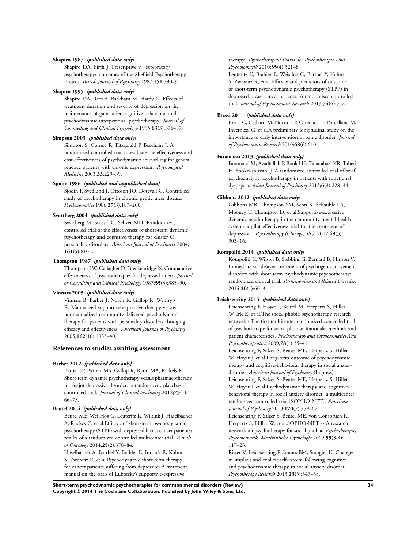## **Shapiro 1987** *{published data only}*

Shapiro DA, Firth J. Prescriptive v. exploratory psychotherapy: outcomes of the Sheffield Psychotherapy Project. *British Journal of Psychiatry* 1987;**151**:790–9.

#### **Shapiro 1995** *{published data only}*

Shapiro DA, Rees A, Barkham M, Hardy G. Effects of treatment duration and severity of depression on the maintenance of gains after cognitive-behavioral and psychodynamic-interpersonal psychotherapy. *Journal of Counselling and Clinical Psychology* 1995;**63**(3):378–87.

## **Simpson 2003** *{published data only}*

Simpson S, Corney R, Fitzgerald P, Beecham J. A randomized controlled trial to evaluate the effectiveness and cost-effectiveness of psychodynamic counselling for general practice patients with chronic depression. *Psychological Medicine* 2003;**33**:229–39.

#### **Sjodin 1986** *{published and unpublished data}*

Sjodin I, Svedlund J, Ottoson JO, Dotevall G. Controlled study of psychotherapy in chronic peptic ulcer disease. *Psychosomatics* 1986;**27**(3):187–200.

## **Svartberg 2004** *{published data only}*

Svartberg M, Stiles TC, Seltzer MH. Randomized, controlled trial of the effectiveness of short-term dynamic psychotherapy and cognitive therapy for cluster C personality disorders. *American Journal of Psychiatry* 2004; **161**(5):810–7.

## **Thompson 1987** *{published data only}*

Thompson LW, Gallagher D, Breckenridge JS. Comparative effectiveness of psychotherapies for depressed elders. *Journal of Consulting and Clinical Psychology* 1987;**55**(3):385–90.

## **Vinnars 2005** *{published data only}*

Vinnars B, Barber J, Noren K, Gallop R, Weinryb R. Manualized supportive-expressive therapy versus nonmanualized community-delivered psychodynamic therapy for patients with personality disorders: bridging efficacy and effectiveness. *American Journal of Psychiatry* 2005;**162**(10):1933–40.

#### **References to studies awaiting assessment**

#### **Barber 2012** *{published data only}*

Barber JP, Barrett MS, Gallop R, Rynn MA, Rickels K. Short-term dynamic psychotherapy versus pharmacotherapy for major depressive disorder: a randomized, placebocontrolled trial. *Journal of Clinical Psychiatry* 2012;**73**(1): 66–73.

#### **Beutel 2014** *{published data only}*

Beutel ME, Weißflog G, Leuteritz K, Wiltink J, Haselbacher A, Ruckes C, et al.Efficacy of short-term psychodynamic psychotherapy (STPP) with depressed breast cancer patients: results of a randomized controlled multicenter trial. *Annals of Oncology* 2014;**25**(2):378–84. Haselbacher A, Barthel Y, Brahler E, Imruck B, Kuhnt

S, Zwerenz R, et al.Psychodynamic short-term therapy for cancer patients suffering from depression A treatment manual on the basis of Luborsky's supportive-expressive

#### therapy. *Psychotherapeut Praxis der Psychotherapie Und Psychosomatik* 2010;**55**(4):321–8.

Leuteritz K, Brahler E, Weisflog G, Barthel Y, Kuhnt S, Zwerenz R, et al.Efficacy and predictors of outcome of short-term psychodynamic psychotherapy (STPP) in depressed breast cancer patients: A randomised controlled trial. *Journal of Psychosomatic Research* 2013;**74**(6):552.

#### **Bressi 2011** *{published data only}*

Bressi C, Ciabatti M, Nocito EP, Catenacci E, Porcellana M, Invernizzi G, et al.A preliminary longitudinal study on the importance of early intervention in panic disorder. *Journal of Psychosomatic Research* 2010;**68**(6):610.

#### **Faramarzi 2013** *{published data only}*

Faramarzi M, Azadfallah P, Book HE, Tabatabaei KR, Taheri H, Shokri-shirvani J. A randomized controlled trial of brief psychoanalytic psychotherapy in patients with functional dyspepsia. *Asian Journal of Psychiatry* 2013;**6**(3):228–34.

#### **Gibbons 2012** *{published data only}*

Gibbons MB, Thompson SM, Scott K, Schauble LA, Mooney T, Thompson D, et al.Supportive-expressive dynamic psychotherapy in the community mental health system: a pilot effectiveness trial for the treatment of depression. *Psychotherapy (Chicago, Ill.)* 2012;**49**(3): 303–16.

#### **Kompoliti 2014** *{published data only}*

Kompoliti K, Wilson B, Stebbins G, Bernard B, Hinson V. Immediate vs. delayed treatment of psychogenic movement disorders with short term psychodynamic psychotherapy: randomized clinical trial. *Parkinsonism and Related Disorders* 2014;**20**(1):60–3.

## **Leichsenring 2013** *{published data only}*

Leichsenring F, Hoyer J, Beutel M, Herpertz S, Hiller W, Irle E, et al.The social phobia psychotherapy research network - The first multicenter randomized controlled trial of psychotherapy for social phobia: Rationale, methods and patient characteristics. *Psychotherapy and Psychosomatics Acta Psychotherapeutica* 2009;**78**(1):35–41.

Leichsenring F, Salzer S, Beutel ME, Herpertz S, Hiller W, Hoyer J, et al.Long-term outcome of psychodynamic therapy and cognitive-behavioral therapy in social anxiety disorder. *American Journal of Psychiatry* (In press).

Leichsenring F, Salzer S, Beutel ME, Herpertz S, Hiller W, Hoyer J, et al.Psychodynamic therapy and cognitivebehavioral therapy in social anxiety disorder: a multicenter randomized controlled trial [SOPHO-NET]. *American Journal of Psychiatry* 2013;**170**(7):759–67.

Leichsenring F, Salzer S, Beutel ME, von Consbruch K, Herpertz S, Hiller W, et al.SOPHO-NET -- A research network on psychotherapy for social phobia. *Psychotherapie, Psychosomatik, Medizinische Psychologie* 2009;**59**(3-4): 117–23.

Ritter V, Leichsenring F, Strauss BM, Stangier U. Changes in implicit and explicit self-esteem following cognitive and psychodynamic therapy in social anxiety disorder. *Psychotherapy Research* 2013;**23**(5):547–58.

**Short-term psychodynamic psychotherapies for common mental disorders (Review) 24 Copyright © 2014 The Cochrane Collaboration. Published by John Wiley & Sons, Ltd.**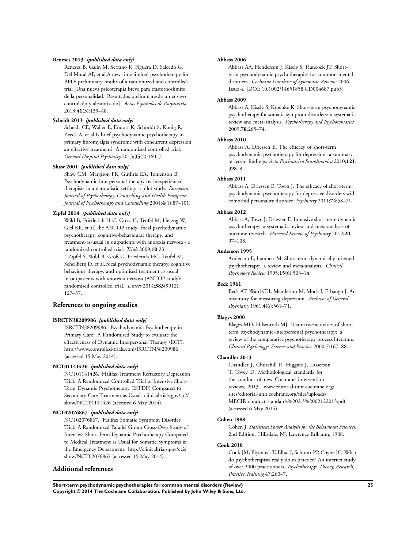## **Reneses 2013** *{published data only}*

Reneses B, Galin M, Serrano R, Figuera D, Salcedo G, Del Moral AF, et al.A new time limited psychotherapy for BPD: preliminary results of a randomized and controlled trial [Una nueva psicoterapia breve para trastornoslímite de la personalidad. Resultados preliminaresde un ensayo controlado y aleatorizado]. *Actas Españolas de Psiquiatría* 2013;**41**(3):139–48.

## **Scheidt 2013** *{published data only}*

Scheidt CE, Waller E, Endorf K, Schmidt S, Konig R, Zeeck A, et al.Is brief psychodynamic psychotherapy in primary fibromyalgia syndrome with concurrent depression an effective treatment? A randomized controlled trial. *General Hospital Psychiatry* 2013;**35**(2):160–7.

#### **Shaw 2001** *{published data only}*

Shaw CM, Margison FR, Guthrie EA, Tomenson B. Psychodynamic interpersonal therapy by inexperienced therapists in a naturalistic setting: a pilot study. *European Journal of Psychotherapy, Counselling and Health European Journal of Psychotherapy and Counselling* 2001;**4**(1):87–101.

#### **Zipfel 2014** *{published data only}*

Wild B, Friederich H-C, Gross G, Teufel M, Herzog W, Giel KE, et al.The ANTOP study: focal psychodynamic psychotherapy, cognitive-behavioural therapy, and treatment-as-usual in outpatients with anorexia nervosa - a randomized controlled trial. *Trials* 2009;**10**:23. <sup>∗</sup> Zipfel S, Wild B, Groß G, Friederich HC, Teufel M, Schellberg D, et al.Focal psychodynamic therapy, cognitive behaviour therapy, and optimised treatment as usual in outpatients with anorexia nervosa (ANTOP study): randomised controlled trial. *Lancet* 2014;**383**(9912): 127–37.

## **References to ongoing studies**

#### **ISRCTN38209986** *{published data only}*

ISRCTN38209986. Psychodynamic Psychotherapy in Primary Care: A Randomised Study to evaluate the effectiveness of Dynamic Interpersonal Therapy (DIT). http://www.controlled-trials.com/ISRCTN38209986 (accessed 15 May 2014).

#### **NCT01141426** *{published data only}*

NCT01141426. Halifax Treatment Refractory Depression Trial: A Randomized Controlled Trial of Intensive Short-Term Dynamic Psychotherapy (ISTDP) Compared to Secondary Care Treatment as Usual. clinicaltrials.gov/ct2/ show/NCT01141426 (accessed 6 May 2014).

#### **NCT02076867** *{published data only}*

NCT02076867. Halifax Somatic Symptom Disorder Trial: A Randomized Parallel Group Cross-Over Study of Intensive Short-Term Dynamic Psychotherapy Compared to Medical Treatment as Usual for Somatic Symptoms in the Emergency Department. http://clinicaltrials.gov/ct2/ show/NCT02076867 (accessed 15 May 2014).

## **Additional references**

#### **Abbass 2006**

Abbass AA, Henderson J, Kisely S, Hancock JT. Shortterm psychodynamic psychotherapies for common mental disorders. *Cochrane Database of Systematic Reviews* 2006, Issue 4. [DOI: 10.1002/14651858.CD004687.pub3]

#### **Abbass 2009**

Abbass A, Kisely S, Kroenke K. Short-term psychodynamic psychotherapy for somatic symptom disorders: a systematic review and meta-analysis. *Psychotherapy and Psychosomatics* 2009;**78**:265–74.

## **Abbass 2010**

Abbass A, Driessen E. The efficacy of short-term psychodynamic psychotherapy for depression: a summary of recent findings. *Acta Psychiatrica Scandinavica* 2010;**121**: 398–9.

#### **Abbass 2011**

Abbass A, Driessen E, Town J. The efficacy of short-term psychodynamic psychotherapy for depressive disorders with comorbid personality disorder. *Psychiatry* 2011;**74**:58–71.

#### **Abbass 2012**

Abbass A, Town J, Driessen E. Intensive short-term dynamic psychotherapy: a systematic review and meta-analysis of outcome research. *Harvard Review of Psychiatry* 2012;**20**: 97–108.

## **Anderson 1995**

Anderson E, Lambert M. Short-term dynamically oriented psychotherapy: a review and meta-analysis. *Clinical Psychology Review* 1995;**15**(6):503–14.

#### **Beck 1961**

Beck AT, Ward CH, Mendelson M, Mock J, Erbaugh J. An inventory for measuring depression. *Archives of General Psychiatry* 1961;**4**(6):561–71.

## **Blagys 2000**

Blagys MD, Hilsenroth MJ. Distinctive activities of shortterm psychodynamic-interpersonal psychotherapy: a review of the comparative psychotherapy process literature. *Clinical Psychology: Science and Practice* 2000;**7**:167–88.

#### **Chandler 2013**

Chandler J, Churchill R, Higgins J, Lasserson T, Tovey D. Methodological standards for the conduct of new Cochrane intervention reviews, 2013. www.editorial-unit.cochrane.org/ sites/editorial-unit.cochrane.org/files/uploads/ MECIR˙conduct˙standards%202.3%2002122013.pdf (accessed 6 May 2014).

#### **Cohen 1988**

Cohen J. *Statistical Power Analysis for the Behavioral Sciences*. 2nd Edition. Hillsdale, NJ: Lawrence Erlbaum, 1988.

## **Cook 2010**

Cook JM, Biyanova T, Elhai J, Schnurr PP, Coyne JC. What do psychotherapists really do in practice? An internet study of over 2000 practitioners. *Psychotherapy: Theory, Research, Practice,Training* 47:260–7.

**Short-term psychodynamic psychotherapies for common mental disorders (Review) 25 Copyright © 2014 The Cochrane Collaboration. Published by John Wiley & Sons, Ltd.**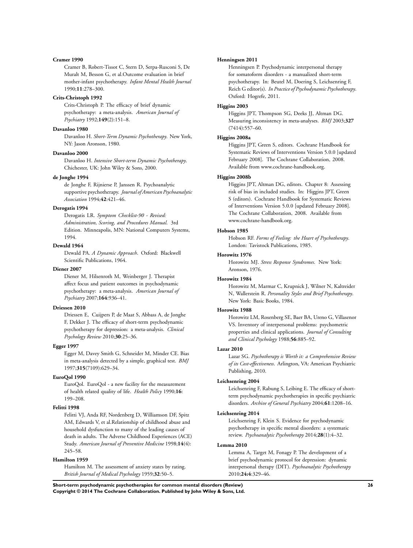#### **Cramer 1990**

Cramer B, Robert-Tissot C, Stern D, Serpa-Rusconi S, De Muralt M, Besson G, et al.Outcome evaluation in brief mother-infant psychotherapy. *Infant Mental Health Journal* 1990;**11**:278–300.

#### **Crits-Christoph 1992**

Crits-Christoph P. The efficacy of brief dynamic psychotherapy: a meta-analysis. *American Journal of Psychiatry* 1992;**149**(2):151–8.

## **Davanloo 1980**

Davanloo H. *Short-Term Dynamic Psychotherapy*. New York, NY: Jason Aronson, 1980.

#### **Davanloo 2000**

Davanloo H. *Intensive Short-term Dynamic Psychotherapy*. Chichester, UK: John Wiley & Sons, 2000.

#### **de Jonghe 1994**

de Jonghe F, Rijnierse P, Janssen R. Psychoanalytic supportive psychotherapy. *Journal of American Psychoanalytic Association* 1994;**42**:421–46.

#### **Derogatis 1994**

Derogatis LR. *Symptom Checklist-90 - Revised: Administration, Scoring, and Procedures Manual*. 3rd Edition. Minneapolis, MN: National Computers Systems, 1994.

#### **Dewald 1964**

Dewald PA. *A Dynamic Approach*. Oxford: Blackwell Scientific Publications, 1964.

#### **Diener 2007**

Diener M, Hilsenroth M, Weinberger J. Therapist affect focus and patient outcomes in psychodynamic psychotherapy: a meta-analysis. *American Journal of Psychiatry* 2007;**164**:936–41.

### **Driessen 2010**

Driessen E, Cuijpers P, de Maat S, Abbass A, de Jonghe F, Dekker J. The efficacy of short-term psychodynamic psychotherapy for depression: a meta-analysis. *Clinical Psychology Review* 2010;**30**:25–36.

## **Egger 1997**

Egger M, Davey Smith G, Schneider M, Minder CE. Bias in meta-analysis detected by a simple, graphical test. *BMJ* 1997;**315**(7109):629–34.

#### **EuroQol 1990**

EuroQol. EuroQol - a new facility for the measurement of health related quality of life. *Health Policy* 1990;**16**: 199–208.

#### **Felitti 1998**

Felitti VJ, Anda RF, Nordenberg D, Williamson DF, Spitz AM, Edwards V, et al.Relationship of childhood abuse and household dysfunction to many of the leading causes of death in adults. The Adverse Childhood Experiences (ACE) Study. *American Journal of Preventive Medicine* 1998;**14**(4): 245–58.

## **Hamilton 1959**

Hamilton M. The assessment of anxiety states by rating. *British Journal of Medical Psychology* 1959;**32**:50–5.

#### **Henningsen 2011**

Henningsen P. Psychodynamic interpersonal therapy for somatoform disorders - a manualized short-term psychotherapy. In: Beutel M, Doering S, Leichsenring F, Reich G editor(s). *In Practice of Psychodynamic Psychotherapy*. Oxford: Hogrefe, 2011.

#### **Higgins 2003**

Higgins JPT, Thompson SG, Deeks JJ, Altman DG. Measuring inconsistency in meta-analyses. *BMJ* 2003;**327** (7414):557–60.

## **Higgins 2008a**

Higgins JPT, Green S, editors. Cochrane Handbook for Systematic Reviews of Interventions Version 5.0.0 [updated February 2008]. The Cochrane Collaboration, 2008. Available from www.cochrane-handbook.org.

#### **Higgins 2008b**

Higgins JPT, Altman DG, editors. Chapter 8: Assessing risk of bias in included studies. In: Higgins JPT, Green S (editors). Cochrane Handbook for Systematic Reviews of Interventions Version 5.0.0 [updated February 2008]. The Cochrane Collaboration, 2008. Available from www.cochrane-handbook.org.

#### **Hobson 1985**

Hobson RF. *Forms of Feeling: the Heart of Psychotherapy*. London: Tavistock Publications, 1985.

#### **Horowitz 1976**

Horowitz MJ. *Stress Response Syndromes*. New York: Aronson, 1976.

#### **Horowitz 1984**

Horowitz M, Marmar C, Krupnick J, Wilner N, Kaltreider N, Wallerstein R. *Personality Styles and Brief Psychotherapy*. New York: Basic Books, 1984.

#### **Horowitz 1988**

Horowitz LM, Rosenberg SE, Baer BA, Ureno G, Villasenor VS. Inventory of interpersonal problems: psychometric properties and clinical applications. *Journal of Consulting and Clinical Psychology* 1988;**56**:885–92.

#### **Lazar 2010**

Lazar SG. *Psychotherapy is Worth it: a Comprehensive Review of its Cost-effectiveness*. Arlington, VA: American Psychiatric Publishing, 2010.

#### **Leichsenring 2004**

Leichsenring F, Rabung S, Leibing E. The efficacy of shortterm psychodynamic psychotherapies in specific psychiatric disorders. *Archive of General Psychiatry* 2004;**61**:1208–16.

#### **Leichsenring 2014**

Leichsenring F, Klein S. Evidence for psychodynamic psychotherapy in specific mental disorders: a systematic review. *Psychoanalytic Psychotherapy* 2014;**28**(1):4–32.

## **Lemma 2010**

Lemma A, Target M, Fonagy P. The development of a brief psychodynamic protocol for depression: dynamic interpersonal therapy (DIT). *Psychoanalytic Psychotherapy* 2010;**24:4**:329–46.

**Short-term psychodynamic psychotherapies for common mental disorders (Review) 26 Copyright © 2014 The Cochrane Collaboration. Published by John Wiley & Sons, Ltd.**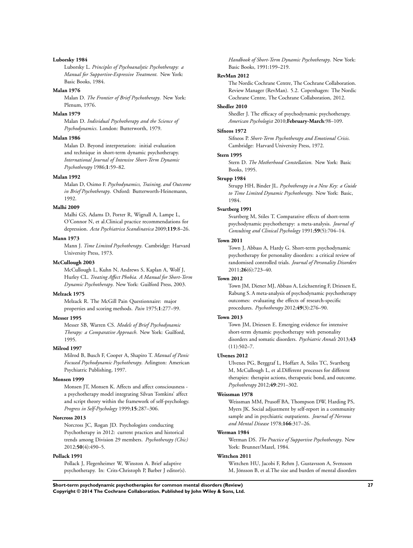#### **Luborsky 1984**

Luborsky L. *Principles of Psychoanalytic Psychotherapy: a Manual for Supportive-Expressive Treatment*. New York: Basic Books, 1984.

#### **Malan 1976**

Malan D. *The Frontier of Brief Psychotherapy*. New York: Plenum, 1976.

## **Malan 1979**

Malan D. *Individual Psychotherapy and the Science of Psychodynamics*. London: Butterworth, 1979.

#### **Malan 1986**

Malan D. Beyond interpretation: initial evaluation and technique in short-term dynamic psychotherapy. *International Journal of Intensive Short-Term Dynamic Psychotherapy* 1986;**1**:59–82.

#### **Malan 1992**

Malan D, Osimo F. *Psychodynamics, Training, and Outcome in Brief Psychotherapy*. Oxford: Butterworth-Heinemann, 1992.

## **Malhi 2009**

Malhi GS, Adams D, Porter R, Wignall A, Lampe L, O'Connor N, et al.Clinical practice recommendations for depression. *Acta Psychiatrica Scandinavica* 2009;**119**:8–26.

## **Mann 1973**

Mann J. *Time Limited Psychotherapy*. Cambridge: Harvard University Press, 1973.

#### **McCullough 2003**

McCullough L, Kuhn N, Andrews S, Kaplan A, Wolf J, Hurley CL. *Treating Affect Phobia. A Manual for Short-Term Dynamic Psychotherapy*. New York: Guilford Press, 2003.

## **Melzack 1975**

Melzack R. The McGill Pain Questionnaire: major properties and scoring methods. *Pain* 1975;**1**:277–99.

#### **Messer 1995**

Messer SB, Warren CS. *Models of Brief Psychodynamic Therapy: a Comparative Approach*. New York: Guilford, 1995.

#### **Milrod 1997**

Milrod B, Busch F, Cooper A, Shapiro T. *Manual of Panic Focused Psychodynamic Psychotherapy*. Arlington: American Psychiatric Publishing, 1997.

#### **Monsen 1999**

Monsen JT, Monsen K. Affects and affect consciousness a psychotherapy model integrating Silvan Tomkins' affect and script theory within the framework of self-psychology. *Progress in Self-Psychology* 1999;**15**:287–306.

## **Norcross 2013**

Norcross JC, Rogan JD. Psychologists conducting Psychotherapy in 2012: current practices and historical trends among Division 29 members. *Psychotherapy (Chic)* 2012;**50**(4):490–5.

#### **Pollack 1991**

Pollack J, Flegenheimer W, Winston A. Brief adaptive psychotherapy. In: Crits-Christoph P, Barber J editor(s). *Handbook of Short-Term Dynamic Psychotherapy*. New York: Basic Books, 1991:199–219.

## **RevMan 2012**

The Nordic Cochrane Centre, The Cochrane Collaboration. Review Manager (RevMan). 5.2. Copenhagen: The Nordic Cochrane Centre, The Cochrane Collaboration, 2012.

#### **Shedler 2010**

Shedler J. The efficacy of psychodynamic psychotherapy. *American Psychologist* 2010;**February-March**:98–109.

#### **Sifneos 1972**

Sifneos P. *Short-Term Psychotherapy and Emotional Crisis*. Cambridge: Harvard University Press, 1972.

## **Stern 1995**

Stern D. *The Motherhood Constellation*. New York: Basic Books, 1995.

#### **Strupp 1984**

Strupp HH, Binder JL. *Psychotherapy in a New Key: a Guide to Time Limited Dynamic Psychotherapy*. New York: Basic, 1984.

## **Svartberg 1991**

Svartberg M, Stiles T. Comparative effects of short-term psychodynamic psychotherapy: a meta-analysis. *Journal of Consulting and Clinical Psychology* 1991;**59**(5):704–14.

#### **Town 2011**

Town J, Abbass A, Hardy G. Short-term psychodynamic psychotherapy for personality disorders: a critical review of randomised controlled trials. *Journal of Personality Disorders* 2011;**26**(6):723–40.

#### **Town 2012**

Town JM, Diener MJ, Abbass A, Leichsenring F, Driessen E, Rabung S. A meta-analysis of psychodynamic psychotherapy outcomes: evaluating the effects of research-specific procedures. *Psychotherapy* 2012;**49**(3):276–90.

#### **Town 2013**

Town JM, Driessen E. Emerging evidence for intensive short-term dynamic psychotherapy with personality disorders and somatic disorders. *Psychiatric Annals* 2013;**43**  $(11):502-7.$ 

#### **Ulvenes 2012**

Ulvenes PG, Berggraf L, Hoffart A, Stiles TC, Svartberg M, McCullough L, et al.Different processes for different therapies: therapist actions, therapeutic bond, and outcome. *Psychotherapy* 2012;**49**:291–302.

#### **Weissman 1978**

Weissman MM, Prusoff BA, Thompson DW, Harding PS, Myers JK. Social adjustment by self-report in a community sample and in psychiatric outpatients. *Journal of Nervous and Mental Disease* 1978;**166**:317–26.

## **Werman 1984**

Werman DS. *The Practice of Supportive Psychotherapy*. New York: Brunner/Mazel, 1984.

#### **Wittchen 2011**

Wittchen HU, Jacobi F, Rehm J, Gustavsson A, Svensson M, Jönsson B, et al.The size and burden of mental disorders

**Short-term psychodynamic psychotherapies for common mental disorders (Review) 27 Copyright © 2014 The Cochrane Collaboration. Published by John Wiley & Sons, Ltd.**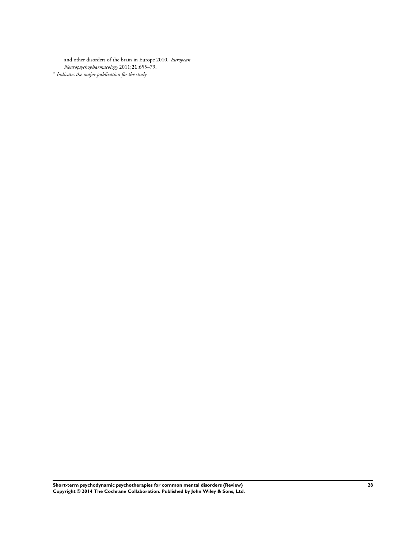and other disorders of the brain in Europe 2010. *European Neuropsychopharmacology* 2011;**21**:655–79. ∗ *Indicates the major publication for the study*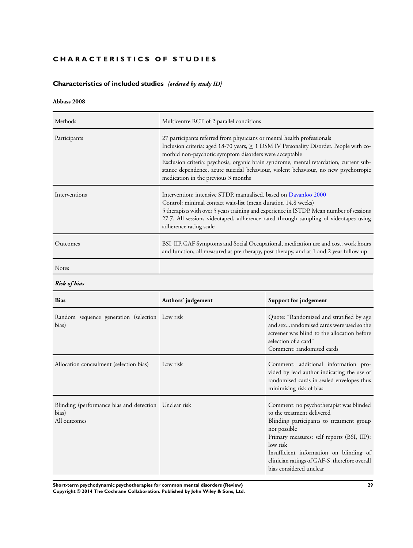# <span id="page-30-0"></span>**CHARACTERISTICS OF STUDIES**

# **Characteristics of included studies** *[ordered by study ID]*

# **Abbass 2008**

| Methods         | Multicentre RCT of 2 parallel conditions                                                                                                                                                                                                                                                                                                                                                                                                                  |
|-----------------|-----------------------------------------------------------------------------------------------------------------------------------------------------------------------------------------------------------------------------------------------------------------------------------------------------------------------------------------------------------------------------------------------------------------------------------------------------------|
| Participants    | 27 participants referred from physicians or mental health professionals<br>Inclusion criteria: aged 18-70 years, $\geq$ 1 DSM IV Personality Disorder. People with co-<br>morbid non-psychotic symptom disorders were acceptable<br>Exclusion criteria: psychosis, organic brain syndrome, mental retardation, current sub-<br>stance dependence, acute suicidal behaviour, violent behaviour, no new psychotropic<br>medication in the previous 3 months |
| Interventions   | Intervention: intensive STDP, manualised, based on Davanloo 2000<br>Control: minimal contact wait-list (mean duration 14.8 weeks)<br>5 therapists with over 5 years training and experience in ISTDP. Mean number of sessions<br>27.7. All sessions videotaped, adherence rated through sampling of videotapes using<br>adherence rating scale                                                                                                            |
| <b>Outcomes</b> | BSI, IIP, GAF Symptoms and Social Occupational, medication use and cost, work hours<br>and function, all measured at pre therapy, post therapy, and at 1 and 2 year follow-up                                                                                                                                                                                                                                                                             |
|                 |                                                                                                                                                                                                                                                                                                                                                                                                                                                           |

Notes

*Risk of bias*

| <b>Bias</b>                                                                    | Authors' judgement | Support for judgement                                                                                                                                                                                                                                                                                              |
|--------------------------------------------------------------------------------|--------------------|--------------------------------------------------------------------------------------------------------------------------------------------------------------------------------------------------------------------------------------------------------------------------------------------------------------------|
| Random sequence generation (selection Low risk<br>bias)                        |                    | Quote: "Randomized and stratified by age<br>and sexrandomised cards were used so the<br>screener was blind to the allocation before<br>selection of a card"<br>Comment: randomised cards                                                                                                                           |
| Allocation concealment (selection bias)                                        | Low risk           | Comment: additional information pro-<br>vided by lead author indicating the use of<br>randomised cards in sealed envelopes thus<br>minimising risk of bias                                                                                                                                                         |
| Blinding (performance bias and detection Unclear risk<br>bias)<br>All outcomes |                    | Comment: no psychotherapist was blinded<br>to the treatment delivered<br>Blinding participants to treatment group<br>not possible<br>Primary measures: self reports (BSI, IIP):<br>low risk<br>Insufficient information on blinding of<br>clinician ratings of GAF-S, therefore overall<br>bias considered unclear |

**Short-term psychodynamic psychotherapies for common mental disorders (Review) 29 Copyright © 2014 The Cochrane Collaboration. Published by John Wiley & Sons, Ltd.**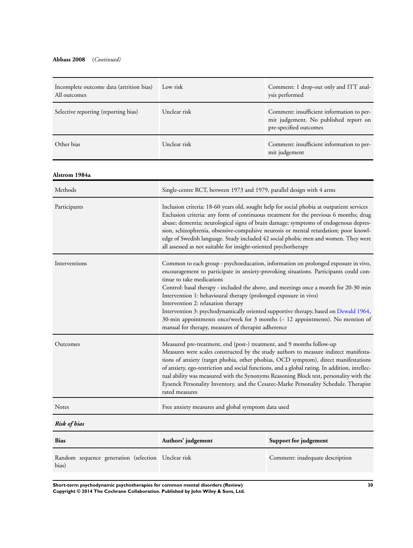# **Abbass 2008** (*Continued)*

| Incomplete outcome data (attrition bias)<br>All outcomes    | Low risk                                                                                                                                                                                                                                                                                                                                                                                                                                                                                                                                                                                                                                   | Comment: 1 drop-out only and ITT anal-<br>ysis performed                                                     |
|-------------------------------------------------------------|--------------------------------------------------------------------------------------------------------------------------------------------------------------------------------------------------------------------------------------------------------------------------------------------------------------------------------------------------------------------------------------------------------------------------------------------------------------------------------------------------------------------------------------------------------------------------------------------------------------------------------------------|--------------------------------------------------------------------------------------------------------------|
| Selective reporting (reporting bias)                        | Unclear risk                                                                                                                                                                                                                                                                                                                                                                                                                                                                                                                                                                                                                               | Comment: insufficient information to per-<br>mit judgement. No published report on<br>pre-specified outcomes |
| Other bias                                                  | Unclear risk                                                                                                                                                                                                                                                                                                                                                                                                                                                                                                                                                                                                                               | Comment: insufficient information to per-<br>mit judgement                                                   |
| Alstrom 1984a                                               |                                                                                                                                                                                                                                                                                                                                                                                                                                                                                                                                                                                                                                            |                                                                                                              |
| Methods                                                     | Single-centre RCT, between 1973 and 1979, parallel design with 4 arms                                                                                                                                                                                                                                                                                                                                                                                                                                                                                                                                                                      |                                                                                                              |
| Participants                                                | Inclusion criteria: 18-60 years old, sought help for social phobia at outpatient services<br>Exclusion criteria: any form of continuous treatment for the previous 6 months; drug<br>abuse; dementia; neurological signs of brain damage; symptoms of endogenous depres-<br>sion, schizophrenia, obsessive-compulsive neurosis or mental retardation; poor knowl-<br>edge of Swedish language. Study included 42 social phobic men and women. They were<br>all assessed as not suitable for insight-oriented psychotherapy                                                                                                                 |                                                                                                              |
| Interventions                                               | Common to each group - psychoeducation, information on prolonged exposure in vivo,<br>encouragement to participate in anxiety-provoking situations. Participants could con-<br>tinue to take medications<br>Control: basal therapy - included the above, and meetings once a month for 20-30 min<br>Intervention 1: behavioural therapy (prolonged exposure in vivo)<br>Intervention 2: relaxation therapy<br>Intervention 3: psychodynamically oriented supportive therapy, based on Dewald 1964,<br>30-min appointments once/week for 3 months (~ 12 appointments). No mention of<br>manual for therapy, measures of therapist adherence |                                                                                                              |
| Outcomes                                                    | Measured pre-treatment, end (post-) treatment, and 9 months follow-up<br>Measures were scales constructed by the study authors to measure indirect manifesta-<br>tions of anxiety (target phobia, other phobias, OCD symptom), direct manifestations<br>of anxiety, ego-restriction and social functions, and a global rating. In addition, intellec-<br>tual ability was measured with the Synonyms Reasoning Block test, personality with the<br>Eysenck Personality Inventory, and the Cesarec-Marke Personality Schedule. Therapist<br>rated measures                                                                                  |                                                                                                              |
| Notes                                                       | Free anxiety measures and global symptom data used                                                                                                                                                                                                                                                                                                                                                                                                                                                                                                                                                                                         |                                                                                                              |
| <b>Risk of bias</b>                                         |                                                                                                                                                                                                                                                                                                                                                                                                                                                                                                                                                                                                                                            |                                                                                                              |
| <b>Bias</b>                                                 | Authors' judgement                                                                                                                                                                                                                                                                                                                                                                                                                                                                                                                                                                                                                         | Support for judgement                                                                                        |
| Random sequence generation (selection Unclear risk<br>bias) |                                                                                                                                                                                                                                                                                                                                                                                                                                                                                                                                                                                                                                            | Comment: inadequate description                                                                              |

**Short-term psychodynamic psychotherapies for common mental disorders (Review) 30 Copyright © 2014 The Cochrane Collaboration. Published by John Wiley & Sons, Ltd.**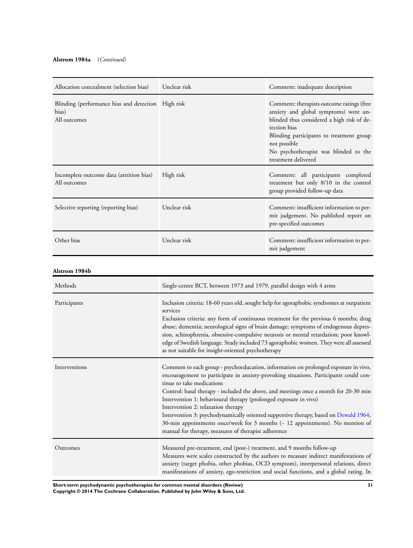| Allocation concealment (selection bias)                                     | Unclear risk | Comment: inadequate description                                                                                                                                                                                                                                              |
|-----------------------------------------------------------------------------|--------------|------------------------------------------------------------------------------------------------------------------------------------------------------------------------------------------------------------------------------------------------------------------------------|
| Blinding (performance bias and detection High risk<br>bias)<br>All outcomes |              | Comment: therapists outcome ratings (free<br>anxiety and global symptoms) were un-<br>blinded thus considered a high risk of de-<br>tection bias<br>Blinding participants to treatment group<br>not possible<br>No psychotherapist was blinded to the<br>treatment delivered |
| Incomplete outcome data (attrition bias)<br>All outcomes                    | High risk    | Comment: all participants completed<br>treatment but only 8/10 in the control<br>group provided follow-up data                                                                                                                                                               |
| Selective reporting (reporting bias)                                        | Unclear risk | Comment: insufficient information to per-<br>mit judgement. No published report on<br>pre-specified outcomes                                                                                                                                                                 |
| Other bias                                                                  | Unclear risk | Comment: insufficient information to per-<br>mit judgement                                                                                                                                                                                                                   |

# **Alstrom 1984b**

| Methods       | Single-centre RCT, between 1973 and 1979, parallel design with 4 arms                                                                                                                                                                                                                                                                                                                                                                                                                                                                                                                                                                      |
|---------------|--------------------------------------------------------------------------------------------------------------------------------------------------------------------------------------------------------------------------------------------------------------------------------------------------------------------------------------------------------------------------------------------------------------------------------------------------------------------------------------------------------------------------------------------------------------------------------------------------------------------------------------------|
| Participants  | Inclusion criteria: 18-60 years old, sought help for agoraphobic syndromes at outpatient<br>services<br>Exclusion criteria: any form of continuous treatment for the previous 6 months; drug<br>abuse; dementia; neurological signs of brain damage; symptoms of endogenous depres-<br>sion, schizophrenia, obsessive-compulsive neurosis or mental retardation; poor knowl-<br>edge of Swedish language. Study included 73 agoraphobic women. They were all assessed<br>as not suitable for insight-oriented psychotherapy                                                                                                                |
| Interventions | Common to each group - psychoeducation, information on prolonged exposure in vivo,<br>encouragement to participate in anxiety-provoking situations. Participants could con-<br>tinue to take medications<br>Control: basal therapy - included the above, and meetings once a month for 20-30 min<br>Intervention 1: behavioural therapy (prolonged exposure in vivo)<br>Intervention 2: relaxation therapy<br>Intervention 3: psychodynamically oriented supportive therapy, based on Dewald 1964,<br>30-min appointments once/week for 3 months (- 12 appointments). No mention of<br>manual for therapy, measures of therapist adherence |
| Outcomes      | Measured pre-treatment, end (post-) treatment, and 9 months follow-up<br>Measures were scales constructed by the authors to measure indirect manifestations of<br>anxiety (target phobia, other phobias, OCD symptom), interpersonal relations, direct<br>manifestations of anxiety, ego-restriction and social functions, and a global rating. In                                                                                                                                                                                                                                                                                         |

**Short-term psychodynamic psychotherapies for common mental disorders (Review) 31 Copyright © 2014 The Cochrane Collaboration. Published by John Wiley & Sons, Ltd.**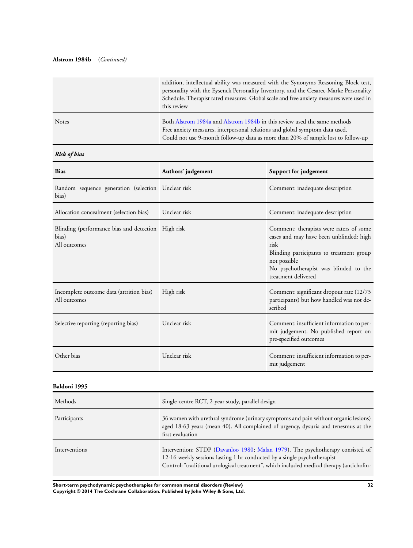# **Alstrom 1984b** (*Continued)*

|              | addition, intellectual ability was measured with the Synonyms Reasoning Block test,<br>personality with the Eysenck Personality Inventory, and the Cesarec-Marke Personality<br>Schedule. Therapist rated measures. Global scale and free anxiety measures were used in<br>this review |
|--------------|----------------------------------------------------------------------------------------------------------------------------------------------------------------------------------------------------------------------------------------------------------------------------------------|
| <b>Notes</b> | Both Alstrom 1984a and Alstrom 1984b in this review used the same methods<br>Free anxiety measures, interpersonal relations and global symptom data used.<br>Could not use 9-month follow-up data as more than 20% of sample lost to follow-up                                         |

# *Risk of bias*

| <b>Bias</b>                                                                 | Authors' judgement | Support for judgement                                                                                                                                                                                                  |
|-----------------------------------------------------------------------------|--------------------|------------------------------------------------------------------------------------------------------------------------------------------------------------------------------------------------------------------------|
| Random sequence generation (selection Unclear risk<br>bias)                 |                    | Comment: inadequate description                                                                                                                                                                                        |
| Allocation concealment (selection bias)                                     | Unclear risk       | Comment: inadequate description                                                                                                                                                                                        |
| Blinding (performance bias and detection High risk<br>bias)<br>All outcomes |                    | Comment: therapists were raters of some<br>cases and may have been unblinded: high<br>risk<br>Blinding participants to treatment group<br>not possible<br>No psychotherapist was blinded to the<br>treatment delivered |
| Incomplete outcome data (attrition bias)<br>All outcomes                    | High risk          | Comment: significant dropout rate (12/73<br>participants) but how handled was not de-<br>scribed                                                                                                                       |
| Selective reporting (reporting bias)                                        | Unclear risk       | Comment: insufficient information to per-<br>mit judgement. No published report on<br>pre-specified outcomes                                                                                                           |
| Other bias                                                                  | Unclear risk       | Comment: insufficient information to per-<br>mit judgement                                                                                                                                                             |

# **Baldoni 1995**

| Methods       | Single-centre RCT, 2-year study, parallel design                                                                                                                                                                                                       |
|---------------|--------------------------------------------------------------------------------------------------------------------------------------------------------------------------------------------------------------------------------------------------------|
| Participants  | 36 women with urethral syndrome (urinary symptoms and pain without organic lesions)<br>aged 18-63 years (mean 40). All complained of urgency, dysuria and tenesmus at the<br>first evaluation                                                          |
| Interventions | Intervention: STDP (Davanloo 1980; Malan 1979). The psychotherapy consisted of<br>12-16 weekly sessions lasting 1 hr conducted by a single psychotherapist<br>Control: "traditional urological treatment", which included medical therapy (anticholin- |

**Short-term psychodynamic psychotherapies for common mental disorders (Review) 32 Copyright © 2014 The Cochrane Collaboration. Published by John Wiley & Sons, Ltd.**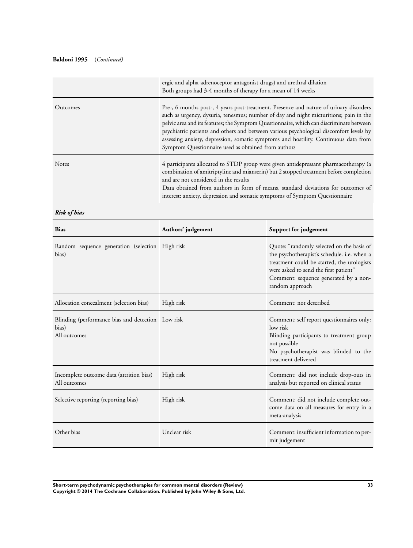# **Baldoni 1995** (*Continued)*

|              | ergic and alpha-adrenoceptor antagonist drugs) and urethral dilation<br>Both groups had 3-4 months of therapy for a mean of 14 weeks                                                                                                                                                                                                                                                                                                                                                                               |
|--------------|--------------------------------------------------------------------------------------------------------------------------------------------------------------------------------------------------------------------------------------------------------------------------------------------------------------------------------------------------------------------------------------------------------------------------------------------------------------------------------------------------------------------|
| Outcomes     | Pre-, 6 months post-, 4 years post-treatment. Presence and nature of urinary disorders<br>such as urgency, dysuria, tenesmus; number of day and night micturitions; pain in the<br>pelvic area and its features; the Symptom Questionnaire, which can discriminate between<br>psychiatric patients and others and between various psychological discomfort levels by<br>assessing anxiety, depression, somatic symptoms and hostility. Continuous data from<br>Symptom Questionnaire used as obtained from authors |
| <b>Notes</b> | 4 participants allocated to STDP group were given antidepressant pharmacotherapy (a<br>combination of amitriptyline and mianserin) but 2 stopped treatment before completion<br>and are not considered in the results<br>Data obtained from authors in form of means, standard deviations for outcomes of<br>interest: anxiety, depression and somatic symptoms of Symptom Questionnaire                                                                                                                           |

*Risk of bias*

| <b>Bias</b>                                                                | Authors' judgement | Support for judgement                                                                                                                                                                                                                       |
|----------------------------------------------------------------------------|--------------------|---------------------------------------------------------------------------------------------------------------------------------------------------------------------------------------------------------------------------------------------|
| Random sequence generation (selection High risk<br>bias)                   |                    | Quote: "randomly selected on the basis of<br>the psychotherapist's schedule. i.e. when a<br>treatment could be started, the urologists<br>were asked to send the first patient"<br>Comment: sequence generated by a non-<br>random approach |
| Allocation concealment (selection bias)                                    | High risk          | Comment: not described                                                                                                                                                                                                                      |
| Blinding (performance bias and detection Low risk<br>bias)<br>All outcomes |                    | Comment: self report questionnaires only:<br>low risk<br>Blinding participants to treatment group<br>not possible<br>No psychotherapist was blinded to the<br>treatment delivered                                                           |
| Incomplete outcome data (attrition bias)<br>All outcomes                   | High risk          | Comment: did not include drop-outs in<br>analysis but reported on clinical status                                                                                                                                                           |
| Selective reporting (reporting bias)                                       | High risk          | Comment: did not include complete out-<br>come data on all measures for entry in a<br>meta-analysis                                                                                                                                         |
| Other bias                                                                 | Unclear risk       | Comment: insufficient information to per-<br>mit judgement                                                                                                                                                                                  |

**Short-term psychodynamic psychotherapies for common mental disorders (Review) 33 Copyright © 2014 The Cochrane Collaboration. Published by John Wiley & Sons, Ltd.**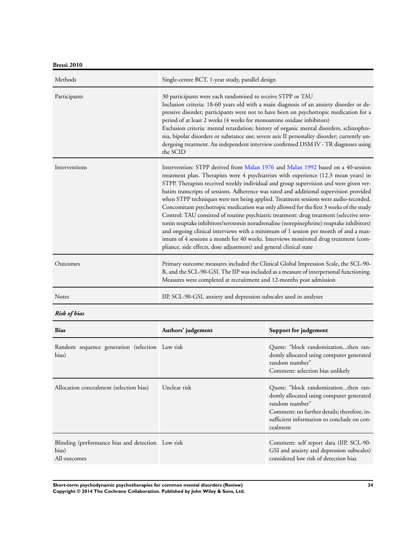**Bressi 2010**

| Methods       | Single-centre RCT, 1-year study, parallel design                                                                                                                                                                                                                                                                                                                                                                                                                                                                                                                                                                                                                                                                                                                                                                                                                                                                                                                                        |
|---------------|-----------------------------------------------------------------------------------------------------------------------------------------------------------------------------------------------------------------------------------------------------------------------------------------------------------------------------------------------------------------------------------------------------------------------------------------------------------------------------------------------------------------------------------------------------------------------------------------------------------------------------------------------------------------------------------------------------------------------------------------------------------------------------------------------------------------------------------------------------------------------------------------------------------------------------------------------------------------------------------------|
| Participants  | 30 participants were each randomised to receive STPP or TAU<br>Inclusion criteria: 18-60 years old with a main diagnosis of an anxiety disorder or de-<br>pressive disorder; participants were not to have been on psychotropic medication for a<br>period of at least 2 weeks (4 weeks for monoamine oxidase inhibitors)<br>Exclusion criteria: mental retardation; history of organic mental disorders, schizophre-<br>nia, bipolar disorders or substance use; severe axis II personality disorder; currently un-<br>dergoing treatment. An independent interview confirmed DSM IV - TR diagnoses using<br>the SCID                                                                                                                                                                                                                                                                                                                                                                  |
| Interventions | Intervention: STPP derived from Malan 1976 and Malan 1992 based on a 40-session<br>treatment plan. Therapists were 4 psychiatrists with experience (12.3 mean years) in<br>STPP. Therapists received weekly individual and group supervision and were given ver-<br>batim transcripts of sessions. Adherence was rated and additional supervision provided<br>when STPP techniques were not being applied. Treatment sessions were audio-recorded.<br>Concomitant psychotropic medication was only allowed for the first 3 weeks of the study<br>Control: TAU consisted of routine psychiatric treatment: drug treatment (selective sero-<br>tonin reuptake inhibitors/serotonin noradrenaline (norepinephrine) reuptake inhibitors)<br>and ongoing clinical interviews with a minimum of 1 session per month of and a max-<br>imum of 4 sessions a month for 40 weeks. Interviews monitored drug treatment (com-<br>pliance, side effects, dose adjustment) and general clinical state |
| Outcomes      | Primary outcome measures included the Clinical Global Impression Scale, the SCL-90-<br>R, and the SCL-90-GSI. The IIP was included as a measure of interpersonal functioning.<br>Measures were completed at recruitment and 12-months post admission                                                                                                                                                                                                                                                                                                                                                                                                                                                                                                                                                                                                                                                                                                                                    |
| Notes         | IIP, SCL-90-GSI, anxiety and depression subscales used in analyses                                                                                                                                                                                                                                                                                                                                                                                                                                                                                                                                                                                                                                                                                                                                                                                                                                                                                                                      |

*Risk of bias*

| <b>Bias</b>                                                                | Authors' judgement | Support for judgement                                                                                                                                                                                       |
|----------------------------------------------------------------------------|--------------------|-------------------------------------------------------------------------------------------------------------------------------------------------------------------------------------------------------------|
| Random sequence generation (selection Low risk<br>bias)                    |                    | Quote: "block randomizationthen ran-<br>domly allocated using computer generated<br>random number"<br>Comment: selection bias unlikely                                                                      |
| Allocation concealment (selection bias)                                    | Unclear risk       | Quote: "block randomizationthen ran-<br>domly allocated using computer generated<br>random number"<br>Comment: no further details; therefore, in-<br>sufficient information to conclude on con-<br>cealment |
| Blinding (performance bias and detection Low risk<br>bias)<br>All outcomes |                    | Comment: self report data (IIP, SCL-90-<br>GSI and anxiety and depression subscales)<br>considered low risk of detection bias                                                                               |

**Short-term psychodynamic psychotherapies for common mental disorders (Review) 34 Copyright © 2014 The Cochrane Collaboration. Published by John Wiley & Sons, Ltd.**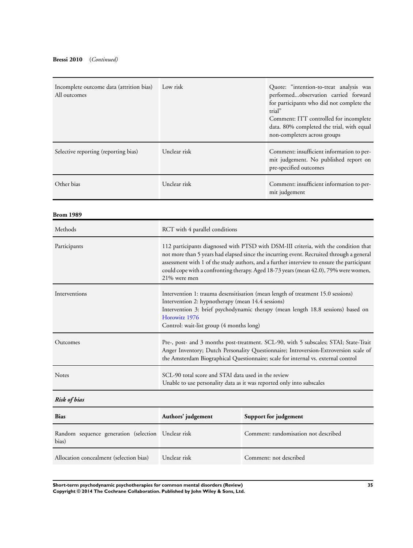| Incomplete outcome data (attrition bias)<br>All outcomes | Low risk     | Quote: "intention-to-treat analysis was<br>performedobservation carried forward<br>for participants who did not complete the<br>trial"<br>Comment: ITT controlled for incomplete<br>data. 80% completed the trial, with equal<br>non-completers across groups |
|----------------------------------------------------------|--------------|---------------------------------------------------------------------------------------------------------------------------------------------------------------------------------------------------------------------------------------------------------------|
| Selective reporting (reporting bias)                     | Unclear risk | Comment: insufficient information to per-<br>mit judgement. No published report on<br>pre-specified outcomes                                                                                                                                                  |
| Other bias                                               | Unclear risk | Comment: insufficient information to per-<br>mit judgement                                                                                                                                                                                                    |

**Brom 1989**

| Methods             | RCT with 4 parallel conditions                                                                                                                                                                                                                                                                                                                                                       |
|---------------------|--------------------------------------------------------------------------------------------------------------------------------------------------------------------------------------------------------------------------------------------------------------------------------------------------------------------------------------------------------------------------------------|
| Participants        | 112 participants diagnosed with PTSD with DSM-III criteria, with the condition that<br>not more than 5 years had elapsed since the incurring event. Recruited through a general<br>assessment with 1 of the study authors, and a further interview to ensure the participant<br>could cope with a confronting therapy. Aged 18-73 years (mean 42.0), 79% were women,<br>21% were men |
| Interventions       | Intervention 1: trauma desensitisation (mean length of treatment 15.0 sessions)<br>Intervention 2: hypnotherapy (mean 14.4 sessions)<br>Intervention 3: brief psychodynamic therapy (mean length 18.8 sessions) based on<br>Horowitz 1976<br>Control: wait-list group (4 months long)                                                                                                |
| Outcomes            | Pre-, post- and 3 months post-treatment. SCL-90, with 5 subscales; STAI; State-Trait<br>Anger Inventory; Dutch Personality Questionnaire; Introversion-Extroversion scale of<br>the Amsterdam Biographical Questionnaire; scale for internal vs. external control                                                                                                                    |
| <b>Notes</b>        | SCL-90 total score and STAI data used in the review<br>Unable to use personality data as it was reported only into subscales                                                                                                                                                                                                                                                         |
| <b>Risk of bias</b> |                                                                                                                                                                                                                                                                                                                                                                                      |
|                     |                                                                                                                                                                                                                                                                                                                                                                                      |

| <b>Bias</b>                                                 | Authors' judgement | Support for judgement                |
|-------------------------------------------------------------|--------------------|--------------------------------------|
| Random sequence generation (selection Unclear risk<br>bias) |                    | Comment: randomisation not described |
| Allocation concealment (selection bias)                     | Unclear risk       | Comment: not described               |

**Short-term psychodynamic psychotherapies for common mental disorders (Review) 35 Copyright © 2014 The Cochrane Collaboration. Published by John Wiley & Sons, Ltd.**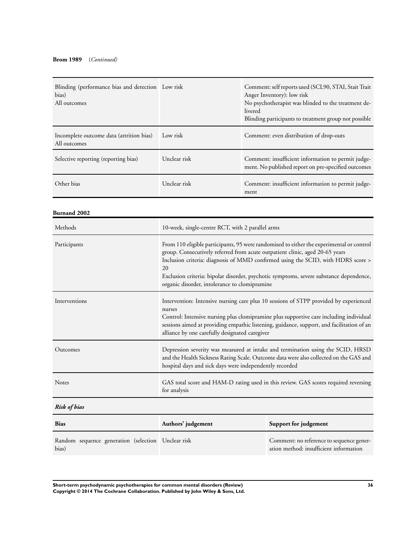| Blinding (performance bias and detection Low risk<br>bias)<br>All outcomes |              | Comment: self reports used (SCL90, STAI, Stait Trait<br>Anger Inventory): low risk<br>No psychotherapist was blinded to the treatment de-<br>livered<br>Blinding participants to treatment group not possible |
|----------------------------------------------------------------------------|--------------|---------------------------------------------------------------------------------------------------------------------------------------------------------------------------------------------------------------|
| Incomplete outcome data (attrition bias)<br>All outcomes                   | Low risk     | Comment: even distribution of drop-outs                                                                                                                                                                       |
| Selective reporting (reporting bias)                                       | Unclear risk | Comment: insufficient information to permit judge-<br>ment. No published report on pre-specified outcomes                                                                                                     |
| Other bias                                                                 | Unclear risk | Comment: insufficient information to permit judge-<br>ment                                                                                                                                                    |

**Burnand 2002**

| Methods             | 10-week, single-centre RCT, with 2 parallel arms                                                                                                                                                                                                                                                                                                                                                              |                       |
|---------------------|---------------------------------------------------------------------------------------------------------------------------------------------------------------------------------------------------------------------------------------------------------------------------------------------------------------------------------------------------------------------------------------------------------------|-----------------------|
| Participants        | From 110 eligible participants, 95 were randomised to either the experimental or control<br>group. Consecutively referred from acute outpatient clinic, aged 20-65 years<br>Inclusion criteria: diagnosis of MMD confirmed using the SCID, with HDRS score ><br>20<br>Exclusion criteria: bipolar disorder, psychotic symptoms, severe substance dependence,<br>organic disorder, intolerance to clomipramine |                       |
| Interventions       | Intervention: Intensive nursing care plus 10 sessions of STPP provided by experienced<br>nurses<br>Control: Intensive nursing plus clomipramine plus supportive care including individual<br>sessions aimed at providing empathic listening, guidance, support, and facilitation of an<br>alliance by one carefully designated caregiver                                                                      |                       |
| Outcomes            | Depression severity was measured at intake and termination using the SCID, HRSD<br>and the Health Sickness Rating Scale. Outcome data were also collected on the GAS and<br>hospital days and sick days were independently recorded                                                                                                                                                                           |                       |
| <b>Notes</b>        | GAS total score and HAM-D rating used in this review. GAS scores required reversing<br>for analysis                                                                                                                                                                                                                                                                                                           |                       |
| <b>Risk of bias</b> |                                                                                                                                                                                                                                                                                                                                                                                                               |                       |
| <b>Bias</b>         | Authors' judgement                                                                                                                                                                                                                                                                                                                                                                                            | Support for judgement |
|                     |                                                                                                                                                                                                                                                                                                                                                                                                               |                       |

| Random sequence generation (selection Unclear risk<br>bias) | Comment: no reference to sequence gener-<br>ation method: insufficient information |
|-------------------------------------------------------------|------------------------------------------------------------------------------------|
|                                                             |                                                                                    |

**Short-term psychodynamic psychotherapies for common mental disorders (Review) 36 Copyright © 2014 The Cochrane Collaboration. Published by John Wiley & Sons, Ltd.**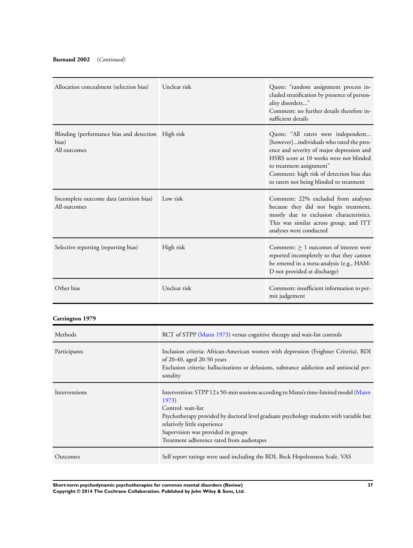### **Burnand 2002** (*Continued)*

| Allocation concealment (selection bias)                                     | Unclear risk | Quote: "random assignment process in-<br>cluded stratification by presence of person-<br>ality disorders"<br>Comment: no further details therefore in-<br>sufficient details                                                                                                                |
|-----------------------------------------------------------------------------|--------------|---------------------------------------------------------------------------------------------------------------------------------------------------------------------------------------------------------------------------------------------------------------------------------------------|
| Blinding (performance bias and detection High risk<br>bias)<br>All outcomes |              | Quote: "All raters were independent<br>[however]individuals who rated the pres-<br>ence and severity of major depression and<br>HSRS score at 10 weeks were not blinded<br>to treatment assignment"<br>Comment: high risk of detection bias due<br>to raters not being blinded to treatment |
| Incomplete outcome data (attrition bias)<br>All outcomes                    | Low risk     | Comment: 22% excluded from analyses<br>because they did not begin treatment,<br>mostly due to exclusion characteristics.<br>This was similar across group, and ITT<br>analyses were conducted                                                                                               |
| Selective reporting (reporting bias)                                        | High risk    | Comment: $> 1$ outcomes of interest were<br>reported incompletely so that they cannot<br>be entered in a meta-analysis (e.g., HAM-<br>D not provided at discharge)                                                                                                                          |
| Other bias                                                                  | Unclear risk | Comment: insufficient information to per-<br>mit judgement                                                                                                                                                                                                                                  |

# **Carrington 1979**

| Methods       | RCT of STPP (Mann 1973) versus cognitive therapy and wait-list controls                                                                                                                                                                                                                                                           |
|---------------|-----------------------------------------------------------------------------------------------------------------------------------------------------------------------------------------------------------------------------------------------------------------------------------------------------------------------------------|
| Participants  | Inclusion criteria: African-American women with depression (Feighner Criteria), BDI<br>of 20-40, aged 20-50 years<br>Exclusion criteria: hallucinations or delusions, substance addiction and antisocial per-<br>sonality                                                                                                         |
| Interventions | Intervention: STPP 12 x 50-min sessions according to Mann's time-limited model (Mann<br>1973)<br>Control: wait-list<br>Psychotherapy provided by doctoral level graduate psychology students with variable but<br>relatively little experience<br>Supervision was provided in groups<br>Treatment adherence rated from audiotapes |
| Outcomes      | Self report ratings were used including the BDI, Beck Hopelessness Scale. VAS                                                                                                                                                                                                                                                     |

**Short-term psychodynamic psychotherapies for common mental disorders (Review) 37 Copyright © 2014 The Cochrane Collaboration. Published by John Wiley & Sons, Ltd.**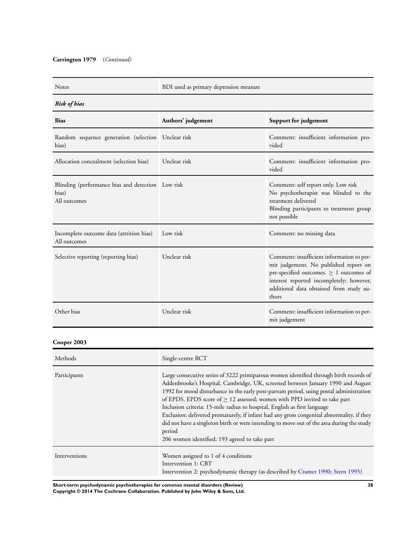### **Carrington 1979** (*Continued)*

Notes BDI used as primary depression measure

## *Risk of bias*

| <b>Bias</b>                                                                | Authors' judgement | Support for judgement                                                                                                                                                                                                              |
|----------------------------------------------------------------------------|--------------------|------------------------------------------------------------------------------------------------------------------------------------------------------------------------------------------------------------------------------------|
| Random sequence generation (selection Unclear risk<br>bias)                |                    | Comment: insufficient information pro-<br>vided                                                                                                                                                                                    |
| Allocation concealment (selection bias)                                    | Unclear risk       | Comment: insufficient information pro-<br>vided                                                                                                                                                                                    |
| Blinding (performance bias and detection Low risk<br>bias)<br>All outcomes |                    | Comment: self report only. Low risk<br>No psychotherapist was blinded to the<br>treatment delivered<br>Blinding participants to treatment group<br>not possible                                                                    |
| Incomplete outcome data (attrition bias)<br>All outcomes                   | Low risk           | Comment: no missing data                                                                                                                                                                                                           |
| Selective reporting (reporting bias)                                       | Unclear risk       | Comment: insufficient information to per-<br>mit judgement. No published report on<br>pre-specified outcomes. $\geq 1$ outcomes of<br>interest reported incompletely; however,<br>additional data obtained from study au-<br>thors |
| Other bias                                                                 | Unclear risk       | Comment: insufficient information to per-<br>mit judgement                                                                                                                                                                         |

### **Cooper 2003**

| Methods       | Single-centre RCT                                                                                                                                                                                                                                                                                                                                                                                                                                                                                                                                                                                                                                                                    |
|---------------|--------------------------------------------------------------------------------------------------------------------------------------------------------------------------------------------------------------------------------------------------------------------------------------------------------------------------------------------------------------------------------------------------------------------------------------------------------------------------------------------------------------------------------------------------------------------------------------------------------------------------------------------------------------------------------------|
| Participants  | Large consecutive series of 3222 primiparous women identified through birth records of<br>Addenbrooke's Hospital, Cambridge, UK, screened between January 1990 and August<br>1992 for mood disturbance in the early post-partum period, using postal administration<br>of EPDS. EPDS score of $> 12$ assessed; women with PPD invited to take part<br>Inclusion criteria: 15-mile radius to hospital, English as first language<br>Exclusion: delivered prematurely, if infant had any gross congenital abnormality, if they<br>did not have a singleton birth or were intending to move out of the area during the study<br>period<br>206 women identified; 193 agreed to take part |
| Interventions | Women assigned to 1 of 4 conditions<br>Intervention 1: CBT<br>Intervention 2: psychodynamic therapy (as described by Cramer 1990; Stern 1995)                                                                                                                                                                                                                                                                                                                                                                                                                                                                                                                                        |

**Short-term psychodynamic psychotherapies for common mental disorders (Review) 38 Copyright © 2014 The Cochrane Collaboration. Published by John Wiley & Sons, Ltd.**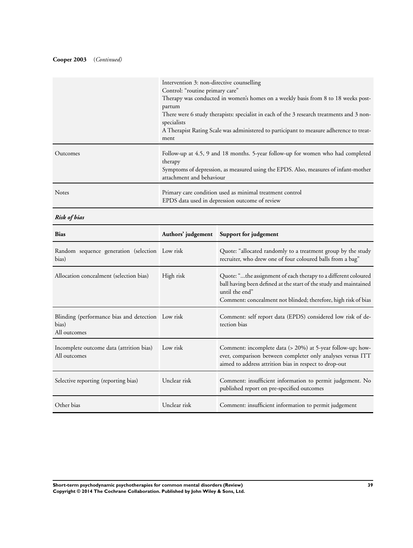### **Cooper 2003** (*Continued)*

|              | Intervention 3: non-directive counselling<br>Control: "routine primary care"<br>Therapy was conducted in women's homes on a weekly basis from 8 to 18 weeks post-<br>partum<br>There were 6 study therapists: specialist in each of the 3 research treatments and 3 non-<br>specialists<br>A Therapist Rating Scale was administered to participant to measure adherence to treat-<br>ment |
|--------------|--------------------------------------------------------------------------------------------------------------------------------------------------------------------------------------------------------------------------------------------------------------------------------------------------------------------------------------------------------------------------------------------|
| Outcomes     | Follow-up at 4.5, 9 and 18 months. 5-year follow-up for women who had completed<br>therapy<br>Symptoms of depression, as measured using the EPDS. Also, measures of infant-mother<br>attachment and behaviour                                                                                                                                                                              |
| <b>Notes</b> | Primary care condition used as minimal treatment control<br>EPDS data used in depression outcome of review                                                                                                                                                                                                                                                                                 |

*Risk of bias*

| <b>Bias</b>                                                                |              | Authors' judgement Support for judgement                                                                                                                                                                                |
|----------------------------------------------------------------------------|--------------|-------------------------------------------------------------------------------------------------------------------------------------------------------------------------------------------------------------------------|
| Random sequence generation (selection Low risk<br>bias)                    |              | Quote: "allocated randomly to a treatment group by the study<br>recruiter, who drew one of four coloured balls from a bag"                                                                                              |
| Allocation concealment (selection bias)                                    | High risk    | Quote: "the assignment of each therapy to a different coloured<br>ball having been defined at the start of the study and maintained<br>until the end"<br>Comment: concealment not blinded; therefore, high risk of bias |
| Blinding (performance bias and detection Low risk<br>bias)<br>All outcomes |              | Comment: self report data (EPDS) considered low risk of de-<br>tection bias                                                                                                                                             |
| Incomplete outcome data (attrition bias)<br>All outcomes                   | Low risk     | Comment: incomplete data (> 20%) at 5-year follow-up; how-<br>ever, comparison between completer only analyses versus ITT<br>aimed to address attrition bias in respect to drop-out                                     |
| Selective reporting (reporting bias)                                       | Unclear risk | Comment: insufficient information to permit judgement. No<br>published report on pre-specified outcomes                                                                                                                 |
| Other bias                                                                 | Unclear risk | Comment: insufficient information to permit judgement                                                                                                                                                                   |

**Short-term psychodynamic psychotherapies for common mental disorders (Review) 39 Copyright © 2014 The Cochrane Collaboration. Published by John Wiley & Sons, Ltd.**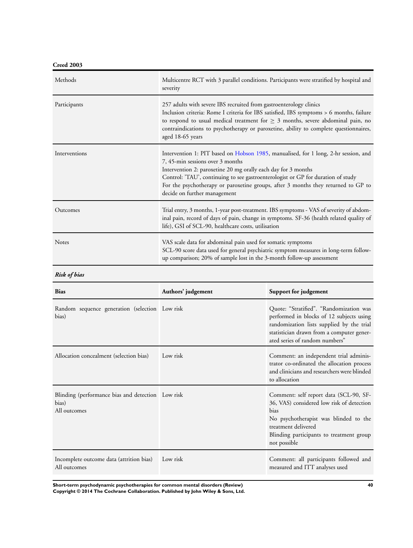**Creed 2003**

| Methods       | Multicentre RCT with 3 parallel conditions. Participants were stratified by hospital and<br>severity                                                                                                                                                                                                                                                                                              |
|---------------|---------------------------------------------------------------------------------------------------------------------------------------------------------------------------------------------------------------------------------------------------------------------------------------------------------------------------------------------------------------------------------------------------|
| Participants  | 257 adults with severe IBS recruited from gastroenterology clinics<br>Inclusion criteria: Rome I criteria for IBS satisfied, IBS symptoms > 6 months, failure<br>to respond to usual medical treatment for $\geq$ 3 months, severe abdominal pain, no<br>contraindications to psychotherapy or paroxetine, ability to complete questionnaires,<br>aged 18-65 years                                |
| Interventions | Intervention 1: PIT based on Hobson 1985, manualised, for 1 long, 2-hr session, and<br>7, 45-min sessions over 3 months<br>Intervention 2: paroxetine 20 mg orally each day for 3 months<br>Control: 'TAU', continuing to see gastroenterologist or GP for duration of study<br>For the psychotherapy or paroxetine groups, after 3 months they returned to GP to<br>decide on further management |
| Outcomes      | Trial entry, 3 months, 1-year post-treatment. IBS symptoms - VAS of severity of abdom-<br>inal pain, record of days of pain, change in symptoms. SF-36 (health related quality of<br>life), GSI of SCL-90, healthcare costs, utilisation                                                                                                                                                          |
| <b>Notes</b>  | VAS scale data for abdominal pain used for somatic symptoms<br>SCL-90 score data used for general psychiatric symptom measures in long-term follow-<br>up comparison; 20% of sample lost in the 3-month follow-up assessment                                                                                                                                                                      |

### *Risk of bias*

| <b>Bias</b>                                                                | Authors' judgement | Support for judgement                                                                                                                                                                                                          |
|----------------------------------------------------------------------------|--------------------|--------------------------------------------------------------------------------------------------------------------------------------------------------------------------------------------------------------------------------|
| Random sequence generation (selection Low risk<br>bias)                    |                    | Quote: "Stratified". "Randomization was<br>performed in blocks of 12 subjects using<br>randomization lists supplied by the trial<br>statistician drawn from a computer gener-<br>ated series of random numbers"                |
| Allocation concealment (selection bias)                                    | Low risk           | Comment: an independent trial adminis-<br>trator co-ordinated the allocation process<br>and clinicians and researchers were blinded<br>to allocation                                                                           |
| Blinding (performance bias and detection Low risk<br>bias)<br>All outcomes |                    | Comment: self report data (SCL-90, SF-<br>36, VAS) considered low risk of detection<br><b>bias</b><br>No psychotherapist was blinded to the<br>treatment delivered<br>Blinding participants to treatment group<br>not possible |
| Incomplete outcome data (attrition bias)<br>All outcomes                   | Low risk           | Comment: all participants followed and<br>measured and ITT analyses used                                                                                                                                                       |

**Short-term psychodynamic psychotherapies for common mental disorders (Review) 40 Copyright © 2014 The Cochrane Collaboration. Published by John Wiley & Sons, Ltd.**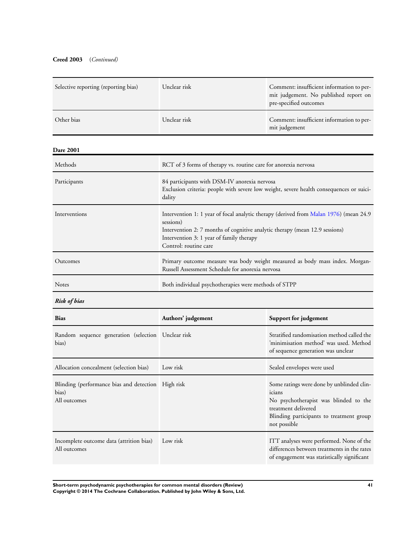### **Creed 2003** (*Continued)*

| Selective reporting (reporting bias) | Unclear risk                                                                                                                                                                                                                                           | Comment: insufficient information to per-<br>mit judgement. No published report on<br>pre-specified outcomes |
|--------------------------------------|--------------------------------------------------------------------------------------------------------------------------------------------------------------------------------------------------------------------------------------------------------|--------------------------------------------------------------------------------------------------------------|
| Other bias                           | Unclear risk                                                                                                                                                                                                                                           | Comment: insufficient information to per-<br>mit judgement                                                   |
| <b>Dare 2001</b>                     |                                                                                                                                                                                                                                                        |                                                                                                              |
| Methods                              | RCT of 3 forms of therapy vs. routine care for anorexia nervosa                                                                                                                                                                                        |                                                                                                              |
| Participants                         | 84 participants with DSM-IV anorexia nervosa<br>Exclusion criteria: people with severe low weight, severe health consequences or suici-<br>dality                                                                                                      |                                                                                                              |
| Interventions                        | Intervention 1: 1 year of focal analytic therapy (derived from Malan 1976) (mean 24.9<br>sessions)<br>Intervention 2: 7 months of cognitive analytic therapy (mean 12.9 sessions)<br>Intervention 3: 1 year of family therapy<br>Control: routine care |                                                                                                              |
| Outcomes                             | Primary outcome measure was body weight measured as body mass index. Morgan-<br>Russell Assessment Schedule for anorexia nervosa                                                                                                                       |                                                                                                              |
| <b>Notes</b>                         | Both individual psychotherapies were methods of STPP                                                                                                                                                                                                   |                                                                                                              |

### *Risk of bias*

| <b>Bias</b>                                                                 | Authors' judgement | Support for judgement                                                                                                                                                           |
|-----------------------------------------------------------------------------|--------------------|---------------------------------------------------------------------------------------------------------------------------------------------------------------------------------|
| Random sequence generation (selection Unclear risk<br>bias)                 |                    | Stratified randomisation method called the<br>'minimisation method' was used. Method<br>of sequence generation was unclear                                                      |
| Allocation concealment (selection bias)                                     | Low risk           | Sealed envelopes were used                                                                                                                                                      |
| Blinding (performance bias and detection High risk<br>bias)<br>All outcomes |                    | Some ratings were done by unblinded clin-<br>icians<br>No psychotherapist was blinded to the<br>treatment delivered<br>Blinding participants to treatment group<br>not possible |
| Incomplete outcome data (attrition bias)<br>All outcomes                    | Low risk           | ITT analyses were performed. None of the<br>differences between treatments in the rates<br>of engagement was statistically significant                                          |

**Short-term psychodynamic psychotherapies for common mental disorders (Review) 41 Copyright © 2014 The Cochrane Collaboration. Published by John Wiley & Sons, Ltd.**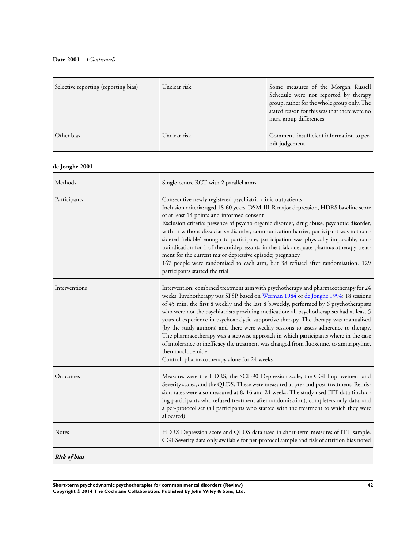### **Dare 2001** (*Continued)*

| Selective reporting (reporting bias) | Unclear risk                                                                                                                                                                                                                                                                                                                                                                                                                                                                                                                                                                                                                                                                                                                                                                                           | Some measures of the Morgan Russell<br>Schedule were not reported by therapy<br>group, rather for the whole group only. The<br>stated reason for this was that there were no<br>intra-group differences                                                                                                                                                                                                                                                                                                                                                                                                                                                                                                                        |  |
|--------------------------------------|--------------------------------------------------------------------------------------------------------------------------------------------------------------------------------------------------------------------------------------------------------------------------------------------------------------------------------------------------------------------------------------------------------------------------------------------------------------------------------------------------------------------------------------------------------------------------------------------------------------------------------------------------------------------------------------------------------------------------------------------------------------------------------------------------------|--------------------------------------------------------------------------------------------------------------------------------------------------------------------------------------------------------------------------------------------------------------------------------------------------------------------------------------------------------------------------------------------------------------------------------------------------------------------------------------------------------------------------------------------------------------------------------------------------------------------------------------------------------------------------------------------------------------------------------|--|
| Other bias                           | Unclear risk                                                                                                                                                                                                                                                                                                                                                                                                                                                                                                                                                                                                                                                                                                                                                                                           | Comment: insufficient information to per-<br>mit judgement                                                                                                                                                                                                                                                                                                                                                                                                                                                                                                                                                                                                                                                                     |  |
| de Jonghe 2001                       |                                                                                                                                                                                                                                                                                                                                                                                                                                                                                                                                                                                                                                                                                                                                                                                                        |                                                                                                                                                                                                                                                                                                                                                                                                                                                                                                                                                                                                                                                                                                                                |  |
| Methods                              |                                                                                                                                                                                                                                                                                                                                                                                                                                                                                                                                                                                                                                                                                                                                                                                                        | Single-centre RCT with 2 parallel arms                                                                                                                                                                                                                                                                                                                                                                                                                                                                                                                                                                                                                                                                                         |  |
| Participants                         | participants started the trial                                                                                                                                                                                                                                                                                                                                                                                                                                                                                                                                                                                                                                                                                                                                                                         | Consecutive newly registered psychiatric clinic outpatients<br>Inclusion criteria: aged 18-60 years, DSM-III-R major depression, HDRS baseline score<br>of at least 14 points and informed consent<br>Exclusion criteria: presence of psycho-organic disorder, drug abuse, psychotic disorder,<br>with or without dissociative disorder; communication barrier; participant was not con-<br>sidered 'reliable' enough to participate; participation was physically impossible; con-<br>traindication for 1 of the antidepressants in the trial; adequate pharmacotherapy treat-<br>ment for the current major depressive episode; pregnancy<br>167 people were randomised to each arm, but 38 refused after randomisation. 129 |  |
| Interventions                        | Intervention: combined treatment arm with psychotherapy and pharmacotherapy for 24<br>weeks. Psychotherapy was SPSP, based on Werman 1984 or de Jonghe 1994; 18 sessions<br>of 45 min, the first 8 weekly and the last 8 biweekly, performed by 6 psychotherapists<br>who were not the psychiatrists providing medication; all psychotherapists had at least 5<br>years of experience in psychoanalytic supportive therapy. The therapy was manualised<br>(by the study authors) and there were weekly sessions to assess adherence to therapy.<br>The pharmacotherapy was a stepwise approach in which participants where in the case<br>of intolerance or inefficacy the treatment was changed from fluoxetine, to amitriptyline,<br>then moclobemide<br>Control: pharmacotherapy alone for 24 weeks |                                                                                                                                                                                                                                                                                                                                                                                                                                                                                                                                                                                                                                                                                                                                |  |
| Outcomes                             | allocated)                                                                                                                                                                                                                                                                                                                                                                                                                                                                                                                                                                                                                                                                                                                                                                                             | Measures were the HDRS, the SCL-90 Depression scale, the CGI Improvement and<br>Severity scales, and the QLDS. These were measured at pre- and post-treatment. Remis-<br>sion rates were also measured at 8, 16 and 24 weeks. The study used ITT data (includ-<br>ing participants who refused treatment after randomisation), completers only data, and<br>a per-protocol set (all participants who started with the treatment to which they were                                                                                                                                                                                                                                                                             |  |
| Notes                                |                                                                                                                                                                                                                                                                                                                                                                                                                                                                                                                                                                                                                                                                                                                                                                                                        | HDRS Depression score and QLDS data used in short-term measures of ITT sample.<br>CGI-Severity data only available for per-protocol sample and risk of attrition bias noted                                                                                                                                                                                                                                                                                                                                                                                                                                                                                                                                                    |  |
| <b>Risk of bias</b>                  |                                                                                                                                                                                                                                                                                                                                                                                                                                                                                                                                                                                                                                                                                                                                                                                                        |                                                                                                                                                                                                                                                                                                                                                                                                                                                                                                                                                                                                                                                                                                                                |  |

**Short-term psychodynamic psychotherapies for common mental disorders (Review) 42 Copyright © 2014 The Cochrane Collaboration. Published by John Wiley & Sons, Ltd.**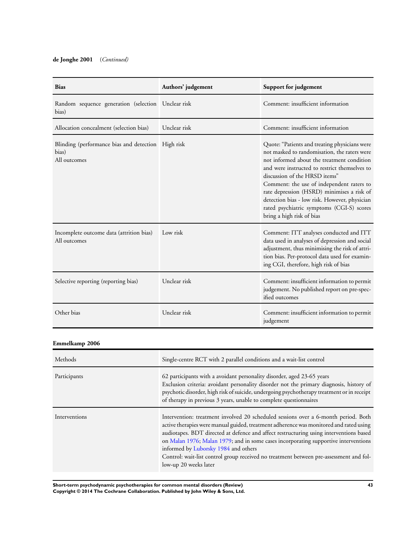### **de Jonghe 2001** (*Continued)*

| <b>Bias</b>                                                                 | Authors' judgement | Support for judgement                                                                                                                                                                                                                                                                                                                                                                                                                               |
|-----------------------------------------------------------------------------|--------------------|-----------------------------------------------------------------------------------------------------------------------------------------------------------------------------------------------------------------------------------------------------------------------------------------------------------------------------------------------------------------------------------------------------------------------------------------------------|
| Random sequence generation (selection Unclear risk<br>bias)                 |                    | Comment: insufficient information                                                                                                                                                                                                                                                                                                                                                                                                                   |
| Allocation concealment (selection bias)                                     | Unclear risk       | Comment: insufficient information                                                                                                                                                                                                                                                                                                                                                                                                                   |
| Blinding (performance bias and detection High risk<br>bias)<br>All outcomes |                    | Quote: "Patients and treating physicians were<br>not masked to randomisation, the raters were<br>not informed about the treatment condition<br>and were instructed to restrict themselves to<br>discussion of the HRSD items"<br>Comment: the use of independent raters to<br>rate depression (HSRD) minimises a risk of<br>detection bias - low risk. However, physician<br>rated psychiatric symptoms (CGI-S) scores<br>bring a high risk of bias |
| Incomplete outcome data (attrition bias)<br>All outcomes                    | Low risk           | Comment: ITT analyses conducted and ITT<br>data used in analyses of depression and social<br>adjustment, thus minimising the risk of attri-<br>tion bias. Per-protocol data used for examin-<br>ing CGI, therefore, high risk of bias                                                                                                                                                                                                               |
| Selective reporting (reporting bias)                                        | Unclear risk       | Comment: insufficient information to permit<br>judgement. No published report on pre-spec-<br>ified outcomes                                                                                                                                                                                                                                                                                                                                        |
| Other bias                                                                  | Unclear risk       | Comment: insufficient information to permit<br>judgement                                                                                                                                                                                                                                                                                                                                                                                            |

### **Emmelkamp 2006**

| Methods       | Single-centre RCT with 2 parallel conditions and a wait-list control                                                                                                                                                                                                                                                                                                                                                                                                                                                     |
|---------------|--------------------------------------------------------------------------------------------------------------------------------------------------------------------------------------------------------------------------------------------------------------------------------------------------------------------------------------------------------------------------------------------------------------------------------------------------------------------------------------------------------------------------|
| Participants  | 62 participants with a avoidant personality disorder, aged 23-65 years<br>Exclusion criteria: avoidant personality disorder not the primary diagnosis, history of<br>psychotic disorder, high risk of suicide, undergoing psychotherapy treatment or in receipt<br>of therapy in previous 3 years, unable to complete questionnaires                                                                                                                                                                                     |
| Interventions | Intervention: treatment involved 20 scheduled sessions over a 6-month period. Both<br>active therapies were manual guided, treatment adherence was monitored and rated using<br>audiotapes. BDT directed at defence and affect restructuring using interventions based<br>on Malan 1976; Malan 1979; and in some cases incorporating supportive interventions<br>informed by Luborsky 1984 and others<br>Control: wait-list control group received no treatment between pre-assessment and fol-<br>low-up 20 weeks later |

**Short-term psychodynamic psychotherapies for common mental disorders (Review) 43 Copyright © 2014 The Cochrane Collaboration. Published by John Wiley & Sons, Ltd.**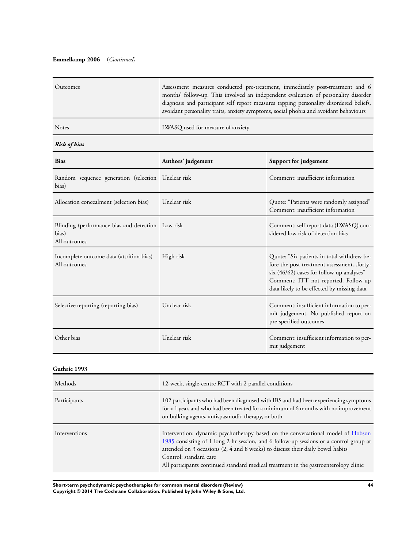### **Emmelkamp 2006** (*Continued)*

| Outcomes     | Assessment measures conducted pre-treatment, immediately post-treatment and 6<br>months' follow-up. This involved an independent evaluation of personality disorder<br>diagnosis and participant self report measures tapping personality disordered beliefs,<br>avoidant personality traits, anxiety symptoms, social phobia and avoidant behaviours |
|--------------|-------------------------------------------------------------------------------------------------------------------------------------------------------------------------------------------------------------------------------------------------------------------------------------------------------------------------------------------------------|
| <b>Notes</b> | LWASQ used for measure of anxiety                                                                                                                                                                                                                                                                                                                     |

### *Risk of bias*

| <b>Bias</b>                                                                | Authors' judgement | Support for judgement                                                                                                                                                                                                       |
|----------------------------------------------------------------------------|--------------------|-----------------------------------------------------------------------------------------------------------------------------------------------------------------------------------------------------------------------------|
| Random sequence generation (selection Unclear risk<br>bias)                |                    | Comment: insufficient information                                                                                                                                                                                           |
| Allocation concealment (selection bias)                                    | Unclear risk       | Quote: "Patients were randomly assigned"<br>Comment: insufficient information                                                                                                                                               |
| Blinding (performance bias and detection Low risk<br>bias)<br>All outcomes |                    | Comment: self report data (LWASQ) con-<br>sidered low risk of detection bias                                                                                                                                                |
| Incomplete outcome data (attrition bias)<br>All outcomes                   | High risk          | Quote: "Six patients in total withdrew be-<br>fore the post treatment assessmentforty-<br>$six$ (46/62) cases for follow-up analyses"<br>Comment: ITT not reported. Follow-up<br>data likely to be effected by missing data |
| Selective reporting (reporting bias)                                       | Unclear risk       | Comment: insufficient information to per-<br>mit judgement. No published report on<br>pre-specified outcomes                                                                                                                |
| Other bias                                                                 | Unclear risk       | Comment: insufficient information to per-<br>mit judgement                                                                                                                                                                  |

#### **Guthrie 1993**

| Methods       | 12-week, single-centre RCT with 2 parallel conditions                                                                                                                                                                                                                                                                                                                         |
|---------------|-------------------------------------------------------------------------------------------------------------------------------------------------------------------------------------------------------------------------------------------------------------------------------------------------------------------------------------------------------------------------------|
| Participants  | 102 participants who had been diagnosed with IBS and had been experiencing symptoms<br>for $> 1$ year, and who had been treated for a minimum of 6 months with no improvement<br>on bulking agents, antispasmodic therapy, or both                                                                                                                                            |
| Interventions | Intervention: dynamic psychotherapy based on the conversational model of Hobson<br>1985 consisting of 1 long 2-hr session, and 6 follow-up sessions or a control group at<br>attended on 3 occasions (2, 4 and 8 weeks) to discuss their daily bowel habits<br>Control: standard care<br>All participants continued standard medical treatment in the gastroenterology clinic |

**Short-term psychodynamic psychotherapies for common mental disorders (Review) 44 Copyright © 2014 The Cochrane Collaboration. Published by John Wiley & Sons, Ltd.**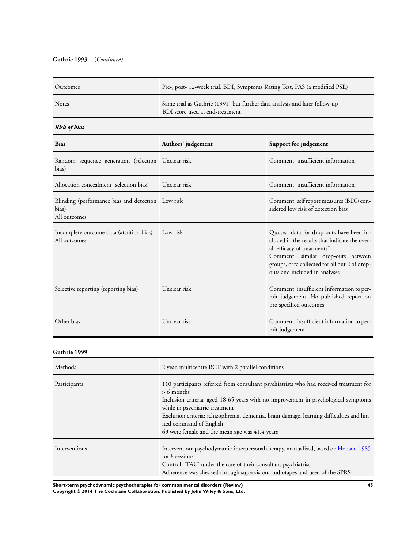### **Guthrie 1993** (*Continued)*

| Outcomes     | Pre-, post- 12-week trial. BDI, Symptoms Rating Test, PAS (a modified PSE)                                    |
|--------------|---------------------------------------------------------------------------------------------------------------|
| <b>Notes</b> | Same trial as Guthrie (1991) but further data analysis and later follow-up<br>BDI score used at end-treatment |

### *Risk of bias*

| <b>Bias</b>                                                                | Authors' judgement | Support for judgement                                                                                                                                                                                                                            |
|----------------------------------------------------------------------------|--------------------|--------------------------------------------------------------------------------------------------------------------------------------------------------------------------------------------------------------------------------------------------|
| Random sequence generation (selection Unclear risk<br>bias)                |                    | Comment: insufficient information                                                                                                                                                                                                                |
| Allocation concealment (selection bias)                                    | Unclear risk       | Comment: insufficient information                                                                                                                                                                                                                |
| Blinding (performance bias and detection Low risk<br>bias)<br>All outcomes |                    | Comment: self report measures (BDI) con-<br>sidered low risk of detection bias                                                                                                                                                                   |
| Incomplete outcome data (attrition bias)<br>All outcomes                   | Low risk           | Quote: "data for drop-outs have been in-<br>cluded in the results that indicate the over-<br>all efficacy of treatments"<br>Comment: similar drop-outs between<br>groups, data collected for all but 2 of drop-<br>outs and included in analyses |
| Selective reporting (reporting bias)                                       | Unclear risk       | Comment: insufficient Information to per-<br>mit judgement. No published report on<br>pre-specified outcomes                                                                                                                                     |
| Other bias                                                                 | Unclear risk       | Comment: insufficient information to per-<br>mit judgement                                                                                                                                                                                       |

#### **Guthrie 1999**

| Methods       | 2 year, multicentre RCT with 2 parallel conditions                                                                                                                                                                                                                                                                                                                                                       |
|---------------|----------------------------------------------------------------------------------------------------------------------------------------------------------------------------------------------------------------------------------------------------------------------------------------------------------------------------------------------------------------------------------------------------------|
| Participants  | 110 participants referred from consultant psychiatrists who had received treatment for<br>$> 6$ months<br>Inclusion criteria: aged 18-65 years with no improvement in psychological symptoms<br>while in psychiatric treatment<br>Exclusion criteria: schizophrenia, dementia, brain damage, learning difficulties and lim-<br>ited command of English<br>69 were female and the mean age was 41.4 years |
| Interventions | Intervention: psychodynamic-interpersonal therapy, manualised, based on Hobson 1985<br>for 8 sessions<br>Control: 'TAU' under the care of their consultant psychiatrist<br>Adherence was checked through supervision, audiotapes and used of the SPRS                                                                                                                                                    |

**Short-term psychodynamic psychotherapies for common mental disorders (Review) 45**

**Copyright © 2014 The Cochrane Collaboration. Published by John Wiley & Sons, Ltd.**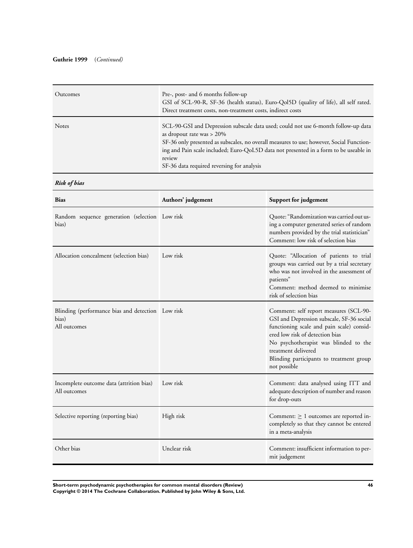| Outcomes     | Pre-, post- and 6 months follow-up<br>GSI of SCL-90-R, SF-36 (health status), Euro-Qol5D (quality of life), all self rated.<br>Direct treatment costs, non-treatment costs, indirect costs                                                                                                                                                                      |
|--------------|-----------------------------------------------------------------------------------------------------------------------------------------------------------------------------------------------------------------------------------------------------------------------------------------------------------------------------------------------------------------|
| <b>Notes</b> | SCL-90-GSI and Depression subscale data used; could not use 6-month follow-up data<br>as dropout rate was $> 20\%$<br>SF-36 only presented as subscales, no overall measures to use; however, Social Function-<br>ing and Pain scale included; Euro-QoL5D data not presented in a form to be useable in<br>review<br>SF-36 data required reversing for analysis |

### *Risk of bias*

| <b>Bias</b>                                                                | Authors' judgement | Support for judgement                                                                                                                                                                                                                                                                           |
|----------------------------------------------------------------------------|--------------------|-------------------------------------------------------------------------------------------------------------------------------------------------------------------------------------------------------------------------------------------------------------------------------------------------|
| Random sequence generation (selection Low risk<br>bias)                    |                    | Quote: "Randomization was carried out us-<br>ing a computer generated series of random<br>numbers provided by the trial statistician"<br>Comment: low risk of selection bias                                                                                                                    |
| Allocation concealment (selection bias)                                    | Low risk           | Quote: "Allocation of patients to trial<br>groups was carried out by a trial secretary<br>who was not involved in the assessment of<br>patients"<br>Comment: method deemed to minimise<br>risk of selection bias                                                                                |
| Blinding (performance bias and detection Low risk<br>bias)<br>All outcomes |                    | Comment: self report measures (SCL-90-<br>GSI and Depression subscale, SF-36 social<br>functioning scale and pain scale) consid-<br>ered low risk of detection bias<br>No psychotherapist was blinded to the<br>treatment delivered<br>Blinding participants to treatment group<br>not possible |
| Incomplete outcome data (attrition bias)<br>All outcomes                   | Low risk           | Comment: data analysed using ITT and<br>adequate description of number and reason<br>for drop-outs                                                                                                                                                                                              |
| Selective reporting (reporting bias)                                       | High risk          | Comment: $\geq 1$ outcomes are reported in-<br>completely so that they cannot be entered<br>in a meta-analysis                                                                                                                                                                                  |
| Other bias                                                                 | Unclear risk       | Comment: insufficient information to per-<br>mit judgement                                                                                                                                                                                                                                      |

**Short-term psychodynamic psychotherapies for common mental disorders (Review) 46 Copyright © 2014 The Cochrane Collaboration. Published by John Wiley & Sons, Ltd.**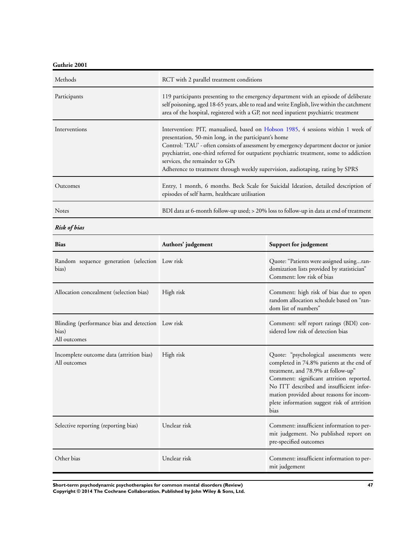**Guthrie 2001**

| Methods       | RCT with 2 parallel treatment conditions                                                                                                                                                                                                                                                                                                                                                                                                           |
|---------------|----------------------------------------------------------------------------------------------------------------------------------------------------------------------------------------------------------------------------------------------------------------------------------------------------------------------------------------------------------------------------------------------------------------------------------------------------|
| Participants  | 119 participants presenting to the emergency department with an episode of deliberate<br>self poisoning, aged 18-65 years, able to read and write English, live within the catchment<br>area of the hospital, registered with a GP, not need inpatient psychiatric treatment                                                                                                                                                                       |
| Interventions | Intervention: PIT, manualised, based on Hobson 1985, 4 sessions within 1 week of<br>presentation, 50-min long, in the participant's home<br>Control: 'TAU' - often consists of assessment by emergency department doctor or junior<br>psychiatrist, one-third referred for outpatient psychiatric treatment, some to addiction<br>services, the remainder to GPs<br>Adherence to treatment through weekly supervision, audiotaping, rating by SPRS |
| Outcomes      | Entry, 1 month, 6 months. Beck Scale for Suicidal Ideation, detailed description of<br>episodes of self harm, healthcare utilisation                                                                                                                                                                                                                                                                                                               |
| <b>Notes</b>  | BDI data at 6-month follow-up used; > 20% loss to follow-up in data at end of treatment                                                                                                                                                                                                                                                                                                                                                            |

*Risk of bias*

| <b>Bias</b>                                                                | Authors' judgement | Support for judgement                                                                                                                                                                                                                                                                                                |
|----------------------------------------------------------------------------|--------------------|----------------------------------------------------------------------------------------------------------------------------------------------------------------------------------------------------------------------------------------------------------------------------------------------------------------------|
| Random sequence generation (selection Low risk<br>bias)                    |                    | Quote: "Patients were assigned usingran-<br>domization lists provided by statistician"<br>Comment: low risk of bias                                                                                                                                                                                                  |
| Allocation concealment (selection bias)                                    | High risk          | Comment: high risk of bias due to open<br>random allocation schedule based on "ran-<br>dom list of numbers"                                                                                                                                                                                                          |
| Blinding (performance bias and detection Low risk<br>bias)<br>All outcomes |                    | Comment: self report ratings (BDI) con-<br>sidered low risk of detection bias                                                                                                                                                                                                                                        |
| Incomplete outcome data (attrition bias)<br>All outcomes                   | High risk          | Quote: "psychological assessments were<br>completed in 74.8% patients at the end of<br>treatment, and 78.9% at follow-up"<br>Comment: significant attrition reported.<br>No ITT described and insufficient infor-<br>mation provided about reasons for incom-<br>plete information suggest risk of attrition<br>bias |
| Selective reporting (reporting bias)                                       | Unclear risk       | Comment: insufficient information to per-<br>mit judgement. No published report on<br>pre-specified outcomes                                                                                                                                                                                                         |
| Other bias                                                                 | Unclear risk       | Comment: insufficient information to per-<br>mit judgement                                                                                                                                                                                                                                                           |

**Short-term psychodynamic psychotherapies for common mental disorders (Review) 47 Copyright © 2014 The Cochrane Collaboration. Published by John Wiley & Sons, Ltd.**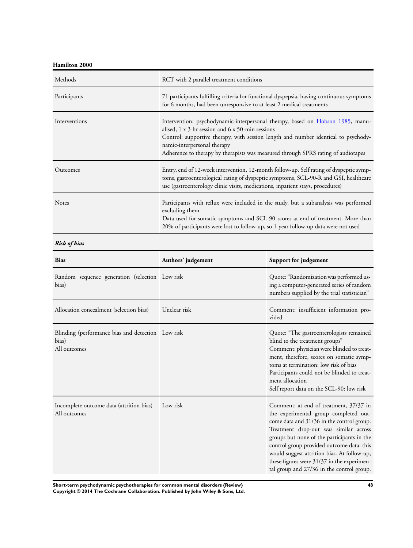**Hamilton 2000**

| Methods       | RCT with 2 parallel treatment conditions                                                                                                                                                                                                                                                                                                                     |
|---------------|--------------------------------------------------------------------------------------------------------------------------------------------------------------------------------------------------------------------------------------------------------------------------------------------------------------------------------------------------------------|
| Participants  | 71 participants fulfilling criteria for functional dyspepsia, having continuous symptoms<br>for 6 months, had been unresponsive to at least 2 medical treatments                                                                                                                                                                                             |
| Interventions | Intervention: psychodynamic-interpersonal therapy, based on Hobson 1985, manu-<br>alised, $1 \times 3$ -hr session and $6 \times 50$ -min sessions<br>Control: supportive therapy, with session length and number identical to psychody-<br>namic-interpersonal therapy<br>Adherence to therapy by therapists was measured through SPRS rating of audiotapes |
| Outcomes      | Entry, end of 12-week intervention, 12-month follow-up. Self rating of dyspeptic symp-<br>toms, gastroenterological rating of dyspeptic symptoms, SCL-90-R and GSI, healthcare<br>use (gastroenterology clinic visits, medications, inpatient stays, procedures)                                                                                             |
| <b>Notes</b>  | Participants with reflux were included in the study, but a subanalysis was performed<br>excluding them<br>Data used for somatic symptoms and SCL-90 scores at end of treatment. More than<br>20% of participants were lost to follow-up, so 1-year follow-up data were not used                                                                              |

*Risk of bias*

| <b>Bias</b>                                                                | Authors' judgement | Support for judgement                                                                                                                                                                                                                                                                                                                                                                                      |
|----------------------------------------------------------------------------|--------------------|------------------------------------------------------------------------------------------------------------------------------------------------------------------------------------------------------------------------------------------------------------------------------------------------------------------------------------------------------------------------------------------------------------|
| Random sequence generation (selection Low risk<br>bias)                    |                    | Quote: "Randomization was performed us-<br>ing a computer-generated series of random<br>numbers supplied by the trial statistician"                                                                                                                                                                                                                                                                        |
| Allocation concealment (selection bias)                                    | Unclear risk       | Comment: insufficient information pro-<br>vided                                                                                                                                                                                                                                                                                                                                                            |
| Blinding (performance bias and detection Low risk<br>bias)<br>All outcomes |                    | Quote: "The gastroenterologists remained<br>blind to the treatment groups"<br>Comment: physician were blinded to treat-<br>ment, therefore, scores on somatic symp-<br>toms at termination: low risk of bias<br>Participants could not be blinded to treat-<br>ment allocation<br>Self report data on the SCL-90: low risk                                                                                 |
| Incomplete outcome data (attrition bias)<br>All outcomes                   | Low risk           | Comment: at end of treatment, 37/37 in<br>the experimental group completed out-<br>come data and 31/36 in the control group.<br>Treatment drop-out was similar across<br>groups but none of the participants in the<br>control group provided outcome data: this<br>would suggest attrition bias. At follow-up,<br>these figures were 31/37 in the experimen-<br>tal group and 27/36 in the control group. |

**Short-term psychodynamic psychotherapies for common mental disorders (Review) 48 Copyright © 2014 The Cochrane Collaboration. Published by John Wiley & Sons, Ltd.**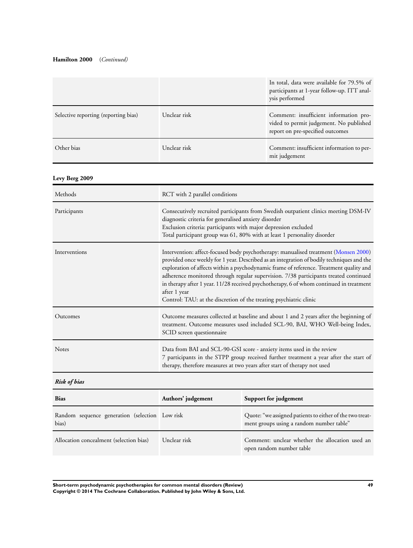### **Hamilton 2000** (*Continued)*

|                                      |              | In total, data were available for 79.5% of<br>participants at 1-year follow-up. ITT anal-<br>ysis performed           |
|--------------------------------------|--------------|-----------------------------------------------------------------------------------------------------------------------|
| Selective reporting (reporting bias) | Unclear risk | Comment: insufficient information pro-<br>vided to permit judgement. No published<br>report on pre-specified outcomes |
| Other bias                           | Unclear risk | Comment: insufficient information to per-<br>mit judgement                                                            |

## **Levy Berg 2009**

| Methods       | RCT with 2 parallel conditions                                                                                                                                                                                                                                                                                                                                                                                                                                                                                                                       |
|---------------|------------------------------------------------------------------------------------------------------------------------------------------------------------------------------------------------------------------------------------------------------------------------------------------------------------------------------------------------------------------------------------------------------------------------------------------------------------------------------------------------------------------------------------------------------|
| Participants  | Consecutively recruited participants from Swedish outpatient clinics meeting DSM-IV<br>diagnostic criteria for generalised anxiety disorder<br>Exclusion criteria: participants with major depression excluded<br>Total participant group was 61, 80% with at least 1 personality disorder                                                                                                                                                                                                                                                           |
| Interventions | Intervention: affect-focused body psychotherapy: manualised treatment (Monsen 2000)<br>provided once weekly for 1 year. Described as an integration of bodily techniques and the<br>exploration of affects within a psychodynamic frame of reference. Treatment quality and<br>adherence monitored through regular supervision. 7/38 participants treated continued<br>in therapy after 1 year. 11/28 received psychotherapy, 6 of whom continued in treatment<br>after 1 year<br>Control: TAU: at the discretion of the treating psychiatric clinic |
| Outcomes      | Outcome measures collected at baseline and about 1 and 2 years after the beginning of<br>treatment. Outcome measures used included SCL-90, BAI, WHO Well-being Index,<br>SCID screen questionnaire                                                                                                                                                                                                                                                                                                                                                   |
| <b>Notes</b>  | Data from BAI and SCL-90-GSI score - anxiety items used in the review<br>7 participants in the STPP group received further treatment a year after the start of<br>therapy, therefore measures at two years after start of therapy not used                                                                                                                                                                                                                                                                                                           |

# *Risk of bias*

| <b>Bias</b>                                             | Authors' judgement | Support for judgement                                                                                |
|---------------------------------------------------------|--------------------|------------------------------------------------------------------------------------------------------|
| Random sequence generation (selection Low risk<br>bias) |                    | Quote: "we assigned patients to either of the two treat-<br>ment groups using a random number table" |
| Allocation concealment (selection bias)                 | Unclear risk       | Comment: unclear whether the allocation used an<br>open random number table                          |

**Short-term psychodynamic psychotherapies for common mental disorders (Review) 49 Copyright © 2014 The Cochrane Collaboration. Published by John Wiley & Sons, Ltd.**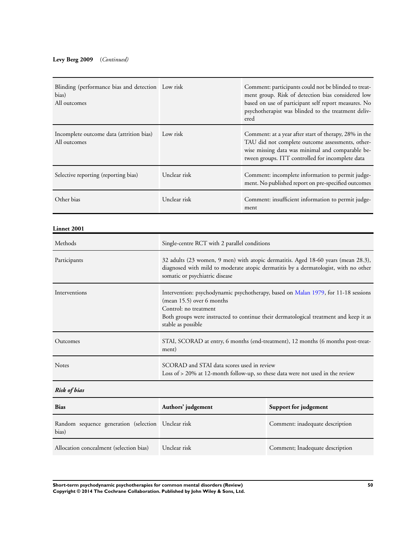### **Levy Berg 2009** (*Continued)*

| Blinding (performance bias and detection Low risk<br>bias)<br>All outcomes |              | Comment: participants could not be blinded to treat-<br>ment group. Risk of detection bias considered low<br>based on use of participant self report measures. No<br>psychotherapist was blinded to the treatment deliv-<br>ered |
|----------------------------------------------------------------------------|--------------|----------------------------------------------------------------------------------------------------------------------------------------------------------------------------------------------------------------------------------|
| Incomplete outcome data (attrition bias)<br>All outcomes                   | Low risk     | Comment: at a year after start of therapy, 28% in the<br>TAU did not complete outcome assessments, other-<br>wise missing data was minimal and comparable be-<br>tween groups. ITT controlled for incomplete data                |
| Selective reporting (reporting bias)                                       | Unclear risk | Comment: incomplete information to permit judge-<br>ment. No published report on pre-specified outcomes                                                                                                                          |
| Other bias                                                                 | Unclear risk | Comment: insufficient information to permit judge-<br>ment                                                                                                                                                                       |

#### **Linnet 2001**

| Methods       | Single-centre RCT with 2 parallel conditions                                                                                                                                                                                                              |
|---------------|-----------------------------------------------------------------------------------------------------------------------------------------------------------------------------------------------------------------------------------------------------------|
| Participants  | 32 adults (23 women, 9 men) with atopic dermatitis. Aged 18-60 years (mean 28.3),<br>diagnosed with mild to moderate atopic dermatitis by a dermatologist, with no other<br>somatic or psychiatric disease                                                |
| Interventions | Intervention: psychodynamic psychotherapy, based on Malan 1979, for 11-18 sessions<br>$(mean 15.5)$ over 6 months<br>Control: no treatment<br>Both groups were instructed to continue their dermatological treatment and keep it as<br>stable as possible |
| Outcomes      | STAI, SCORAD at entry, 6 months (end-treatment), 12 months (6 months post-treat-<br>ment)                                                                                                                                                                 |
| <b>Notes</b>  | SCORAD and STAI data scores used in review<br>Loss of > 20% at 12-month follow-up, so these data were not used in the review                                                                                                                              |
| Risk of bias  |                                                                                                                                                                                                                                                           |

| <b>Bias</b>                                                 | Authors' judgement | Support for judgement           |
|-------------------------------------------------------------|--------------------|---------------------------------|
| Random sequence generation (selection Unclear risk<br>bias) |                    | Comment: inadequate description |
| Allocation concealment (selection bias)                     | Unclear risk       | Comment; Inadequate description |

**Short-term psychodynamic psychotherapies for common mental disorders (Review) 50 Copyright © 2014 The Cochrane Collaboration. Published by John Wiley & Sons, Ltd.**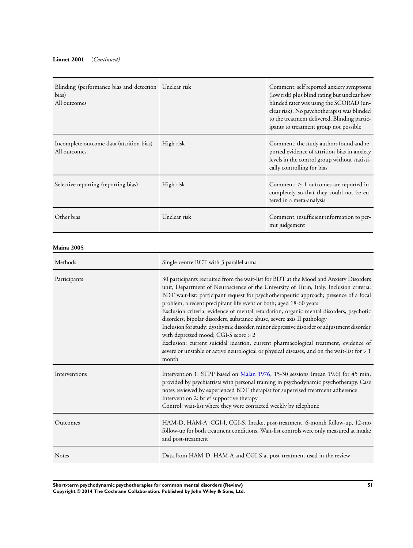| Blinding (performance bias and detection Unclear risk<br>bias)<br>All outcomes |                                                                                                                                                                                                                                                                                                                                                                                                                                                                                                                                                                                                                                                                                                                                                                                                                                                               | Comment: self reported anxiety symptoms<br>(low risk) plus blind rating but unclear how<br>blinded rater was using the SCORAD (un-<br>clear risk). No psychotherapist was blinded<br>to the treatment delivered. Blinding partic-<br>ipants to treatment group not possible |
|--------------------------------------------------------------------------------|---------------------------------------------------------------------------------------------------------------------------------------------------------------------------------------------------------------------------------------------------------------------------------------------------------------------------------------------------------------------------------------------------------------------------------------------------------------------------------------------------------------------------------------------------------------------------------------------------------------------------------------------------------------------------------------------------------------------------------------------------------------------------------------------------------------------------------------------------------------|-----------------------------------------------------------------------------------------------------------------------------------------------------------------------------------------------------------------------------------------------------------------------------|
| Incomplete outcome data (attrition bias)<br>All outcomes                       | High risk                                                                                                                                                                                                                                                                                                                                                                                                                                                                                                                                                                                                                                                                                                                                                                                                                                                     | Comment: the study authors found and re-<br>ported evidence of attrition bias in anxiety<br>levels in the control group without statisti-<br>cally controlling for bias                                                                                                     |
| Selective reporting (reporting bias)                                           | High risk                                                                                                                                                                                                                                                                                                                                                                                                                                                                                                                                                                                                                                                                                                                                                                                                                                                     | Comment: $\geq 1$ outcomes are reported in-<br>completely so that they could not be en-<br>tered in a meta-analysis                                                                                                                                                         |
| Other bias                                                                     | Unclear risk                                                                                                                                                                                                                                                                                                                                                                                                                                                                                                                                                                                                                                                                                                                                                                                                                                                  | Comment: insufficient information to per-<br>mit judgement                                                                                                                                                                                                                  |
| Maina 2005                                                                     |                                                                                                                                                                                                                                                                                                                                                                                                                                                                                                                                                                                                                                                                                                                                                                                                                                                               |                                                                                                                                                                                                                                                                             |
| Methods                                                                        | Single-centre RCT with 3 parallel arms                                                                                                                                                                                                                                                                                                                                                                                                                                                                                                                                                                                                                                                                                                                                                                                                                        |                                                                                                                                                                                                                                                                             |
| Participants                                                                   | 30 participants recruited from the wait-list for BDT at the Mood and Anxiety Disorders<br>unit, Department of Neuroscience of the University of Turin, Italy. Inclusion criteria:<br>BDT wait-list: participant request for psychotherapeutic approach; presence of a focal<br>problem, a recent precipitant life event or both; aged 18-60 years<br>Exclusion criteria: evidence of mental retardation, organic mental disorders, psychotic<br>disorders, bipolar disorders, substance abuse, severe axis II pathology<br>Inclusion for study: dysthymic disorder, minor depressive disorder or adjustment disorder<br>with depressed mood; CGI-S score > 2<br>Exclusion: current suicidal ideation, current pharmacological treatment, evidence of<br>severe or unstable or active neurological or physical diseases, and on the wait-list for > 1<br>month |                                                                                                                                                                                                                                                                             |
| Interventions                                                                  | Intervention 1: STPP based on Malan 1976, 15-30 sessions (mean 19.6) for 45 min,<br>provided by psychiatrists with personal training in psychodynamic psychotherapy. Case<br>notes reviewed by experienced BDT therapist for supervised treatment adherence<br>Intervention 2: brief supportive therapy<br>Control: wait-list where they were contacted weekly by telephone                                                                                                                                                                                                                                                                                                                                                                                                                                                                                   |                                                                                                                                                                                                                                                                             |
| Outcomes                                                                       | HAM-D, HAM-A, CGI-I, CGI-S. Intake, post-treatment, 6-month follow-up, 12-mo<br>follow-up for both treatment conditions. Wait-list controls were only measured at intake<br>and post-treatment                                                                                                                                                                                                                                                                                                                                                                                                                                                                                                                                                                                                                                                                |                                                                                                                                                                                                                                                                             |
| Notes                                                                          | Data from HAM-D, HAM-A and CGI-S at post-treatment used in the review                                                                                                                                                                                                                                                                                                                                                                                                                                                                                                                                                                                                                                                                                                                                                                                         |                                                                                                                                                                                                                                                                             |

**Short-term psychodynamic psychotherapies for common mental disorders (Review) 51 Copyright © 2014 The Cochrane Collaboration. Published by John Wiley & Sons, Ltd.**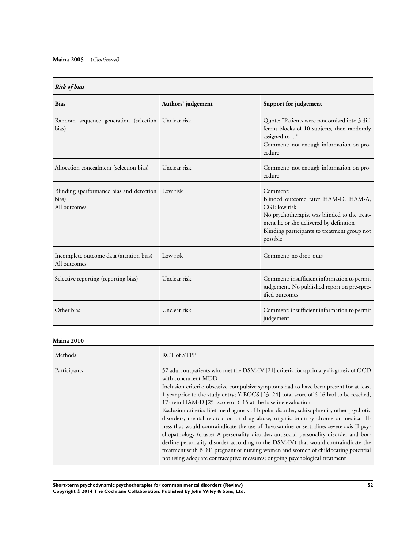| <b>Bias</b>                                                                | Authors' judgement | Support for judgement                                                                                                                                                                                                  |
|----------------------------------------------------------------------------|--------------------|------------------------------------------------------------------------------------------------------------------------------------------------------------------------------------------------------------------------|
| Random sequence generation (selection Unclear risk<br>bias)                |                    | Quote: "Patients were randomised into 3 dif-<br>ferent blocks of 10 subjects, then randomly<br>assigned to "<br>Comment: not enough information on pro-<br>cedure                                                      |
| Allocation concealment (selection bias)                                    | Unclear risk       | Comment: not enough information on pro-<br>cedure                                                                                                                                                                      |
| Blinding (performance bias and detection Low risk<br>bias)<br>All outcomes |                    | Comment:<br>Blinded outcome rater HAM-D, HAM-A,<br>CGI: low risk<br>No psychotherapist was blinded to the treat-<br>ment he or she delivered by definition<br>Blinding participants to treatment group not<br>possible |
| Incomplete outcome data (attrition bias)<br>All outcomes                   | Low risk           | Comment: no drop-outs                                                                                                                                                                                                  |
| Selective reporting (reporting bias)                                       | Unclear risk       | Comment: insufficient information to permit<br>judgement. No published report on pre-spec-<br>ified outcomes                                                                                                           |
| Other bias                                                                 | Unclear risk       | Comment: insufficient information to permit<br>judgement                                                                                                                                                               |

### **Maina 2010**

| Methods      | RCT of STPP                                                                                                                                                                                                                                                                                                                                                                                                                                                                                                                                                                                                                                                                                                                                                                                                                                                                                                                                                                                           |
|--------------|-------------------------------------------------------------------------------------------------------------------------------------------------------------------------------------------------------------------------------------------------------------------------------------------------------------------------------------------------------------------------------------------------------------------------------------------------------------------------------------------------------------------------------------------------------------------------------------------------------------------------------------------------------------------------------------------------------------------------------------------------------------------------------------------------------------------------------------------------------------------------------------------------------------------------------------------------------------------------------------------------------|
| Participants | 57 adult outpatients who met the DSM-IV [21] criteria for a primary diagnosis of OCD<br>with concurrent MDD<br>Inclusion criteria: obsessive-compulsive symptoms had to have been present for at least<br>1 year prior to the study entry; Y-BOCS [23, 24] total score of 6 16 had to be reached,<br>17-item HAM-D [25] score of 6 15 at the baseline evaluation<br>Exclusion criteria: lifetime diagnosis of bipolar disorder, schizophrenia, other psychotic<br>disorders, mental retardation or drug abuse; organic brain syndrome or medical ill-<br>ness that would contraindicate the use of fluvoxamine or sertraline; severe axis II psy-<br>chopathology (cluster A personality disorder, antisocial personality disorder and bor-<br>derline personality disorder according to the DSM-IV) that would contraindicate the<br>treatment with BDT; pregnant or nursing women and women of childbearing potential<br>not using adequate contraceptive measures; ongoing psychological treatment |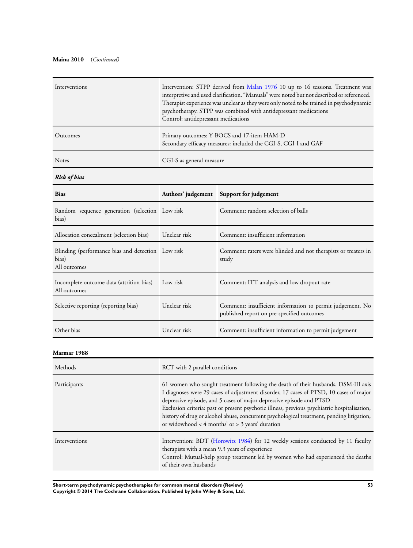### **Maina 2010** (*Continued)*

| Interventions | Intervention: STPP derived from Malan 1976 10 up to 16 sessions. Treatment was<br>interpretive and used clarification. "Manuals" were noted but not described or referenced.<br>Therapist experience was unclear as they were only noted to be trained in psychodynamic<br>psychotherapy. STPP was combined with antidepressant medications<br>Control: antidepressant medications |
|---------------|------------------------------------------------------------------------------------------------------------------------------------------------------------------------------------------------------------------------------------------------------------------------------------------------------------------------------------------------------------------------------------|
| Outcomes      | Primary outcomes: Y-BOCS and 17-item HAM-D<br>Secondary efficacy measures: included the CGI-S, CGI-I and GAF                                                                                                                                                                                                                                                                       |
| <b>Notes</b>  | CGI-S as general measure                                                                                                                                                                                                                                                                                                                                                           |

*Risk of bias*

| <b>Bias</b>                                                                |              | Authors' judgement Support for judgement                                                                |
|----------------------------------------------------------------------------|--------------|---------------------------------------------------------------------------------------------------------|
| Random sequence generation (selection Low risk<br>bias)                    |              | Comment: random selection of balls                                                                      |
| Allocation concealment (selection bias)                                    | Unclear risk | Comment: insufficient information                                                                       |
| Blinding (performance bias and detection Low risk<br>bias)<br>All outcomes |              | Comment: raters were blinded and not therapists or treaters in<br>study                                 |
| Incomplete outcome data (attrition bias)<br>All outcomes                   | Low risk     | Comment: ITT analysis and low dropout rate                                                              |
| Selective reporting (reporting bias)                                       | Unclear risk | Comment: insufficient information to permit judgement. No<br>published report on pre-specified outcomes |
| Other bias                                                                 | Unclear risk | Comment: insufficient information to permit judgement                                                   |

**Marmar 1988**

| Methods       | RCT with 2 parallel conditions                                                                                                                                                                                                                                                                                                                                                                                                                                                                         |
|---------------|--------------------------------------------------------------------------------------------------------------------------------------------------------------------------------------------------------------------------------------------------------------------------------------------------------------------------------------------------------------------------------------------------------------------------------------------------------------------------------------------------------|
| Participants  | 61 women who sought treatment following the death of their husbands. DSM-III axis<br>I diagnoses were 29 cases of adjustment disorder, 17 cases of PTSD, 10 cases of major<br>depressive episode, and 5 cases of major depressive episode and PTSD<br>Exclusion criteria: past or present psychotic illness, previous psychiatric hospitalisation,<br>history of drug or alcohol abuse, concurrent psychological treatment, pending litigation,<br>or widowhood $<$ 4 months' or $>$ 3 years' duration |
| Interventions | Intervention: BDT (Horowitz 1984) for 12 weekly sessions conducted by 11 faculty<br>therapists with a mean 9.3 years of experience<br>Control: Mutual-help group treatment led by women who had experienced the deaths<br>of their own husbands                                                                                                                                                                                                                                                        |

**Short-term psychodynamic psychotherapies for common mental disorders (Review) 53 Copyright © 2014 The Cochrane Collaboration. Published by John Wiley & Sons, Ltd.**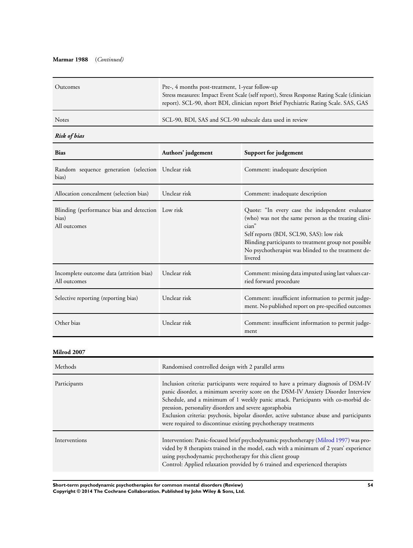#### **Marmar 1988** (*Continued)*

| Outcomes     | Pre-, 4 months post-treatment, 1-year follow-up<br>Stress measures: Impact Event Scale (self report), Stress Response Rating Scale (clinician<br>report). SCL-90, short BDI, clinician report Brief Psychiatric Rating Scale. SAS, GAS |
|--------------|----------------------------------------------------------------------------------------------------------------------------------------------------------------------------------------------------------------------------------------|
| <b>Notes</b> | SCL-90, BDI, SAS and SCL-90 subscale data used in review                                                                                                                                                                               |

### *Risk of bias*

| <b>Bias</b>                                                                | Authors' judgement | Support for judgement                                                                                                                                                                                                                                                                   |
|----------------------------------------------------------------------------|--------------------|-----------------------------------------------------------------------------------------------------------------------------------------------------------------------------------------------------------------------------------------------------------------------------------------|
| Random sequence generation (selection Unclear risk<br>bias)                |                    | Comment: inadequate description                                                                                                                                                                                                                                                         |
| Allocation concealment (selection bias)                                    | Unclear risk       | Comment: inadequate description                                                                                                                                                                                                                                                         |
| Blinding (performance bias and detection Low risk<br>bias)<br>All outcomes |                    | Quote: "In every case the independent evaluator<br>(who) was not the same person as the treating clini-<br>cian"<br>Self reports (BDI, SCL90, SAS): low risk<br>Blinding participants to treatment group not possible<br>No psychotherapist was blinded to the treatment de-<br>livered |
| Incomplete outcome data (attrition bias)<br>All outcomes                   | Unclear risk       | Comment: missing data imputed using last values car-<br>ried forward procedure                                                                                                                                                                                                          |
| Selective reporting (reporting bias)                                       | Unclear risk       | Comment: insufficient information to permit judge-<br>ment. No published report on pre-specified outcomes                                                                                                                                                                               |
| Other bias                                                                 | Unclear risk       | Comment: insufficient information to permit judge-<br>ment                                                                                                                                                                                                                              |

#### **Milrod 2007**

| Methods       | Randomised controlled design with 2 parallel arms                                                                                                                                                                                                                                                                                                                                                                                                                                      |
|---------------|----------------------------------------------------------------------------------------------------------------------------------------------------------------------------------------------------------------------------------------------------------------------------------------------------------------------------------------------------------------------------------------------------------------------------------------------------------------------------------------|
| Participants  | Inclusion criteria: participants were required to have a primary diagnosis of DSM-IV<br>panic disorder, a minimum severity score on the DSM-IV Anxiety Disorder Interview<br>Schedule, and a minimum of 1 weekly panic attack. Participants with co-morbid de-<br>pression, personality disorders and severe agoraphobia<br>Exclusion criteria: psychosis, bipolar disorder, active substance abuse and participants<br>were required to discontinue existing psychotherapy treatments |
| Interventions | Intervention: Panic-focused brief psychodynamic psychotherapy (Milrod 1997) was pro-<br>vided by 8 therapists trained in the model, each with a minimum of 2 years' experience<br>using psychodynamic psychotherapy for this client group<br>Control: Applied relaxation provided by 6 trained and experienced therapists                                                                                                                                                              |

**Short-term psychodynamic psychotherapies for common mental disorders (Review) 54 Copyright © 2014 The Cochrane Collaboration. Published by John Wiley & Sons, Ltd.**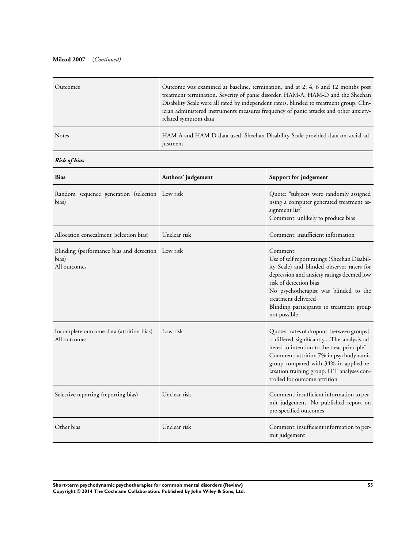### **Milrod 2007** (*Continued)*

| Outcomes     | Outcome was examined at baseline, termination, and at 2, 4, 6 and 12 months post<br>treatment termination. Severity of panic disorder, HAM-A, HAM-D and the Sheehan<br>Disability Scale were all rated by independent raters, blinded to treatment group. Clin-<br>ician administered instruments measures frequency of panic attacks and other anxiety-<br>related symptom data |
|--------------|----------------------------------------------------------------------------------------------------------------------------------------------------------------------------------------------------------------------------------------------------------------------------------------------------------------------------------------------------------------------------------|
| <b>Notes</b> | HAM-A and HAM-D data used. Sheehan Disability Scale provided data on social ad-<br>justment                                                                                                                                                                                                                                                                                      |

### *Risk of bias*

| <b>Bias</b>                                                                | Authors' judgement | Support for judgement                                                                                                                                                                                                                                                                                     |
|----------------------------------------------------------------------------|--------------------|-----------------------------------------------------------------------------------------------------------------------------------------------------------------------------------------------------------------------------------------------------------------------------------------------------------|
| Random sequence generation (selection Low risk<br>bias)                    |                    | Quote: "subjects were randomly assigned<br>using a computer generated treatment as-<br>signment list"<br>Comment: unlikely to produce bias                                                                                                                                                                |
| Allocation concealment (selection bias)                                    | Unclear risk       | Comment: insufficient information                                                                                                                                                                                                                                                                         |
| Blinding (performance bias and detection Low risk<br>bias)<br>All outcomes |                    | Comment:<br>Use of self report ratings (Sheehan Disabil-<br>ity Scale) and blinded observer raters for<br>depression and anxiety ratings deemed low<br>risk of detection bias<br>No psychotherapist was blinded to the<br>treatment delivered<br>Blinding participants to treatment group<br>not possible |
| Incomplete outcome data (attrition bias)<br>All outcomes                   | Low risk           | Quote: "rates of dropout [between groups].<br>differed significantlyThe analysis ad-<br>hered to intention to the treat principle"<br>Comment: attrition 7% in psychodynamic<br>group compared with 34% in applied re-<br>laxation training group. ITT analyses con-<br>trolled for outcome attrition     |
| Selective reporting (reporting bias)                                       | Unclear risk       | Comment: insufficient information to per-<br>mit judgement. No published report on<br>pre-specified outcomes                                                                                                                                                                                              |
| Other bias                                                                 | Unclear risk       | Comment: insufficient information to per-<br>mit judgement                                                                                                                                                                                                                                                |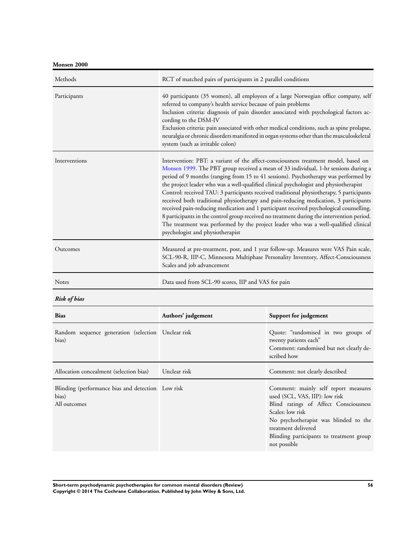**Monsen 2000**

| Methods       | RCT of matched pairs of participants in 2 parallel conditions                                                                                                                                                                                                                                                                                                                                                                                                                                                                                                                                                                                                                                                                                                                                                                                                    |
|---------------|------------------------------------------------------------------------------------------------------------------------------------------------------------------------------------------------------------------------------------------------------------------------------------------------------------------------------------------------------------------------------------------------------------------------------------------------------------------------------------------------------------------------------------------------------------------------------------------------------------------------------------------------------------------------------------------------------------------------------------------------------------------------------------------------------------------------------------------------------------------|
| Participants  | 40 participants (35 women), all employees of a large Norwegian office company, self<br>referred to company's health service because of pain problems<br>Inclusion criteria: diagnosis of pain disorder associated with psychological factors ac-<br>cording to the DSM-IV<br>Exclusion criteria: pain associated with other medical conditions, such as spine prolapse,<br>neuralgia or chronic disorders manifested in organ systems other than the musculoskeletal<br>system (such as irritable colon)                                                                                                                                                                                                                                                                                                                                                         |
| Interventions | Intervention: PBT: a variant of the affect-consciousness treatment model, based on<br>Monsen 1999. The PBT group received a mean of 33 individual, 1-hr sessions during a<br>period of 9 months (ranging from 15 to 41 sessions). Psychotherapy was performed by<br>the project leader who was a well-qualified clinical psychologist and physiotherapist<br>Control: received TAU: 3 participants received traditional physiotherapy, 5 participants<br>received both traditional physiotherapy and pain-reducing medication, 3 participants<br>received pain-reducing medication and 1 participant received psychological counselling.<br>8 participants in the control group received no treatment during the intervention period.<br>The treatment was performed by the project leader who was a well-qualified clinical<br>psychologist and physiotherapist |
| Outcomes      | Measured at pre-treatment, post, and 1 year follow-up. Measures were VAS Pain scale,<br>SCL-90-R, IIP-C, Minnesota Multiphase Personality Inventory, Affect-Consciousness<br>Scales and job advancement                                                                                                                                                                                                                                                                                                                                                                                                                                                                                                                                                                                                                                                          |
| <b>Notes</b>  | Data used from SCL-90 scores, IIP and VAS for pain                                                                                                                                                                                                                                                                                                                                                                                                                                                                                                                                                                                                                                                                                                                                                                                                               |

*Risk of bias*

| <b>Bias</b>                                                                | Authors' judgement | Support for judgement                                                                                                                                                                                                                                           |
|----------------------------------------------------------------------------|--------------------|-----------------------------------------------------------------------------------------------------------------------------------------------------------------------------------------------------------------------------------------------------------------|
| Random sequence generation (selection Unclear risk<br>bias)                |                    | Quote: "randomised in two groups of<br>twenty patients each"<br>Comment: randomised but not clearly de-<br>scribed how                                                                                                                                          |
| Allocation concealment (selection bias)                                    | Unclear risk       | Comment: not clearly described                                                                                                                                                                                                                                  |
| Blinding (performance bias and detection Low risk<br>bias)<br>All outcomes |                    | Comment: mainly self report measures<br>used (SCL, VAS, IIP): low risk<br>Blind ratings of Affect Consciousness<br>Scales: low risk<br>No psychotherapist was blinded to the<br>treatment delivered<br>Blinding participants to treatment group<br>not possible |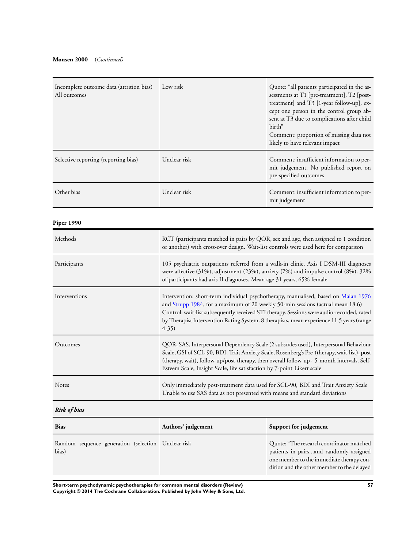| Incomplete outcome data (attrition bias)<br>All outcomes | Low risk                                                                                                                                                                                                                                                                                                                                                                 | Quote: "all patients participated in the as-<br>sessments at T1 [pre-treatment], T2 [post-<br>treatment] and T3 [1-year follow-up], ex-<br>cept one person in the control group ab-<br>sent at T3 due to complications after child<br>birth"<br>Comment: proportion of missing data not<br>likely to have relevant impact |
|----------------------------------------------------------|--------------------------------------------------------------------------------------------------------------------------------------------------------------------------------------------------------------------------------------------------------------------------------------------------------------------------------------------------------------------------|---------------------------------------------------------------------------------------------------------------------------------------------------------------------------------------------------------------------------------------------------------------------------------------------------------------------------|
| Selective reporting (reporting bias)                     | Unclear risk                                                                                                                                                                                                                                                                                                                                                             | Comment: insufficient information to per-<br>mit judgement. No published report on<br>pre-specified outcomes                                                                                                                                                                                                              |
| Other bias                                               | Unclear risk                                                                                                                                                                                                                                                                                                                                                             | Comment: insufficient information to per-<br>mit judgement                                                                                                                                                                                                                                                                |
| <b>Piper 1990</b>                                        |                                                                                                                                                                                                                                                                                                                                                                          |                                                                                                                                                                                                                                                                                                                           |
| Methods                                                  | RCT (participants matched in pairs by QOR, sex and age, then assigned to 1 condition<br>or another) with cross-over design. Wait-list controls were used here for comparison                                                                                                                                                                                             |                                                                                                                                                                                                                                                                                                                           |
| Participants                                             | 105 psychiatric outpatients referred from a walk-in clinic. Axis I DSM-III diagnoses<br>were affective (31%), adjustment (23%), anxiety (7%) and impulse control (8%). 32%<br>of participants had axis II diagnoses. Mean age 31 years, 65% female                                                                                                                       |                                                                                                                                                                                                                                                                                                                           |
| Interventions                                            | Intervention: short-term individual psychotherapy, manualised, based on Malan 1976<br>and Strupp 1984, for a maximum of 20 weekly 50-min sessions (actual mean 18.6)<br>Control: wait-list subsequently received STI therapy. Sessions were audio-recorded, rated<br>by Therapist Intervention Rating System. 8 therapists, mean experience 11.5 years (range<br>$4-35)$ |                                                                                                                                                                                                                                                                                                                           |
| Outcomes                                                 | QOR, SAS, Interpersonal Dependency Scale (2 subscales used), Interpersonal Behaviour<br>Scale, GSI of SCL-90, BDI, Trait Anxiety Scale, Rosenberg's Pre-(therapy, wait-list), post<br>(therapy, wait), follow-up/post-therapy, then overall follow-up - 5-month intervals. Self-<br>Esteem Scale, Insight Scale, life satisfaction by 7-point Likert scale               |                                                                                                                                                                                                                                                                                                                           |
| Notes                                                    | Only immediately post-treatment data used for SCL-90, BDI and Trait Anxiety Scale<br>Unable to use SAS data as not presented with means and standard deviations                                                                                                                                                                                                          |                                                                                                                                                                                                                                                                                                                           |
| <b>Risk of bias</b>                                      |                                                                                                                                                                                                                                                                                                                                                                          |                                                                                                                                                                                                                                                                                                                           |

| <b>Bias</b>                                                 | Authors' judgement | Support for judgement                                                                                                                                                        |
|-------------------------------------------------------------|--------------------|------------------------------------------------------------------------------------------------------------------------------------------------------------------------------|
| Random sequence generation (selection Unclear risk<br>bias) |                    | Quote: "The research coordinator matched<br>patients in pairsand randomly assigned<br>one member to the immediate therapy con-<br>dition and the other member to the delayed |

**Short-term psychodynamic psychotherapies for common mental disorders (Review) 57 Copyright © 2014 The Cochrane Collaboration. Published by John Wiley & Sons, Ltd.**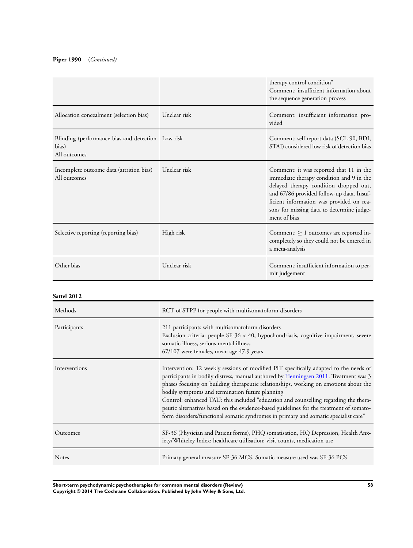### **Piper 1990** (*Continued)*

|                                                                            |              | therapy control condition"<br>Comment: insufficient information about<br>the sequence generation process                                                                                                                                                                            |
|----------------------------------------------------------------------------|--------------|-------------------------------------------------------------------------------------------------------------------------------------------------------------------------------------------------------------------------------------------------------------------------------------|
| Allocation concealment (selection bias)                                    | Unclear risk | Comment: insufficient information pro-<br>vided                                                                                                                                                                                                                                     |
| Blinding (performance bias and detection Low risk<br>bias)<br>All outcomes |              | Comment: self report data (SCL-90, BDI,<br>STAI) considered low risk of detection bias                                                                                                                                                                                              |
| Incomplete outcome data (attrition bias)<br>All outcomes                   | Unclear risk | Comment: it was reported that 11 in the<br>immediate therapy condition and 9 in the<br>delayed therapy condition dropped out,<br>and 67/86 provided follow-up data. Insuf-<br>ficient information was provided on rea-<br>sons for missing data to determine judge-<br>ment of bias |
| Selective reporting (reporting bias)                                       | High risk    | Comment: $\geq 1$ outcomes are reported in-<br>completely so they could not be entered in<br>a meta-analysis                                                                                                                                                                        |
| Other bias                                                                 | Unclear risk | Comment: insufficient information to per-<br>mit judgement                                                                                                                                                                                                                          |

#### **Sattel 2012**

| Methods       | RCT of STPP for people with multisomatoform disorders                                                                                                                                                                                                                                                                                                                                                                                                                                                                                                                                              |
|---------------|----------------------------------------------------------------------------------------------------------------------------------------------------------------------------------------------------------------------------------------------------------------------------------------------------------------------------------------------------------------------------------------------------------------------------------------------------------------------------------------------------------------------------------------------------------------------------------------------------|
| Participants  | 211 participants with multisomatoform disorders<br>Exclusion criteria: people SF-36 < 40, hypochondriasis, cognitive impairment, severe<br>somatic illness, serious mental illness<br>67/107 were females, mean age 47.9 years                                                                                                                                                                                                                                                                                                                                                                     |
| Interventions | Intervention: 12 weekly sessions of modified PIT specifically adapted to the needs of<br>participants in bodily distress, manual authored by Henningsen 2011. Treatment was 3<br>phases focusing on building therapeutic relationships, working on emotions about the<br>bodily symptoms and termination future planning<br>Control: enhanced TAU: this included "education and counselling regarding the thera-<br>peutic alternatives based on the evidence-based guidelines for the treatment of somato-<br>form disorders/functional somatic syndromes in primary and somatic specialist care" |
| Outcomes      | SF-36 (Physician and Patient forms), PHQ somatisation, HQ Depression, Health Anx-<br>iety/Whiteley Index; healthcare utilisation: visit counts, medication use                                                                                                                                                                                                                                                                                                                                                                                                                                     |
| <b>Notes</b>  | Primary general measure SF-36 MCS. Somatic measure used was SF-36 PCS                                                                                                                                                                                                                                                                                                                                                                                                                                                                                                                              |

**Short-term psychodynamic psychotherapies for common mental disorders (Review) 58 Copyright © 2014 The Cochrane Collaboration. Published by John Wiley & Sons, Ltd.**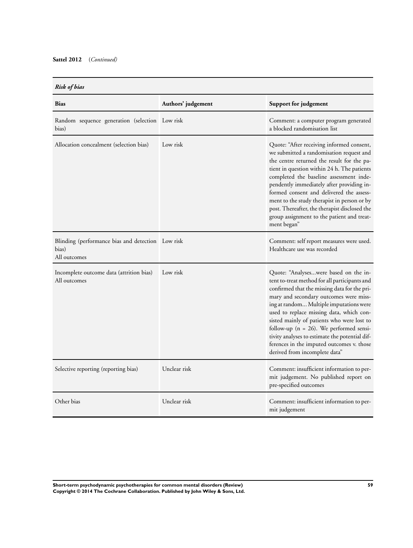| Risk of bia |  |
|-------------|--|

| <b>Risk of bias</b>                                                        |                    |                                                                                                                                                                                                                                                                                                                                                                                                                                                                                                      |
|----------------------------------------------------------------------------|--------------------|------------------------------------------------------------------------------------------------------------------------------------------------------------------------------------------------------------------------------------------------------------------------------------------------------------------------------------------------------------------------------------------------------------------------------------------------------------------------------------------------------|
| <b>Bias</b>                                                                | Authors' judgement | Support for judgement                                                                                                                                                                                                                                                                                                                                                                                                                                                                                |
| Random sequence generation (selection Low risk<br>bias)                    |                    | Comment: a computer program generated<br>a blocked randomisation list                                                                                                                                                                                                                                                                                                                                                                                                                                |
| Allocation concealment (selection bias)                                    | Low risk           | Quote: "After receiving informed consent,<br>we submitted a randomisation request and<br>the centre returned the result for the pa-<br>tient in question within 24 h. The patients<br>completed the baseline assessment inde-<br>pendently immediately after providing in-<br>formed consent and delivered the assess-<br>ment to the study therapist in person or by<br>post. Thereafter, the therapist disclosed the<br>group assignment to the patient and treat-<br>ment began"                  |
| Blinding (performance bias and detection Low risk<br>bias)<br>All outcomes |                    | Comment: self report measures were used.<br>Healthcare use was recorded                                                                                                                                                                                                                                                                                                                                                                                                                              |
| Incomplete outcome data (attrition bias)<br>All outcomes                   | Low risk           | Quote: "Analyseswere based on the in-<br>tent to-treat method for all participants and<br>confirmed that the missing data for the pri-<br>mary and secondary outcomes were miss-<br>ing at random Multiple imputations were<br>used to replace missing data, which con-<br>sisted mainly of patients who were lost to<br>follow-up ( $n = 26$ ). We performed sensi-<br>tivity analyses to estimate the potential dif-<br>ferences in the imputed outcomes v. those<br>derived from incomplete data" |
| Selective reporting (reporting bias)                                       | Unclear risk       | Comment: insufficient information to per-<br>mit judgement. No published report on<br>pre-specified outcomes                                                                                                                                                                                                                                                                                                                                                                                         |
| Other bias                                                                 | Unclear risk       | Comment: insufficient information to per-<br>mit judgement                                                                                                                                                                                                                                                                                                                                                                                                                                           |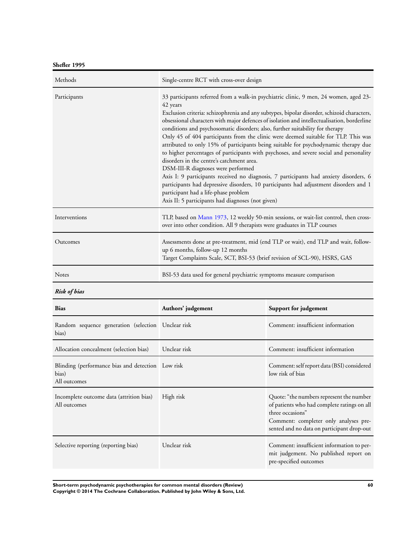**Shefler 1995**

| Methods             | Single-centre RCT with cross-over design                                                                                                                                                                                                                                                                                                                                                                                                                                                                                                                                                                                                                                                                                                                                                                                                                                                                                                                                                                                  |                                  |
|---------------------|---------------------------------------------------------------------------------------------------------------------------------------------------------------------------------------------------------------------------------------------------------------------------------------------------------------------------------------------------------------------------------------------------------------------------------------------------------------------------------------------------------------------------------------------------------------------------------------------------------------------------------------------------------------------------------------------------------------------------------------------------------------------------------------------------------------------------------------------------------------------------------------------------------------------------------------------------------------------------------------------------------------------------|----------------------------------|
| Participants        | 33 participants referred from a walk-in psychiatric clinic, 9 men, 24 women, aged 23-<br>42 years<br>Exclusion criteria: schizophrenia and any subtypes, bipolar disorder, schizoid characters,<br>obsessional characters with major defences of isolation and intellectualisation, borderline<br>conditions and psychosomatic disorders; also, further suitability for therapy<br>Only 45 of 404 participants from the clinic were deemed suitable for TLP. This was<br>attributed to only 15% of participants being suitable for psychodynamic therapy due<br>to higher percentages of participants with psychoses, and severe social and personality<br>disorders in the centre's catchment area.<br>DSM-III-R diagnoses were performed<br>Axis I: 9 participants received no diagnosis, 7 participants had anxiety disorders, 6<br>participants had depressive disorders, 10 participants had adjustment disorders and 1<br>participant had a life-phase problem<br>Axis II: 5 participants had diagnoses (not given) |                                  |
| Interventions       | TLP, based on Mann 1973, 12 weekly 50-min sessions, or wait-list control, then cross-<br>over into other condition. All 9 therapists were graduates in TLP courses                                                                                                                                                                                                                                                                                                                                                                                                                                                                                                                                                                                                                                                                                                                                                                                                                                                        |                                  |
| Outcomes            | Assessments done at pre-treatment, mid (end TLP or wait), end TLP and wait, follow-<br>up 6 months, follow-up 12 months<br>Target Complaints Scale, SCT, BSI-53 (brief revision of SCL-90), HSRS, GAS                                                                                                                                                                                                                                                                                                                                                                                                                                                                                                                                                                                                                                                                                                                                                                                                                     |                                  |
| <b>Notes</b>        | BSI-53 data used for general psychiatric symptoms measure comparison                                                                                                                                                                                                                                                                                                                                                                                                                                                                                                                                                                                                                                                                                                                                                                                                                                                                                                                                                      |                                  |
| <b>Risk of bias</b> |                                                                                                                                                                                                                                                                                                                                                                                                                                                                                                                                                                                                                                                                                                                                                                                                                                                                                                                                                                                                                           |                                  |
| <b>Bias</b>         | Authors' judgement                                                                                                                                                                                                                                                                                                                                                                                                                                                                                                                                                                                                                                                                                                                                                                                                                                                                                                                                                                                                        | Support for judgement            |
|                     |                                                                                                                                                                                                                                                                                                                                                                                                                                                                                                                                                                                                                                                                                                                                                                                                                                                                                                                                                                                                                           | $\alpha \cdot \cdot \cdot \cdot$ |

| Random sequence generation (selection Unclear risk<br>bias)                |              | Comment: insufficient information                                                                                                                                                                  |
|----------------------------------------------------------------------------|--------------|----------------------------------------------------------------------------------------------------------------------------------------------------------------------------------------------------|
| Allocation concealment (selection bias)                                    | Unclear risk | Comment: insufficient information                                                                                                                                                                  |
| Blinding (performance bias and detection Low risk<br>bias)<br>All outcomes |              | Comment: self report data (BSI) considered<br>low risk of bias                                                                                                                                     |
| Incomplete outcome data (attrition bias)<br>All outcomes                   | High risk    | Quote: "the numbers represent the number<br>of patients who had complete ratings on all<br>three occasions"<br>Comment: completer only analyses pre-<br>sented and no data on participant drop-out |
| Selective reporting (reporting bias)                                       | Unclear risk | Comment: insufficient information to per-<br>mit judgement. No published report on<br>pre-specified outcomes                                                                                       |

**Short-term psychodynamic psychotherapies for common mental disorders (Review) 60 Copyright © 2014 The Cochrane Collaboration. Published by John Wiley & Sons, Ltd.**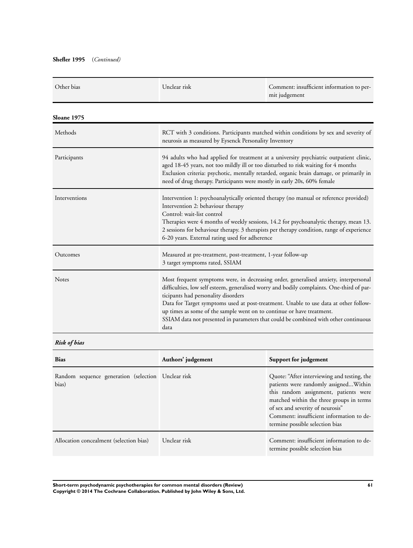| Other bias    | Unclear risk                                                                                                                                                                                                                                                                                                                                                                                     | Comment: insufficient information to per-<br>mit judgement                                                                                                                                                                                                                                                                                                       |
|---------------|--------------------------------------------------------------------------------------------------------------------------------------------------------------------------------------------------------------------------------------------------------------------------------------------------------------------------------------------------------------------------------------------------|------------------------------------------------------------------------------------------------------------------------------------------------------------------------------------------------------------------------------------------------------------------------------------------------------------------------------------------------------------------|
| Sloane 1975   |                                                                                                                                                                                                                                                                                                                                                                                                  |                                                                                                                                                                                                                                                                                                                                                                  |
| Methods       | RCT with 3 conditions. Participants matched within conditions by sex and severity of<br>neurosis as measured by Eysenck Personality Inventory                                                                                                                                                                                                                                                    |                                                                                                                                                                                                                                                                                                                                                                  |
| Participants  | 94 adults who had applied for treatment at a university psychiatric outpatient clinic,<br>aged 18-45 years, not too mildly ill or too disturbed to risk waiting for 4 months<br>Exclusion criteria: psychotic, mentally retarded, organic brain damage, or primarily in<br>need of drug therapy. Participants were mostly in early 20s, 60% female                                               |                                                                                                                                                                                                                                                                                                                                                                  |
| Interventions | Intervention 1: psychoanalytically oriented therapy (no manual or reference provided)<br>Intervention 2: behaviour therapy<br>Control: wait-list control<br>Therapies were 4 months of weekly sessions, 14.2 for psychoanalytic therapy, mean 13.<br>2 sessions for behaviour therapy. 3 therapists per therapy condition, range of experience<br>6-20 years. External rating used for adherence |                                                                                                                                                                                                                                                                                                                                                                  |
| Outcomes      | Measured at pre-treatment, post-treatment, 1-year follow-up<br>3 target symptoms rated, SSIAM                                                                                                                                                                                                                                                                                                    |                                                                                                                                                                                                                                                                                                                                                                  |
| Notes         | ticipants had personality disorders<br>up times as some of the sample went on to continue or have treatment.<br>data                                                                                                                                                                                                                                                                             | Most frequent symptoms were, in decreasing order, generalised anxiety, interpersonal<br>difficulties, low self esteem, generalised worry and bodily complaints. One-third of par-<br>Data for Target symptoms used at post-treatment. Unable to use data at other follow-<br>SSIAM data not presented in parameters that could be combined with other continuous |

### *Risk of bias*

| <b>Bias</b>                                                 | Authors' judgement | Support for judgement                                                                                                                                                                                                                                                                        |
|-------------------------------------------------------------|--------------------|----------------------------------------------------------------------------------------------------------------------------------------------------------------------------------------------------------------------------------------------------------------------------------------------|
| Random sequence generation (selection Unclear risk<br>bias) |                    | Quote: "After interviewing and testing, the<br>patients were randomly assignedWithin<br>this random assignment, patients were<br>matched within the three groups in terms<br>of sex and severity of neurosis"<br>Comment: insufficient information to de-<br>termine possible selection bias |
| Allocation concealment (selection bias)                     | Unclear risk       | Comment: insufficient information to de-<br>termine possible selection bias                                                                                                                                                                                                                  |

**Short-term psychodynamic psychotherapies for common mental disorders (Review) 61 Copyright © 2014 The Cochrane Collaboration. Published by John Wiley & Sons, Ltd.**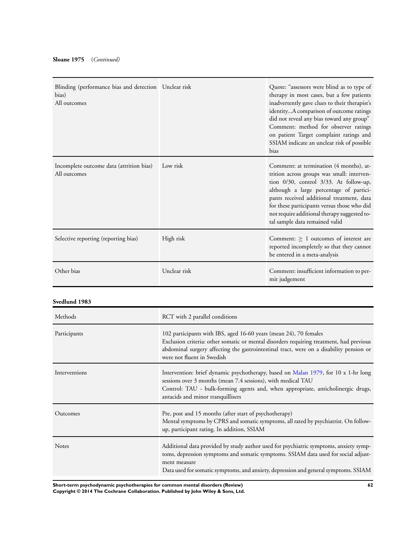| Blinding (performance bias and detection Unclear risk<br>bias)<br>All outcomes |              | Quote: "assessors were blind as to type of<br>therapy in most cases, but a few patients<br>inadvertently gave clues to their therapist's<br>identityA comparison of outcome ratings<br>did not reveal any bias toward any group"<br>Comment: method for observer ratings<br>on patient Target complaint ratings and<br>SSIAM indicate an unclear risk of possible<br>bias |
|--------------------------------------------------------------------------------|--------------|---------------------------------------------------------------------------------------------------------------------------------------------------------------------------------------------------------------------------------------------------------------------------------------------------------------------------------------------------------------------------|
| Incomplete outcome data (attrition bias)<br>All outcomes                       | Low risk     | Comment: at termination (4 months), at-<br>trition across groups was small: interven-<br>tion $0/30$ , control $3/33$ . At follow-up,<br>although a large percentage of partici-<br>pants received additional treatment, data<br>for these participants versus those who did<br>not require additional therapy suggested to-<br>tal sample data remained valid            |
| Selective reporting (reporting bias)                                           | High risk    | Comment: $\geq 1$ outcomes of interest are<br>reported incompletely so that they cannot<br>be entered in a meta-analysis                                                                                                                                                                                                                                                  |
| Other bias                                                                     | Unclear risk | Comment: insufficient information to per-<br>mit judgement                                                                                                                                                                                                                                                                                                                |

### **Svedlund 1983**

| Methods       | RCT with 2 parallel conditions                                                                                                                                                                                                                                                        |
|---------------|---------------------------------------------------------------------------------------------------------------------------------------------------------------------------------------------------------------------------------------------------------------------------------------|
| Participants  | 102 participants with IBS, aged 16-60 years (mean 24), 70 females<br>Exclusion criteria: other somatic or mental disorders requiring treatment, had previous<br>abdominal surgery affecting the gastrointestinal tract, were on a disability pension or<br>were not fluent in Swedish |
| Interventions | Intervention: brief dynamic psychotherapy, based on Malan 1979, for 10 x 1-hr long<br>sessions over 3 months (mean 7.4 sessions), with medical TAU<br>Control: TAU - bulk-forming agents and, when appropriate, anticholinergic drugs,<br>antacids and minor tranquillisers           |
| Outcomes      | Pre, post and 15 months (after start of psychotherapy)<br>Mental symptoms by CPRS and somatic symptoms, all rated by psychiatrist. On follow-<br>up, participant rating. In addition, SSIAM                                                                                           |
| <b>Notes</b>  | Additional data provided by study author used for psychiatric symptoms, anxiety symp-<br>toms, depression symptoms and somatic symptoms. SSIAM data used for social adjust-<br>ment measure<br>Data used for somatic symptoms, and anxiety, depression and general symptoms. SSIAM    |

**Short-term psychodynamic psychotherapies for common mental disorders (Review) 62 Copyright © 2014 The Cochrane Collaboration. Published by John Wiley & Sons, Ltd.**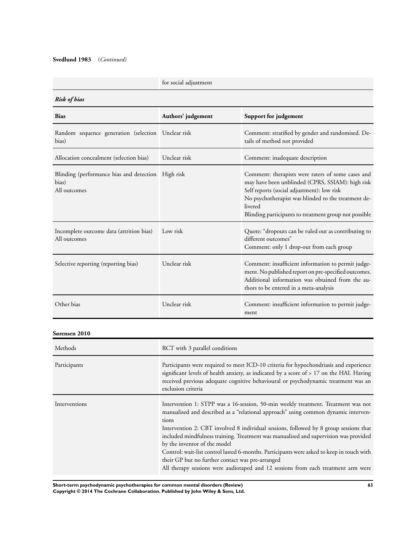### **Svedlund 1983** (*Continued)*

### for social adjustment

| <b>Risk of bias</b>                                                         |                                                                                                                                                                                                                                                                                                                                                                                                                                                                                                                                                                                                                                         |                                                                                                                                                                                                                                                                                |
|-----------------------------------------------------------------------------|-----------------------------------------------------------------------------------------------------------------------------------------------------------------------------------------------------------------------------------------------------------------------------------------------------------------------------------------------------------------------------------------------------------------------------------------------------------------------------------------------------------------------------------------------------------------------------------------------------------------------------------------|--------------------------------------------------------------------------------------------------------------------------------------------------------------------------------------------------------------------------------------------------------------------------------|
| <b>Bias</b>                                                                 | Authors' judgement                                                                                                                                                                                                                                                                                                                                                                                                                                                                                                                                                                                                                      | Support for judgement                                                                                                                                                                                                                                                          |
| Random sequence generation (selection Unclear risk<br>bias)                 |                                                                                                                                                                                                                                                                                                                                                                                                                                                                                                                                                                                                                                         | Comment: stratified by gender and randomised. De-<br>tails of method not provided                                                                                                                                                                                              |
| Allocation concealment (selection bias)                                     | Unclear risk                                                                                                                                                                                                                                                                                                                                                                                                                                                                                                                                                                                                                            | Comment: inadequate description                                                                                                                                                                                                                                                |
| Blinding (performance bias and detection High risk<br>bias)<br>All outcomes |                                                                                                                                                                                                                                                                                                                                                                                                                                                                                                                                                                                                                                         | Comment: therapists were raters of some cases and<br>may have been unblinded (CPRS, SSIAM): high risk<br>Self reports (social adjustment): low risk<br>No psychotherapist was blinded to the treatment de-<br>livered<br>Blinding participants to treatment group not possible |
| Incomplete outcome data (attrition bias)<br>All outcomes                    | Low risk                                                                                                                                                                                                                                                                                                                                                                                                                                                                                                                                                                                                                                | Quote: "dropouts can be ruled out as contributing to<br>different outcomes"<br>Comment: only 1 drop-out from each group                                                                                                                                                        |
| Selective reporting (reporting bias)                                        | Unclear risk                                                                                                                                                                                                                                                                                                                                                                                                                                                                                                                                                                                                                            | Comment: insufficient information to permit judge-<br>ment. No published report on pre-specified outcomes.<br>Additional information was obtained from the au-<br>thors to be entered in a meta-analysis                                                                       |
| Other bias                                                                  | Unclear risk                                                                                                                                                                                                                                                                                                                                                                                                                                                                                                                                                                                                                            | Comment: insufficient information to permit judge-<br>ment                                                                                                                                                                                                                     |
| Sørensen 2010                                                               |                                                                                                                                                                                                                                                                                                                                                                                                                                                                                                                                                                                                                                         |                                                                                                                                                                                                                                                                                |
| Methods                                                                     | RCT with 3 parallel conditions                                                                                                                                                                                                                                                                                                                                                                                                                                                                                                                                                                                                          |                                                                                                                                                                                                                                                                                |
| Participants                                                                | exclusion criteria                                                                                                                                                                                                                                                                                                                                                                                                                                                                                                                                                                                                                      | Participants were required to meet ICD-10 criteria for hypochondriasis and experience<br>significant levels of health anxiety, as indicated by a score of > 17 on the HAI. Having<br>received previous adequate cognitive behavioural or psychodynamic treatment was an        |
| Interventions                                                               | Intervention 1: STPP was a 16-session, 50-min weekly treatment. Treatment was not<br>manualised and described as a "relational approach" using common dynamic interven-<br>tions<br>Intervention 2: CBT involved 8 individual sessions, followed by 8 group sessions that<br>included mindfulness training. Treatment was manualised and supervision was provided<br>by the inventor of the model<br>Control: wait-list control lasted 6-months. Participants were asked to keep in touch with<br>their GP but no further contact was pre-arranged<br>All therapy sessions were audiotaped and 12 sessions from each treatment arm were |                                                                                                                                                                                                                                                                                |

**Short-term psychodynamic psychotherapies for common mental disorders (Review) 63**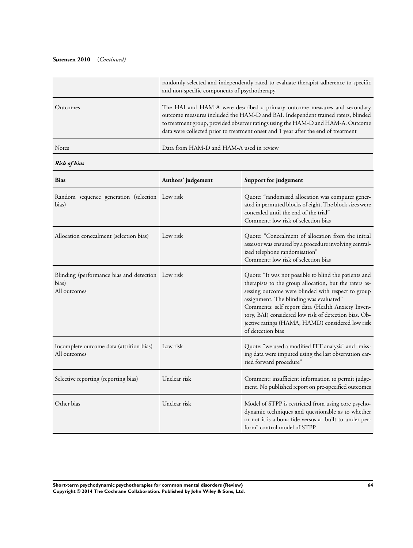### **Sørensen 2010** (*Continued)*

|              | randomly selected and independently rated to evaluate therapist adherence to specific<br>and non-specific components of psychotherapy                                                                                                                                                                                                   |
|--------------|-----------------------------------------------------------------------------------------------------------------------------------------------------------------------------------------------------------------------------------------------------------------------------------------------------------------------------------------|
| Outcomes     | The HAI and HAM-A were described a primary outcome measures and secondary<br>outcome measures included the HAM-D and BAI. Independent trained raters, blinded<br>to treatment group, provided observer ratings using the HAM-D and HAM-A. Outcome<br>data were collected prior to treatment onset and 1 year after the end of treatment |
| <b>Notes</b> | Data from HAM-D and HAM-A used in review                                                                                                                                                                                                                                                                                                |

*Risk of bias*

| <b>Bias</b>                                                                | Authors' judgement | Support for judgement                                                                                                                                                                                                                                                                                                                                                                                   |
|----------------------------------------------------------------------------|--------------------|---------------------------------------------------------------------------------------------------------------------------------------------------------------------------------------------------------------------------------------------------------------------------------------------------------------------------------------------------------------------------------------------------------|
| Random sequence generation (selection Low risk<br>bias)                    |                    | Quote: "randomised allocation was computer gener-<br>ated in permuted blocks of eight. The block sizes were<br>concealed until the end of the trial"<br>Comment: low risk of selection bias                                                                                                                                                                                                             |
| Allocation concealment (selection bias)                                    | Low risk           | Quote: "Concealment of allocation from the initial<br>assessor was ensured by a procedure involving central-<br>ized telephone randomisation"<br>Comment: low risk of selection bias                                                                                                                                                                                                                    |
| Blinding (performance bias and detection Low risk<br>bias)<br>All outcomes |                    | Quote: "It was not possible to blind the patients and<br>therapists to the group allocation, but the raters as-<br>sessing outcome were blinded with respect to group<br>assignment. The blinding was evaluated"<br>Comments: self report data (Health Anxiety Inven-<br>tory, BAI) considered low risk of detection bias. Ob-<br>jective ratings (HAMA, HAMD) considered low risk<br>of detection bias |
| Incomplete outcome data (attrition bias)<br>All outcomes                   | Low risk           | Quote: "we used a modified ITT analysis" and "miss-<br>ing data were imputed using the last observation car-<br>ried forward procedure"                                                                                                                                                                                                                                                                 |
| Selective reporting (reporting bias)                                       | Unclear risk       | Comment: insufficient information to permit judge-<br>ment. No published report on pre-specified outcomes                                                                                                                                                                                                                                                                                               |
| Other bias                                                                 | Unclear risk       | Model of STPP is restricted from using core psycho-<br>dynamic techniques and questionable as to whether<br>or not it is a bona fide versus a "built to under per-<br>form" control model of STPP                                                                                                                                                                                                       |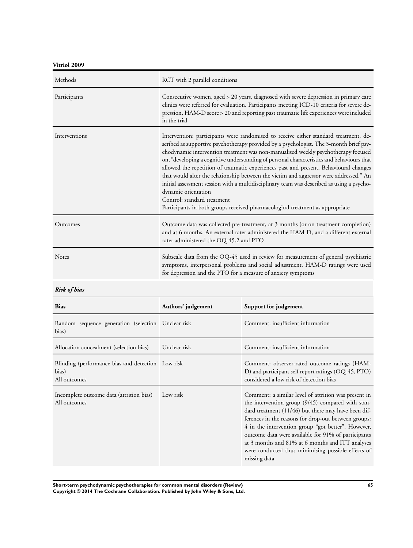**Vitriol 2009**

| Methods       | RCT with 2 parallel conditions                                                                                                                                                                                                                                                                                                                                                                                                                                                                                                                                                                                                                                                                                                                                                          |
|---------------|-----------------------------------------------------------------------------------------------------------------------------------------------------------------------------------------------------------------------------------------------------------------------------------------------------------------------------------------------------------------------------------------------------------------------------------------------------------------------------------------------------------------------------------------------------------------------------------------------------------------------------------------------------------------------------------------------------------------------------------------------------------------------------------------|
| Participants  | Consecutive women, aged > 20 years, diagnosed with severe depression in primary care<br>clinics were referred for evaluation. Participants meeting ICD-10 criteria for severe de-<br>pression, HAM-D score > 20 and reporting past traumatic life experiences were included<br>in the trial                                                                                                                                                                                                                                                                                                                                                                                                                                                                                             |
| Interventions | Intervention: participants were randomised to receive either standard treatment, de-<br>scribed as supportive psychotherapy provided by a psychologist. The 3-month brief psy-<br>chodynamic intervention treatment was non-manualised weekly psychotherapy focused<br>on, "developing a cognitive understanding of personal characteristics and behaviours that<br>allowed the repetition of traumatic experiences past and present. Behavioural changes<br>that would alter the relationship between the victim and aggressor were addressed." An<br>initial assessment session with a multidisciplinary team was described as using a psycho-<br>dynamic orientation<br>Control: standard treatment<br>Participants in both groups received pharmacological treatment as appropriate |
| Outcomes      | Outcome data was collected pre-treatment, at 3 months (or on treatment completion)<br>and at 6 months. An external rater administered the HAM-D, and a different external<br>rater administered the OQ-45.2 and PTO                                                                                                                                                                                                                                                                                                                                                                                                                                                                                                                                                                     |
| <b>Notes</b>  | Subscale data from the OQ-45 used in review for measurement of general psychiatric<br>symptoms, interpersonal problems and social adjustment. HAM-D ratings were used<br>for depression and the PTO for a measure of anxiety symptoms                                                                                                                                                                                                                                                                                                                                                                                                                                                                                                                                                   |

*Risk of bias*

| <b>Bias</b>                                                                | Authors' judgement | Support for judgement                                                                                                                                                                                                                                                                                                                                                                                                                                           |
|----------------------------------------------------------------------------|--------------------|-----------------------------------------------------------------------------------------------------------------------------------------------------------------------------------------------------------------------------------------------------------------------------------------------------------------------------------------------------------------------------------------------------------------------------------------------------------------|
| Random sequence generation (selection Unclear risk<br>bias)                |                    | Comment: insufficient information                                                                                                                                                                                                                                                                                                                                                                                                                               |
| Allocation concealment (selection bias)                                    | Unclear risk       | Comment: insufficient information                                                                                                                                                                                                                                                                                                                                                                                                                               |
| Blinding (performance bias and detection Low risk<br>bias)<br>All outcomes |                    | Comment: observer-rated outcome ratings (HAM-<br>D) and participant self report ratings (OQ-45, PTO)<br>considered a low risk of detection bias                                                                                                                                                                                                                                                                                                                 |
| Incomplete outcome data (attrition bias)<br>All outcomes                   | Low risk           | Comment: a similar level of attrition was present in<br>the intervention group (9/45) compared with stan-<br>dard treatment (11/46) but there may have been dif-<br>ferences in the reasons for drop-out between groups:<br>4 in the intervention group "got better". However,<br>outcome data were available for 91% of participants<br>at 3 months and 81% at 6 months and ITT analyses<br>were conducted thus minimising possible effects of<br>missing data |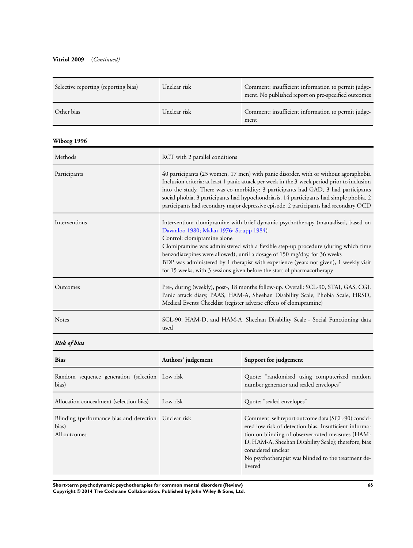### **Vitriol 2009** (*Continued)*

| Selective reporting (reporting bias)                                           | Unclear risk                                                                                                                                                                                                                                                                                                                                                                                                                                                                                       | Comment: insufficient information to permit judge-<br>ment. No published report on pre-specified outcomes                                                                                                                                                                                                                                                                                                                                                     |  |
|--------------------------------------------------------------------------------|----------------------------------------------------------------------------------------------------------------------------------------------------------------------------------------------------------------------------------------------------------------------------------------------------------------------------------------------------------------------------------------------------------------------------------------------------------------------------------------------------|---------------------------------------------------------------------------------------------------------------------------------------------------------------------------------------------------------------------------------------------------------------------------------------------------------------------------------------------------------------------------------------------------------------------------------------------------------------|--|
| Other bias                                                                     | Unclear risk                                                                                                                                                                                                                                                                                                                                                                                                                                                                                       | Comment: insufficient information to permit judge-<br>ment                                                                                                                                                                                                                                                                                                                                                                                                    |  |
| Wiborg 1996                                                                    |                                                                                                                                                                                                                                                                                                                                                                                                                                                                                                    |                                                                                                                                                                                                                                                                                                                                                                                                                                                               |  |
| Methods                                                                        | RCT with 2 parallel conditions                                                                                                                                                                                                                                                                                                                                                                                                                                                                     |                                                                                                                                                                                                                                                                                                                                                                                                                                                               |  |
| Participants                                                                   |                                                                                                                                                                                                                                                                                                                                                                                                                                                                                                    | 40 participants (23 women, 17 men) with panic disorder, with or without agoraphobia<br>Inclusion criteria: at least 1 panic attack per week in the 3-week period prior to inclusion<br>into the study. There was co-morbidity: 3 participants had GAD, 3 had participants<br>social phobia, 3 participants had hypochondriasis, 14 participants had simple phobia, 2<br>participants had secondary major depressive episode, 2 participants had secondary OCD |  |
| Interventions                                                                  | Intervention: clomipramine with brief dynamic psychotherapy (manualised, based on<br>Davanloo 1980; Malan 1976; Strupp 1984)<br>Control: clomipramine alone<br>Clomipramine was administered with a flexible step-up procedure (during which time<br>benzodiazepines were allowed), until a dosage of 150 mg/day, for 36 weeks<br>BDP was administered by 1 therapist with experience (years not given), 1 weekly visit<br>for 15 weeks, with 3 sessions given before the start of pharmacotherapy |                                                                                                                                                                                                                                                                                                                                                                                                                                                               |  |
| Outcomes                                                                       | Pre-, during (weekly), post-, 18 months follow-up. Overall: SCL-90, STAI, GAS, CGI.<br>Panic attack diary, PAAS, HAM-A, Sheehan Disability Scale, Phobia Scale, HRSD,<br>Medical Events Checklist (register adverse effects of clomipramine)                                                                                                                                                                                                                                                       |                                                                                                                                                                                                                                                                                                                                                                                                                                                               |  |
| Notes                                                                          | SCL-90, HAM-D, and HAM-A, Sheehan Disability Scale - Social Functioning data<br>used                                                                                                                                                                                                                                                                                                                                                                                                               |                                                                                                                                                                                                                                                                                                                                                                                                                                                               |  |
| <b>Risk of bias</b>                                                            |                                                                                                                                                                                                                                                                                                                                                                                                                                                                                                    |                                                                                                                                                                                                                                                                                                                                                                                                                                                               |  |
| <b>Bias</b>                                                                    | Authors' judgement                                                                                                                                                                                                                                                                                                                                                                                                                                                                                 | Support for judgement                                                                                                                                                                                                                                                                                                                                                                                                                                         |  |
| Random sequence generation (selection Low risk<br>bias)                        |                                                                                                                                                                                                                                                                                                                                                                                                                                                                                                    | Quote: "randomised using computerized random<br>number generator and sealed envelopes"                                                                                                                                                                                                                                                                                                                                                                        |  |
| Allocation concealment (selection bias)                                        | Low risk                                                                                                                                                                                                                                                                                                                                                                                                                                                                                           | Quote: "sealed envelopes"                                                                                                                                                                                                                                                                                                                                                                                                                                     |  |
| Blinding (performance bias and detection Unclear risk<br>bias)<br>All outcomes |                                                                                                                                                                                                                                                                                                                                                                                                                                                                                                    | Comment: self report outcome data (SCL-90) consid-<br>ered low risk of detection bias. Insufficient informa-<br>tion on blinding of observer-rated measures (HAM-<br>D, HAM-A, Sheehan Disability Scale); therefore, bias<br>considered unclear<br>No psychotherapist was blinded to the treatment de-<br>livered                                                                                                                                             |  |

**Short-term psychodynamic psychotherapies for common mental disorders (Review) 66 Copyright © 2014 The Cochrane Collaboration. Published by John Wiley & Sons, Ltd.**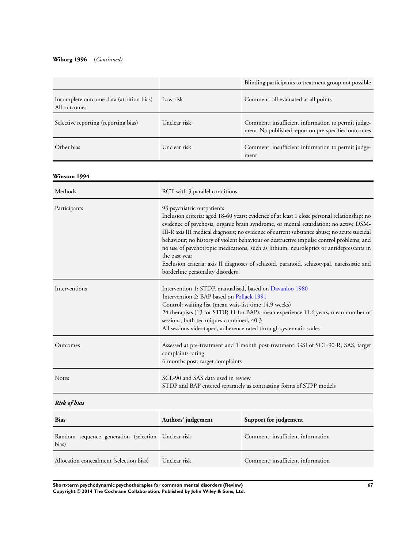### **Wiborg 1996** (*Continued)*

| Low risk<br>Incomplete outcome data (attrition bias)<br>Comment: all evaluated at all points<br>All outcomes<br>Unclear risk<br>Selective reporting (reporting bias)<br>Comment: insufficient information to permit judge-<br>ment. No published report on pre-specified outcomes<br>Other bias<br>Unclear risk<br>Comment: insufficient information to permit judge-<br>ment<br>Methods<br>RCT with 3 parallel conditions<br>Participants<br>93 psychiatric outpatients<br>Inclusion criteria: aged 18-60 years; evidence of at least 1 close personal relationship; no<br>evidence of psychosis, organic brain syndrome, or mental retardation; no active DSM-<br>III-R axis III medical diagnosis; no evidence of current substance abuse; no acute suicidal<br>behaviour; no history of violent behaviour or destructive impulse control problems; and<br>no use of psychotropic medications, such as lithium, neuroleptics or antidepressants in<br>the past year<br>Exclusion criteria: axis II diagnoses of schizoid, paranoid, schizotypal, narcissistic and<br>borderline personality disorders<br>Interventions<br>Intervention 1: STDP, manualised, based on Davanloo 1980<br>Intervention 2: BAP based on Pollack 1991<br>Control: waiting list (mean wait-list time 14.9 weeks)<br>24 therapists (13 for STDP, 11 for BAP), mean experience 11.6 years, mean number of<br>sessions, both techniques combined, 40.3<br>All sessions videotaped, adherence rated through systematic scales<br>Outcomes<br>Assessed at pre-treatment and 1 month post-treatment: GSI of SCL-90-R, SAS, target<br>complaints rating<br>6 months post: target complaints<br>SCL-90 and SAS data used in review<br>Notes<br>STDP and BAP entered separately as contrasting forms of STPP models<br><b>Risk of bias</b><br><b>Bias</b><br>Authors' judgement<br>Support for judgement<br>Comment: insufficient information<br>Random sequence generation (selection<br>Unclear risk<br>bias)<br>Comment: insufficient information<br>Unclear risk<br>Allocation concealment (selection bias) |              |  | Blinding participants to treatment group not possible |
|------------------------------------------------------------------------------------------------------------------------------------------------------------------------------------------------------------------------------------------------------------------------------------------------------------------------------------------------------------------------------------------------------------------------------------------------------------------------------------------------------------------------------------------------------------------------------------------------------------------------------------------------------------------------------------------------------------------------------------------------------------------------------------------------------------------------------------------------------------------------------------------------------------------------------------------------------------------------------------------------------------------------------------------------------------------------------------------------------------------------------------------------------------------------------------------------------------------------------------------------------------------------------------------------------------------------------------------------------------------------------------------------------------------------------------------------------------------------------------------------------------------------------------------------------------------------------------------------------------------------------------------------------------------------------------------------------------------------------------------------------------------------------------------------------------------------------------------------------------------------------------------------------------------------------------------------------------------------------------------------------------------------------------------------------------------------------------|--------------|--|-------------------------------------------------------|
|                                                                                                                                                                                                                                                                                                                                                                                                                                                                                                                                                                                                                                                                                                                                                                                                                                                                                                                                                                                                                                                                                                                                                                                                                                                                                                                                                                                                                                                                                                                                                                                                                                                                                                                                                                                                                                                                                                                                                                                                                                                                                    |              |  |                                                       |
|                                                                                                                                                                                                                                                                                                                                                                                                                                                                                                                                                                                                                                                                                                                                                                                                                                                                                                                                                                                                                                                                                                                                                                                                                                                                                                                                                                                                                                                                                                                                                                                                                                                                                                                                                                                                                                                                                                                                                                                                                                                                                    |              |  |                                                       |
|                                                                                                                                                                                                                                                                                                                                                                                                                                                                                                                                                                                                                                                                                                                                                                                                                                                                                                                                                                                                                                                                                                                                                                                                                                                                                                                                                                                                                                                                                                                                                                                                                                                                                                                                                                                                                                                                                                                                                                                                                                                                                    |              |  |                                                       |
|                                                                                                                                                                                                                                                                                                                                                                                                                                                                                                                                                                                                                                                                                                                                                                                                                                                                                                                                                                                                                                                                                                                                                                                                                                                                                                                                                                                                                                                                                                                                                                                                                                                                                                                                                                                                                                                                                                                                                                                                                                                                                    | Winston 1994 |  |                                                       |
|                                                                                                                                                                                                                                                                                                                                                                                                                                                                                                                                                                                                                                                                                                                                                                                                                                                                                                                                                                                                                                                                                                                                                                                                                                                                                                                                                                                                                                                                                                                                                                                                                                                                                                                                                                                                                                                                                                                                                                                                                                                                                    |              |  |                                                       |
|                                                                                                                                                                                                                                                                                                                                                                                                                                                                                                                                                                                                                                                                                                                                                                                                                                                                                                                                                                                                                                                                                                                                                                                                                                                                                                                                                                                                                                                                                                                                                                                                                                                                                                                                                                                                                                                                                                                                                                                                                                                                                    |              |  |                                                       |
|                                                                                                                                                                                                                                                                                                                                                                                                                                                                                                                                                                                                                                                                                                                                                                                                                                                                                                                                                                                                                                                                                                                                                                                                                                                                                                                                                                                                                                                                                                                                                                                                                                                                                                                                                                                                                                                                                                                                                                                                                                                                                    |              |  |                                                       |
|                                                                                                                                                                                                                                                                                                                                                                                                                                                                                                                                                                                                                                                                                                                                                                                                                                                                                                                                                                                                                                                                                                                                                                                                                                                                                                                                                                                                                                                                                                                                                                                                                                                                                                                                                                                                                                                                                                                                                                                                                                                                                    |              |  |                                                       |
|                                                                                                                                                                                                                                                                                                                                                                                                                                                                                                                                                                                                                                                                                                                                                                                                                                                                                                                                                                                                                                                                                                                                                                                                                                                                                                                                                                                                                                                                                                                                                                                                                                                                                                                                                                                                                                                                                                                                                                                                                                                                                    |              |  |                                                       |
|                                                                                                                                                                                                                                                                                                                                                                                                                                                                                                                                                                                                                                                                                                                                                                                                                                                                                                                                                                                                                                                                                                                                                                                                                                                                                                                                                                                                                                                                                                                                                                                                                                                                                                                                                                                                                                                                                                                                                                                                                                                                                    |              |  |                                                       |
|                                                                                                                                                                                                                                                                                                                                                                                                                                                                                                                                                                                                                                                                                                                                                                                                                                                                                                                                                                                                                                                                                                                                                                                                                                                                                                                                                                                                                                                                                                                                                                                                                                                                                                                                                                                                                                                                                                                                                                                                                                                                                    |              |  |                                                       |
|                                                                                                                                                                                                                                                                                                                                                                                                                                                                                                                                                                                                                                                                                                                                                                                                                                                                                                                                                                                                                                                                                                                                                                                                                                                                                                                                                                                                                                                                                                                                                                                                                                                                                                                                                                                                                                                                                                                                                                                                                                                                                    |              |  |                                                       |
|                                                                                                                                                                                                                                                                                                                                                                                                                                                                                                                                                                                                                                                                                                                                                                                                                                                                                                                                                                                                                                                                                                                                                                                                                                                                                                                                                                                                                                                                                                                                                                                                                                                                                                                                                                                                                                                                                                                                                                                                                                                                                    |              |  |                                                       |

**Short-term psychodynamic psychotherapies for common mental disorders (Review) 67 Copyright © 2014 The Cochrane Collaboration. Published by John Wiley & Sons, Ltd.**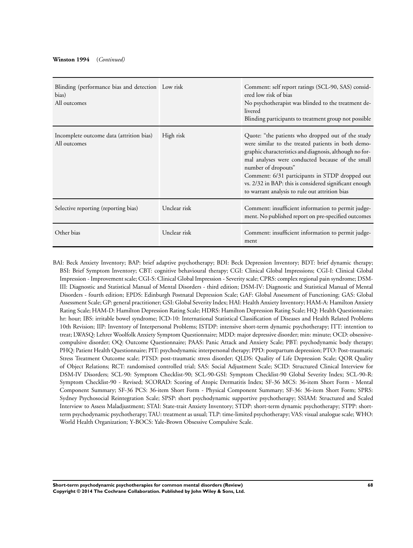| Blinding (performance bias and detection Low risk<br>bias)<br>All outcomes |              | Comment: self report ratings (SCL-90, SAS) consid-<br>ered low risk of bias<br>No psychotherapist was blinded to the treatment de-<br>livered<br>Blinding participants to treatment group not possible                                                                                                                                                                                                      |
|----------------------------------------------------------------------------|--------------|-------------------------------------------------------------------------------------------------------------------------------------------------------------------------------------------------------------------------------------------------------------------------------------------------------------------------------------------------------------------------------------------------------------|
| Incomplete outcome data (attrition bias)<br>All outcomes                   | High risk    | Quote: "the patients who dropped out of the study<br>were similar to the treated patients in both demo-<br>graphic characteristics and diagnosis, although no for-<br>mal analyses were conducted because of the small<br>number of dropouts"<br>Comment: 6/31 participants in STDP dropped out<br>vs. 2/32 in BAP: this is considered significant enough<br>to warrant analysis to rule out attrition bias |
| Selective reporting (reporting bias)                                       | Unclear risk | Comment: insufficient information to permit judge-<br>ment. No published report on pre-specified outcomes                                                                                                                                                                                                                                                                                                   |
| Other bias                                                                 | Unclear risk | Comment: insufficient information to permit judge-<br>ment                                                                                                                                                                                                                                                                                                                                                  |

BAI: Beck Anxiety Inventory; BAP: brief adaptive psychotherapy; BDI: Beck Depression Inventory; BDT: brief dynamic therapy; BSI: Brief Symptom Inventory; CBT: cognitive behavioural therapy; CGI: Clinical Global Impressions; CGI-I: Clinical Global Impression - Improvement scale; CGI-S: Clinical Global Impression - Severity scale; CPRS: complex regional pain syndrome; DSM-III: Diagnostic and Statistical Manual of Mental Disorders - third edition; DSM-IV: Diagnostic and Statistical Manual of Mental Disorders - fourth edition; EPDS: Edinburgh Postnatal Depression Scale; GAF: Global Assessment of Functioning; GAS: Global Assessment Scale; GP: general practitioner; GSI: Global Severity Index; HAI: Health Anxiety Inventory; HAM-A: Hamilton Anxiety Rating Scale; HAM-D: Hamilton Depression Rating Scale; HDRS: Hamilton Depression Rating Scale; HQ: Health Questionnaire; hr: hour; IBS: irritable bowel syndrome; ICD-10: International Statistical Classification of Diseases and Health Related Problems 10th Revision; IIP: Inventory of Interpersonal Problems; ISTDP: intensive short-term dynamic psychotherapy; ITT: intention to treat; LWASQ: Lehrer Woolfolk Anxiety Symptom Questionnaire; MDD: major depressive disorder; min: minute; OCD: obsessivecompulsive disorder; OQ: Outcome Questionnaire; PAAS: Panic Attack and Anxiety Scale; PBT: psychodynamic body therapy; PHQ: Patient Health Questionnaire; PIT: psychodynamic interpersonal therapy; PPD: postpartum depression; PTO: Post-traumatic Stress Treatment Outcome scale; PTSD: post-traumatic stress disorder; QLDS: Quality of Life Depression Scale; QOR Quality of Object Relations; RCT: randomised controlled trial; SAS: Social Adjustment Scale; SCID: Structured Clinical Interview for DSM-IV Disorders; SCL-90: Symptom Checklist-90; SCL-90-GSI: Symptom Checklist-90 Global Severity Index; SCL-90-R: Symptom Checklist-90 - Revised; SCORAD: Scoring of Atopic Dermatitis Index; SF-36 MCS: 36-item Short Form - Mental Component Summary; SF-36 PCS: 36-item Short Form - Physical Component Summary; SF-36: 36-item Short Form; SPRS: Sydney Psychosocial Reintegration Scale; SPSP: short psychodynamic supportive psychotherapy; SSIAM: Structured and Scaled Interview to Assess Maladjustment; STAI: State-trait Anxiety Inventory; STDP: short-term dynamic psychotherapy; STPP: shortterm psychodynamic psychotherapy; TAU: treatment as usual; TLP: time-limited psychotherapy; VAS: visual analogue scale; WHO: World Health Organization; Y-BOCS: Yale-Brown Obsessive Compulsive Scale.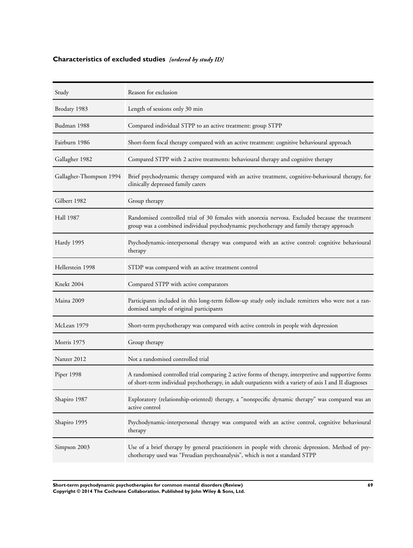## **Characteristics of excluded studies** *[ordered by study ID]*

| Study                   | Reason for exclusion                                                                                                                                                                                           |
|-------------------------|----------------------------------------------------------------------------------------------------------------------------------------------------------------------------------------------------------------|
| Brodaty 1983            | Length of sessions only 30 min                                                                                                                                                                                 |
| Budman 1988             | Compared individual STPP to an active treatment: group STPP                                                                                                                                                    |
| Fairburn 1986           | Short-form focal therapy compared with an active treatment: cognitive behavioural approach                                                                                                                     |
| Gallagher 1982          | Compared STPP with 2 active treatments: behavioural therapy and cognitive therapy                                                                                                                              |
| Gallagher-Thompson 1994 | Brief psychodynamic therapy compared with an active treatment, cognitive-behavioural therapy, for<br>clinically depressed family carers                                                                        |
| Gilbert 1982            | Group therapy                                                                                                                                                                                                  |
| <b>Hall 1987</b>        | Randomised controlled trial of 30 females with anorexia nervosa. Excluded because the treatment<br>group was a combined individual psychodynamic psychotherapy and family therapy approach                     |
| Hardy 1995              | Psychodynamic-interpersonal therapy was compared with an active control: cognitive behavioural<br>therapy                                                                                                      |
| Hellerstein 1998        | STDP was compared with an active treatment control                                                                                                                                                             |
| Knekt 2004              | Compared STPP with active comparators                                                                                                                                                                          |
| Maina 2009              | Participants included in this long-term follow-up study only include remitters who were not a ran-<br>domised sample of original participants                                                                  |
| McLean 1979             | Short-term psychotherapy was compared with active controls in people with depression                                                                                                                           |
| Morris 1975             | Group therapy                                                                                                                                                                                                  |
| Nanzer 2012             | Not a randomised controlled trial                                                                                                                                                                              |
| Piper 1998              | A randomised controlled trial comparing 2 active forms of therapy, interpretive and supportive forms<br>of short-term individual psychotherapy, in adult outpatients with a variety of axis I and II diagnoses |
| Shapiro 1987            | Exploratory (relationship-oriented) therapy, a "nonspecific dynamic therapy" was compared was an<br>active control                                                                                             |
| Shapiro 1995            | Psychodynamic-interpersonal therapy was compared with an active control, cognitive behavioural<br>therapy                                                                                                      |
| Simpson 2003            | Use of a brief therapy by general practitioners in people with chronic depression. Method of psy-<br>chotherapy used was "Freudian psychoanalysis", which is not a standard STPP                               |

**Short-term psychodynamic psychotherapies for common mental disorders (Review) 69 Copyright © 2014 The Cochrane Collaboration. Published by John Wiley & Sons, Ltd.**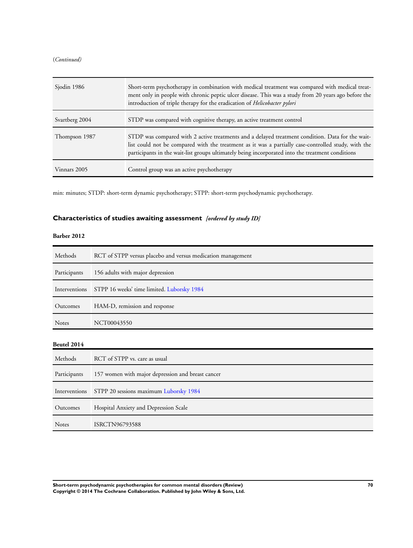#### (*Continued)*

| Sjodin 1986    | Short-term psychotherapy in combination with medical treatment was compared with medical treat-<br>ment only in people with chronic peptic ulcer disease. This was a study from 20 years ago before the<br>introduction of triple therapy for the eradication of Helicobacter pylori                        |
|----------------|-------------------------------------------------------------------------------------------------------------------------------------------------------------------------------------------------------------------------------------------------------------------------------------------------------------|
| Svartberg 2004 | STDP was compared with cognitive therapy, an active treatment control                                                                                                                                                                                                                                       |
| Thompson 1987  | STDP was compared with 2 active treatments and a delayed treatment condition. Data for the wait-<br>list could not be compared with the treatment as it was a partially case-controlled study, with the<br>participants in the wait-list groups ultimately being incorporated into the treatment conditions |
| Vinnars 2005   | Control group was an active psychotherapy                                                                                                                                                                                                                                                                   |

min: minutes; STDP: short-term dynamic psychotherapy; STPP: short-term psychodynamic psychotherapy.

# **Characteristics of studies awaiting assessment** *[ordered by study ID]*

### **Barber 2012**

| Methods      | RCT of STPP versus placebo and versus medication management |
|--------------|-------------------------------------------------------------|
| Participants | 156 adults with major depression                            |
|              | Interventions STPP 16 weeks' time limited. Luborsky 1984    |
| Outcomes     | HAM-D, remission and response                               |
| <b>Notes</b> | NCT00043550                                                 |

### **Beutel 2014**

| Methods      | RCT of STPP vs. care as usual                        |
|--------------|------------------------------------------------------|
| Participants | 157 women with major depression and breast cancer    |
|              | Interventions STPP 20 sessions maximum Luborsky 1984 |
| Outcomes     | Hospital Anxiety and Depression Scale                |
| <b>Notes</b> | ISRCTN96793588                                       |

**Short-term psychodynamic psychotherapies for common mental disorders (Review) 70 Copyright © 2014 The Cochrane Collaboration. Published by John Wiley & Sons, Ltd.**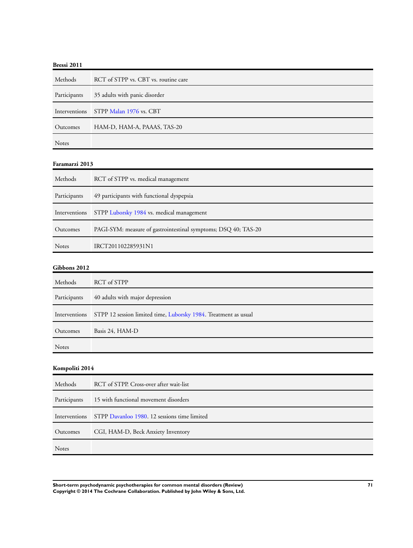| Methods      | RCT of STPP vs. CBT vs. routine care  |
|--------------|---------------------------------------|
| Participants | 35 adults with panic disorder         |
|              | Interventions STPP Malan 1976 vs. CBT |
| Outcomes     | HAM-D, HAM-A, PAAAS, TAS-20           |
| <b>Notes</b> |                                       |

#### **Faramarzi 2013**

| Methods       | RCT of STPP vs. medical management                             |
|---------------|----------------------------------------------------------------|
| Participants  | 49 participants with functional dyspepsia                      |
| Interventions | STPP Luborsky 1984 vs. medical management                      |
| Outcomes      | PAGI-SYM: measure of gastrointestinal symptoms; DSQ 40; TAS-20 |
| <b>Notes</b>  | IRCT201102285931N1                                             |

### **Gibbons 2012**

| Methods      | RCT of STPP                                                                   |
|--------------|-------------------------------------------------------------------------------|
| Participants | 40 adults with major depression                                               |
|              | Interventions STPP 12 session limited time, Luborsky 1984. Treatment as usual |
| Outcomes     | Basis 24, HAM-D                                                               |
| <b>Notes</b> |                                                                               |

## **Kompoliti 2014**

| Methods      | RCT of STPP. Cross-over after wait-list                    |
|--------------|------------------------------------------------------------|
| Participants | 15 with functional movement disorders                      |
|              | Interventions STPP Davanloo 1980, 12 sessions time limited |
| Outcomes     | CGI, HAM-D, Beck Anxiety Inventory                         |
| <b>Notes</b> |                                                            |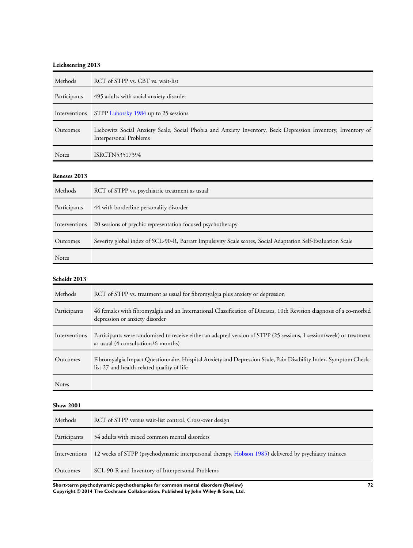### **Leichsenring 2013**

| Methods          | RCT of STPP vs. CBT vs. wait-list                                                                                                                             |
|------------------|---------------------------------------------------------------------------------------------------------------------------------------------------------------|
| Participants     | 495 adults with social anxiety disorder                                                                                                                       |
| Interventions    | STPP Luborsky 1984 up to 25 sessions                                                                                                                          |
| Outcomes         | Liebowitz Social Anxiety Scale, Social Phobia and Anxiety Inventory, Beck Depression Inventory, Inventory of<br><b>Interpersonal Problems</b>                 |
| Notes            | ISRCTN53517394                                                                                                                                                |
| Reneses 2013     |                                                                                                                                                               |
| Methods          | RCT of STPP vs. psychiatric treatment as usual                                                                                                                |
| Participants     | 44 with borderline personality disorder                                                                                                                       |
| Interventions    | 20 sessions of psychic representation focused psychotherapy                                                                                                   |
| Outcomes         | Severity global index of SCL-90-R, Barratt Impulsivity Scale scores, Social Adaptation Self-Evaluation Scale                                                  |
| Notes            |                                                                                                                                                               |
| Scheidt 2013     |                                                                                                                                                               |
| Methods          | RCT of STPP vs. treatment as usual for fibromyalgia plus anxiety or depression                                                                                |
| Participants     | 46 females with fibromyalgia and an International Classification of Diseases, 10th Revision diagnosis of a co-morbid<br>depression or anxiety disorder        |
| Interventions    | Participants were randomised to receive either an adapted version of STPP (25 sessions, 1 session/week) or treatment<br>as usual (4 consultations/6 months)   |
| Outcomes         | Fibromyalgia Impact Questionnaire, Hospital Anxiety and Depression Scale, Pain Disability Index, Symptom Check-<br>list 27 and health-related quality of life |
| Notes            |                                                                                                                                                               |
| <b>Shaw 2001</b> |                                                                                                                                                               |
| Methods          | RCT of STPP versus wait-list control. Cross-over design                                                                                                       |
| Participants     | 54 adults with mixed common mental disorders                                                                                                                  |
| Interventions    | 12 weeks of STPP (psychodynamic interpersonal therapy, Hobson 1985) delivered by psychiatry trainees                                                          |
| Outcomes         | SCL-90-R and Inventory of Interpersonal Problems                                                                                                              |

**Short-term psychodynamic psychotherapies for common mental disorders (Review) 72 Copyright © 2014 The Cochrane Collaboration. Published by John Wiley & Sons, Ltd.**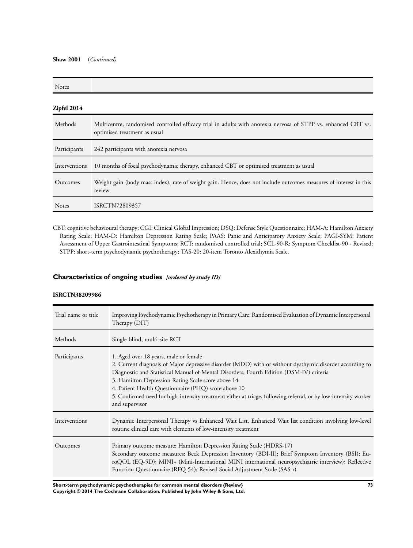#### **Shaw 2001** (*Continued)*

| <b>Notes</b>  |                                                                                                                                                |
|---------------|------------------------------------------------------------------------------------------------------------------------------------------------|
| Zipfel 2014   |                                                                                                                                                |
| Methods       | Multicentre, randomised controlled efficacy trial in adults with anorexia nervosa of STPP vs. enhanced CBT vs.<br>optimised treatment as usual |
| Participants  | 242 participants with anorexia nervosa                                                                                                         |
| Interventions | 10 months of focal psychodynamic therapy, enhanced CBT or optimised treatment as usual                                                         |
| Outcomes      | Weight gain (body mass index), rate of weight gain. Hence, does not include outcomes measures of interest in this<br>review                    |
| <b>Notes</b>  | ISRCTN72809357                                                                                                                                 |

CBT: cognitive behavioural therapy; CGI: Clinical Global Impression; DSQ: Defense Style Questionnaire; HAM-A: Hamilton Anxiety Rating Scale; HAM-D: Hamilton Depression Rating Scale; PAAS: Panic and Anticipatory Anxiety Scale; PAGI-SYM: Patient Assessment of Upper Gastrointestinal Symptoms; RCT: randomised controlled trial; SCL-90-R: Symptom Checklist-90 - Revised; STPP: short-term psychodynamic psychotherapy; TAS-20: 20-item Toronto Alexithymia Scale.

## **Characteristics of ongoing studies** *[ordered by study ID]*

### **ISRCTN38209986**

| Trial name or title | Improving Psychodynamic Psychotherapy in Primary Care: Randomised Evaluation of Dynamic Interpersonal<br>Therapy (DIT)                                                                                                                                                                                                                                                                                                                                                                         |
|---------------------|------------------------------------------------------------------------------------------------------------------------------------------------------------------------------------------------------------------------------------------------------------------------------------------------------------------------------------------------------------------------------------------------------------------------------------------------------------------------------------------------|
| Methods             | Single-blind, multi-site RCT                                                                                                                                                                                                                                                                                                                                                                                                                                                                   |
| Participants        | 1. Aged over 18 years, male or female<br>2. Current diagnosis of Major depressive disorder (MDD) with or without dysthymic disorder according to<br>Diagnostic and Statistical Manual of Mental Disorders, Fourth Edition (DSM-IV) criteria<br>3. Hamilton Depression Rating Scale score above 14<br>4. Patient Health Questionnaire (PHQ) score above 10<br>5. Confirmed need for high-intensity treatment either at triage, following referral, or by low-intensity worker<br>and supervisor |
| Interventions       | Dynamic Interpersonal Therapy vs Enhanced Wait List, Enhanced Wait list condition involving low-level<br>routine clinical care with elements of low-intensity treatment                                                                                                                                                                                                                                                                                                                        |
| Outcomes            | Primary outcome measure: Hamilton Depression Rating Scale (HDRS-17)<br>Secondary outcome measures: Beck Depression Inventory (BDI-II); Brief Symptom Inventory (BSI); Eu-<br>roQOL (EQ-5D); MINI+ (Mini-International MINI international neuropsychiatric interview); Reflective<br>Function Questionnaire (RFQ-54); Revised Social Adjustment Scale (SAS-r)                                                                                                                                   |

**Short-term psychodynamic psychotherapies for common mental disorders (Review) 73 Copyright © 2014 The Cochrane Collaboration. Published by John Wiley & Sons, Ltd.**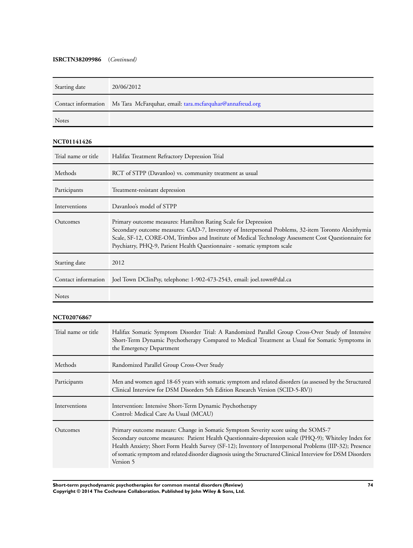### **ISRCTN38209986** (*Continued)*

| Starting date | 20/06/2012                                                                   |
|---------------|------------------------------------------------------------------------------|
|               | Contact information Ms Tara McFarquhar, email: tara.mcfarquhar@annafreud.org |
|               |                                                                              |

Notes

### **NCT01141426**

| Trial name or title | Halifax Treatment Refractory Depression Trial                                                                                                                                                                                                                                                                                                            |
|---------------------|----------------------------------------------------------------------------------------------------------------------------------------------------------------------------------------------------------------------------------------------------------------------------------------------------------------------------------------------------------|
| Methods             | RCT of STPP (Davanloo) vs. community treatment as usual                                                                                                                                                                                                                                                                                                  |
| Participants        | Treatment-resistant depression                                                                                                                                                                                                                                                                                                                           |
| Interventions       | Davanloo's model of STPP                                                                                                                                                                                                                                                                                                                                 |
| Outcomes            | Primary outcome measures: Hamilton Rating Scale for Depression<br>Secondary outcome measures: GAD-7, Inventory of Interpersonal Problems, 32-item Toronto Alexithymia<br>Scale, SF-12, CORE-OM, Trimbos and Institute of Medical Technology Assessment Cost Questionnaire for<br>Psychiatry, PHQ-9, Patient Health Questionnaire - somatic symptom scale |
| Starting date       | 2012                                                                                                                                                                                                                                                                                                                                                     |
| Contact information | Joel Town DClinPsy, telephone: 1-902-473-2543, email: joel.town@dal.ca                                                                                                                                                                                                                                                                                   |
| <b>Notes</b>        |                                                                                                                                                                                                                                                                                                                                                          |

## **NCT02076867**

| Trial name or title | Halifax Somatic Symptom Disorder Trial: A Randomized Parallel Group Cross-Over Study of Intensive<br>Short-Term Dynamic Psychotherapy Compared to Medical Treatment as Usual for Somatic Symptoms in<br>the Emergency Department                                                                                                                                                                                                    |
|---------------------|-------------------------------------------------------------------------------------------------------------------------------------------------------------------------------------------------------------------------------------------------------------------------------------------------------------------------------------------------------------------------------------------------------------------------------------|
| Methods             | Randomized Parallel Group Cross-Over Study                                                                                                                                                                                                                                                                                                                                                                                          |
| Participants        | Men and women aged 18-65 years with somatic symptom and related disorders (as assessed by the Structured<br>Clinical Interview for DSM Disorders 5th Edition Research Version (SCID-5-RV))                                                                                                                                                                                                                                          |
| Interventions       | Intervention: Intensive Short-Term Dynamic Psychotherapy<br>Control: Medical Care As Usual (MCAU)                                                                                                                                                                                                                                                                                                                                   |
| Outcomes            | Primary outcome measure: Change in Somatic Symptom Severity score using the SOMS-7<br>Secondary outcome measures: Patient Health Questionnaire-depression scale (PHQ-9); Whiteley Index for<br>Health Anxiety; Short Form Health Survey (SF-12); Inventory of Interpersonal Problems (IIP-32); Presence<br>of somatic symptom and related disorder diagnosis using the Structured Clinical Interview for DSM Disorders<br>Version 5 |

**Short-term psychodynamic psychotherapies for common mental disorders (Review) 74 Copyright © 2014 The Cochrane Collaboration. Published by John Wiley & Sons, Ltd.**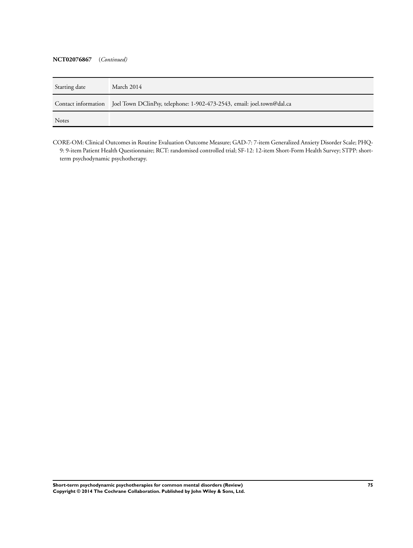#### **NCT02076867** (*Continued)*

| Starting date | March 2014                                                                                 |
|---------------|--------------------------------------------------------------------------------------------|
|               | Contact information Joel Town DClinPsy, telephone: 1-902-473-2543, email: joel.town@dal.ca |
| <b>Notes</b>  |                                                                                            |

CORE-OM: Clinical Outcomes in Routine Evaluation Outcome Measure; GAD-7: 7-item Generalized Anxiety Disorder Scale; PHQ-9: 9-item Patient Health Questionnaire; RCT: randomised controlled trial; SF-12: 12-item Short-Form Health Survey; STPP: shortterm psychodynamic psychotherapy.

**Short-term psychodynamic psychotherapies for common mental disorders (Review) 75 Copyright © 2014 The Cochrane Collaboration. Published by John Wiley & Sons, Ltd.**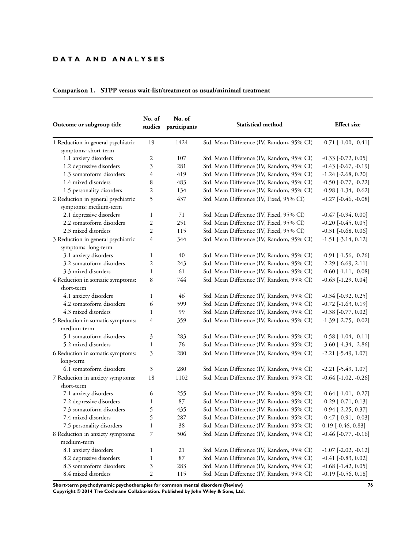## **D A T A A N D A N A L Y S E S**

| Outcome or subgroup title          | No. of<br>studies | No. of<br>participants | Statistical method                        | <b>Effect</b> size            |
|------------------------------------|-------------------|------------------------|-------------------------------------------|-------------------------------|
| 1 Reduction in general psychiatric | 19                | 1424                   | Std. Mean Difference (IV, Random, 95% CI) | $-0.71$ $[-1.00, -0.41]$      |
| symptoms: short-term               |                   |                        |                                           |                               |
| 1.1 anxiety disorders              | 2                 | 107                    | Std. Mean Difference (IV, Random, 95% CI) | $-0.33$ $[-0.72, 0.05]$       |
| 1.2 depressive disorders           | 3                 | 281                    | Std. Mean Difference (IV, Random, 95% CI) | $-0.43$ $[-0.67, -0.19]$      |
| 1.3 somatoform disorders           | 4                 | 419                    | Std. Mean Difference (IV, Random, 95% CI) | $-1.24$ [ $-2.68$ , 0.20]     |
| 1.4 mixed disorders                | 8                 | 483                    | Std. Mean Difference (IV, Random, 95% CI) | $-0.50$ $[-0.77, -0.22]$      |
| 1.5 personality disorders          | 2                 | 134                    | Std. Mean Difference (IV, Random, 95% CI) | $-0.98$ $[-1.34, -0.62]$      |
| 2 Reduction in general psychiatric | 5                 | 437                    | Std. Mean Difference (IV, Fixed, 95% CI)  | $-0.27$ $[-0.46, -0.08]$      |
| symptoms: medium-term              |                   |                        |                                           |                               |
| 2.1 depressive disorders           | $\mathbf{1}$      | 71                     | Std. Mean Difference (IV, Fixed, 95% CI)  | $-0.47$ [ $-0.94$ , $0.00$ ]  |
| 2.2 somatoform disorders           | 2                 | 251                    | Std. Mean Difference (IV, Fixed, 95% CI)  | $-0.20$ [ $-0.45, 0.05$ ]     |
| 2.3 mixed disorders                | $\overline{c}$    | 115                    | Std. Mean Difference (IV, Fixed, 95% CI)  | $-0.31$ [ $-0.68, 0.06$ ]     |
| 3 Reduction in general psychiatric | 4                 | 344                    | Std. Mean Difference (IV, Random, 95% CI) | $-1.51$ $[-3.14, 0.12]$       |
| symptoms: long-term                |                   |                        |                                           |                               |
| 3.1 anxiety disorders              | $\mathbf{1}$      | 40                     | Std. Mean Difference (IV, Random, 95% CI) | $-0.91$ [ $-1.56$ , $-0.26$ ] |
| 3.2 somatoform disorders           | $\overline{2}$    | 243                    | Std. Mean Difference (IV, Random, 95% CI) | $-2.29$ [ $-6.69$ , $2.11$ ]  |
| 3.3 mixed disorders                | $\mathbf{1}$      | 61                     | Std. Mean Difference (IV, Random, 95% CI) | $-0.60$ $[-1.11, -0.08]$      |
| 4 Reduction in somatic symptoms:   | 8                 | 744                    | Std. Mean Difference (IV, Random, 95% CI) | $-0.63$ [ $-1.29, 0.04$ ]     |
| short-term                         |                   |                        |                                           |                               |
| 4.1 anxiety disorders              | $\mathbf{1}$      | 46                     | Std. Mean Difference (IV, Random, 95% CI) | $-0.34$ [ $-0.92, 0.25$ ]     |
| 4.2 somatoform disorders           | 6                 | 599                    | Std. Mean Difference (IV, Random, 95% CI) | $-0.72$ [ $-1.63$ , $0.19$ ]  |
| 4.3 mixed disorders                | $\mathbf{1}$      | 99                     | Std. Mean Difference (IV, Random, 95% CI) | $-0.38$ $[-0.77, 0.02]$       |
| 5 Reduction in somatic symptoms:   | 4                 | 359                    | Std. Mean Difference (IV, Random, 95% CI) | $-1.39$ $[-2.75, -0.02]$      |
| medium-term                        |                   |                        |                                           |                               |
| 5.1 somatoform disorders           | 3                 | 283                    | Std. Mean Difference (IV, Random, 95% CI) | $-0.58$ $[-1.04, -0.11]$      |
| 5.2 mixed disorders                | $\mathbf{1}$      | 76                     | Std. Mean Difference (IV, Random, 95% CI) | $-3.60$ $[-4.34, -2.86]$      |
| 6 Reduction in somatic symptoms:   | 3                 | 280                    | Std. Mean Difference (IV, Random, 95% CI) | $-2.21$ [ $-5.49$ , $1.07$ ]  |
| long-term                          |                   |                        |                                           |                               |
| 6.1 somatoform disorders           | 3                 | 280                    | Std. Mean Difference (IV, Random, 95% CI) | $-2.21$ [ $-5.49$ , $1.07$ ]  |
| 7 Reduction in anxiety symptoms:   | 18                | 1102                   | Std. Mean Difference (IV, Random, 95% CI) | $-0.64$ $[-1.02, -0.26]$      |
| short-term                         |                   |                        |                                           |                               |
| 7.1 anxiety disorders              | 6                 | 255                    | Std. Mean Difference (IV, Random, 95% CI) | $-0.64$ [ $-1.01, -0.27$ ]    |
| 7.2 depressive disorders           | 1                 | 87                     | Std. Mean Difference (IV, Random, 95% CI) | $-0.29$ [ $-0.71, 0.13$ ]     |
| 7.3 somatoform disorders           | 5                 | 435                    | Std. Mean Difference (IV, Random, 95% CI) | $-0.94$ [ $-2.25, 0.37$ ]     |
| 7.4 mixed disorders                | 5                 | 287                    | Std. Mean Difference (IV, Random, 95% CI) | $-0.47$ $[-0.91, -0.03]$      |
| 7.5 personality disorders          | $\mathbf{1}$      | 38                     | Std. Mean Difference (IV, Random, 95% CI) | $0.19$ [-0.46, 0.83]          |
| 8 Reduction in anxiety symptoms:   | 7                 | 506                    | Std. Mean Difference (IV, Random, 95% CI) | $-0.46$ [ $-0.77, -0.16$ ]    |
| medium-term                        |                   |                        |                                           |                               |
| 8.1 anxiety disorders              | 1                 | 21                     | Std. Mean Difference (IV, Random, 95% CI) | $-1.07$ $[-2.02, -0.12]$      |
| 8.2 depressive disorders           | $\mathbf{1}$      | 87                     | Std. Mean Difference (IV, Random, 95% CI) | $-0.41$ [ $-0.83$ , $0.02$ ]  |
| 8.3 somatoform disorders           | 3                 | 283                    | Std. Mean Difference (IV, Random, 95% CI) | $-0.68$ [ $-1.42$ , $0.05$ ]  |
| 8.4 mixed disorders                | $\mathfrak{2}$    | 115                    | Std. Mean Difference (IV, Random, 95% CI) | $-0.19$ $[-0.56, 0.18]$       |

# **Comparison 1. STPP versus wait-list/treatment as usual/minimal treatment**

**Short-term psychodynamic psychotherapies for common mental disorders (Review) 76 Copyright © 2014 The Cochrane Collaboration. Published by John Wiley & Sons, Ltd.**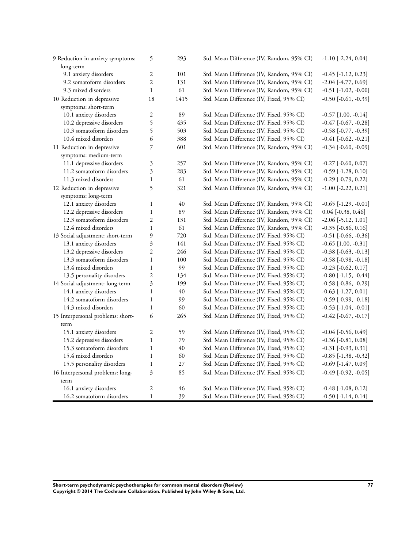| 9 Reduction in anxiety symptoms:  | 5                        | 293  | Std. Mean Difference (IV, Random, 95% CI) | $-1.10$ [ $-2.24$ , $0.04$ ]  |
|-----------------------------------|--------------------------|------|-------------------------------------------|-------------------------------|
| long-term                         |                          |      |                                           |                               |
| 9.1 anxiety disorders             | $\mathfrak{2}$           | 101  | Std. Mean Difference (IV, Random, 95% CI) | $-0.45$ [ $-1.12, 0.23$ ]     |
| 9.2 somatoform disorders          | $\overline{c}$           | 131  | Std. Mean Difference (IV, Random, 95% CI) | $-2.04$ [ $-4.77, 0.69$ ]     |
| 9.3 mixed disorders               | $\mathbf{1}$             | 61   | Std. Mean Difference (IV, Random, 95% CI) | $-0.51$ [ $-1.02$ , $-0.00$ ] |
| 10 Reduction in depressive        | 18                       | 1415 | Std. Mean Difference (IV, Fixed, 95% CI)  | $-0.50$ [ $-0.61, -0.39$ ]    |
| symptoms: short-term              |                          |      |                                           |                               |
| 10.1 anxiety disorders            | 2                        | 89   | Std. Mean Difference (IV, Fixed, 95% CI)  | $-0.57$ [1.00, $-0.14$ ]      |
| 10.2 depressive disorders         | 5                        | 435  | Std. Mean Difference (IV, Fixed, 95% CI)  | $-0.47$ $[-0.67, -0.28]$      |
| 10.3 somatoform disorders         | 5                        | 503  | Std. Mean Difference (IV, Fixed, 95% CI)  | $-0.58$ $[-0.77, -0.39]$      |
| 10.4 mixed disorders              | 6                        | 388  | Std. Mean Difference (IV, Fixed, 95% CI)  | $-0.41$ $[-0.62, -0.21]$      |
| 11 Reduction in depressive        | $\overline{\phantom{a}}$ | 601  | Std. Mean Difference (IV, Random, 95% CI) | $-0.34$ [ $-0.60, -0.09$ ]    |
| symptoms: medium-term             |                          |      |                                           |                               |
| 11.1 depressive disorders         | 3                        | 257  | Std. Mean Difference (IV, Random, 95% CI) | $-0.27$ $[-0.60, 0.07]$       |
| 11.2 somatoform disorders         | $\overline{\mathbf{3}}$  | 283  | Std. Mean Difference (IV, Random, 95% CI) | $-0.59$ [ $-1.28$ , $0.10$ ]  |
| 11.3 mixed disorders              | $\mathbf{1}$             | 61   | Std. Mean Difference (IV, Random, 95% CI) | $-0.29$ [ $-0.79, 0.22$ ]     |
| 12 Reduction in depressive        | 5                        | 321  | Std. Mean Difference (IV, Random, 95% CI) | $-1.00$ $[-2.22, 0.21]$       |
| symptoms: long-term               |                          |      |                                           |                               |
| 12.1 anxiety disorders            | $\mathbf{1}$             | 40   | Std. Mean Difference (IV, Random, 95% CI) | $-0.65$ [ $-1.29, -0.01$ ]    |
| 12.2 depressive disorders         | $\mathbf{1}$             | 89   | Std. Mean Difference (IV, Random, 95% CI) | $0.04$ [-0.38, 0.46]          |
| 12.3 somatoform disorders         | $\overline{2}$           | 131  | Std. Mean Difference (IV, Random, 95% CI) | $-2.06$ [ $-5.12$ , $1.01$ ]  |
| 12.4 mixed disorders              | $\mathbf{1}$             | 61   | Std. Mean Difference (IV, Random, 95% CI) | $-0.35$ [ $-0.86, 0.16$ ]     |
| 13 Social adjustment: short-term  | 9                        | 720  | Std. Mean Difference (IV, Fixed, 95% CI)  | $-0.51$ $[-0.66, -0.36]$      |
| 13.1 anxiety disorders            | 3                        | 141  | Std. Mean Difference (IV, Fixed, 95% CI)  | $-0.65$ [1.00, $-0.31$ ]      |
| 13.2 depressive disorders         | $\overline{2}$           | 246  | Std. Mean Difference (IV, Fixed, 95% CI)  | $-0.38$ $[-0.63, -0.13]$      |
| 13.3 somatoform disorders         | $\mathbf{1}$             | 100  | Std. Mean Difference (IV, Fixed, 95% CI)  | $-0.58$ $[-0.98, -0.18]$      |
| 13.4 mixed disorders              | $\mathbf{1}$             | 99   | Std. Mean Difference (IV, Fixed, 95% CI)  | $-0.23$ [ $-0.62$ , $0.17$ ]  |
| 13.5 personality disorders        | $\overline{2}$           | 134  | Std. Mean Difference (IV, Fixed, 95% CI)  | $-0.80$ [ $-1.15, -0.44$ ]    |
| 14 Social adjustment: long-term   | 3                        | 199  | Std. Mean Difference (IV, Fixed, 95% CI)  | $-0.58$ $[-0.86, -0.29]$      |
| 14.1 anxiety disorders            | $\mathbf{1}$             | 40   | Std. Mean Difference (IV, Fixed, 95% CI)  | $-0.63$ [ $-1.27, 0.01$ ]     |
| 14.2 somatoform disorders         | $\mathbf{1}$             | 99   | Std. Mean Difference (IV, Fixed, 95% CI)  | $-0.59$ $[-0.99, -0.18]$      |
| 14.3 mixed disorders              | $\mathbf{1}$             | 60   | Std. Mean Difference (IV, Fixed, 95% CI)  | $-0.53$ [ $-1.04$ , $-0.01$ ] |
| 15 Interpersonal problems: short- | 6                        | 265  | Std. Mean Difference (IV, Fixed, 95% CI)  | $-0.42$ [ $-0.67, -0.17$ ]    |
| term                              |                          |      |                                           |                               |
| 15.1 anxiety disorders            | $\overline{c}$           | 59   | Std. Mean Difference (IV, Fixed, 95% CI)  | $-0.04$ [ $-0.56$ , $0.49$ ]  |
| 15.2 depressive disorders         | $\mathbf{1}$             | 79   | Std. Mean Difference (IV, Fixed, 95% CI)  | $-0.36$ [ $-0.81, 0.08$ ]     |
| 15.3 somatoform disorders         | $\mathbf{1}$             | 40   | Std. Mean Difference (IV, Fixed, 95% CI)  | $-0.31$ $[-0.93, 0.31]$       |
| 15.4 mixed disorders              | $\mathbf{1}$             | 60   | Std. Mean Difference (IV, Fixed, 95% CI)  | $-0.85$ $[-1.38, -0.32]$      |
| 15.5 personality disorders        | $\mathbf{1}$             | 27   | Std. Mean Difference (IV, Fixed, 95% CI)  | $-0.69$ [ $-1.47, 0.09$ ]     |
| 16 Interpersonal problems: long-  | 3                        | 85   | Std. Mean Difference (IV, Fixed, 95% CI)  | $-0.49$ [ $-0.92, -0.05$ ]    |
| term                              |                          |      |                                           |                               |
| 16.1 anxiety disorders            | 2                        | 46   | Std. Mean Difference (IV, Fixed, 95% CI)  | $-0.48$ [ $-1.08$ , $0.12$ ]  |
| 16.2 somatoform disorders         | $\mathbf{1}$             | 39   | Std. Mean Difference (IV, Fixed, 95% CI)  | $-0.50$ [ $-1.14$ , $0.14$ ]  |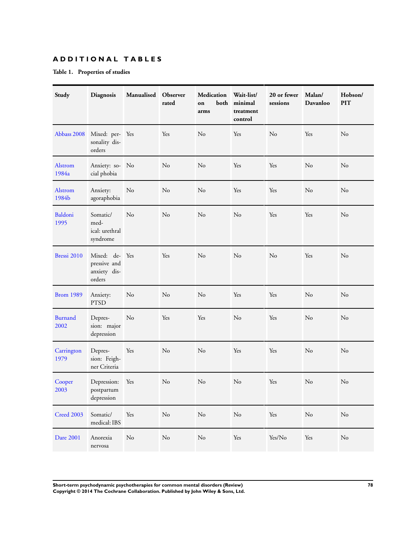## **A D D I T I O N A L T A B L E S**

## **Table 1. Properties of studies**

| Study                  | Diagnosis                                                | Manualised     | Observer<br>rated | <b>Medication</b><br>both<br>on<br>arms | Wait-list/<br>minimal<br>treatment<br>control | 20 or fewer<br>sessions | Malan/<br>Davanloo | Hobson/<br><b>PIT</b> |
|------------------------|----------------------------------------------------------|----------------|-------------------|-----------------------------------------|-----------------------------------------------|-------------------------|--------------------|-----------------------|
| Abbass 2008            | Mixed: per- Yes<br>sonality dis-<br>orders               |                | Yes               | No                                      | Yes                                           | N <sub>o</sub>          | Yes                | N <sub>0</sub>        |
| Alstrom<br>1984a       | Anxiety: so- No<br>cial phobia                           |                | No                | N <sub>o</sub>                          | Yes                                           | Yes                     | N <sub>o</sub>     | No                    |
| Alstrom<br>1984b       | Anxiety:<br>agoraphobia                                  | N <sub>o</sub> | No                | N <sub>o</sub>                          | Yes                                           | Yes                     | No                 | No                    |
| Baldoni<br>1995        | Somatic/<br>med-<br>ical: urethral<br>syndrome           | No             | No                | N <sub>o</sub>                          | No                                            | Yes                     | Yes                | N <sub>o</sub>        |
| Bressi 2010            | Mixed: de- Yes<br>pressive and<br>anxiety dis-<br>orders |                | Yes               | N <sub>o</sub>                          | No                                            | No                      | Yes                | N <sub>o</sub>        |
| <b>Brom 1989</b>       | Anxiety:<br><b>PTSD</b>                                  | No             | No                | N <sub>o</sub>                          | Yes                                           | Yes                     | No                 | No                    |
| <b>Burnand</b><br>2002 | Depres-<br>sion: major<br>depression                     | $\rm No$       | Yes               | Yes                                     | No                                            | Yes                     | N <sub>o</sub>     | No                    |
| Carrington<br>1979     | Depres-<br>sion: Feigh-<br>ner Criteria                  | Yes            | No                | No                                      | Yes                                           | Yes                     | No                 | No                    |
| Cooper<br>2003         | Depression:<br>postpartum<br>depression                  | Yes            | No                | No                                      | No                                            | Yes                     | N <sub>o</sub>     | No                    |
| Creed 2003             | Somatic/<br>medical: IBS                                 | Yes            | $\rm No$          | No                                      | $\rm No$                                      | Yes                     | No                 | No                    |
| Dare 2001              | Anorexia<br>nervosa                                      | N <sub>o</sub> | No                | $\rm No$                                | Yes                                           | Yes/No                  | Yes                | No                    |

**Short-term psychodynamic psychotherapies for common mental disorders (Review) 78 Copyright © 2014 The Cochrane Collaboration. Published by John Wiley & Sons, Ltd.**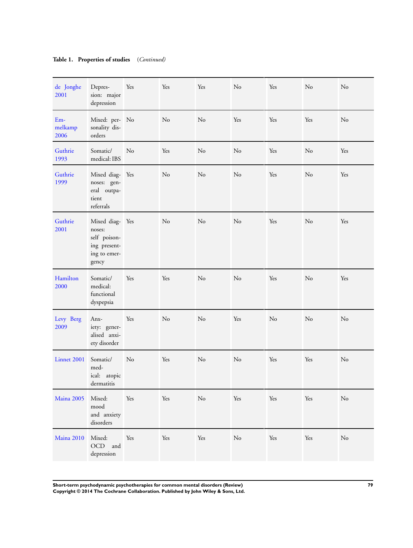## **Table 1. Properties of studies** (*Continued)*

| de Jonghe<br>2001        | Depres-<br>sion: major<br>depression                                               | Yes | Yes      | Yes | No             | Yes | No  | No  |
|--------------------------|------------------------------------------------------------------------------------|-----|----------|-----|----------------|-----|-----|-----|
| $Em-$<br>melkamp<br>2006 | Mixed: per- No<br>sonality dis-<br>orders                                          |     | $\rm No$ | No  | Yes            | Yes | Yes | No  |
| Guthrie<br>1993          | Somatic/<br>medical: IBS                                                           | No  | Yes      | No  | No             | Yes | No  | Yes |
| Guthrie<br>1999          | Mixed diag- Yes<br>noses: gen-<br>eral outpa-<br>tient<br>referrals                |     | $\rm No$ | No  | No             | Yes | No  | Yes |
| Guthrie<br>2001          | Mixed diag- Yes<br>noses:<br>self poison-<br>ing present-<br>ing to emer-<br>gency |     | No       | No  | No             | Yes | No  | Yes |
| Hamilton<br>2000         | Somatic/<br>medical:<br>functional<br>dyspepsia                                    | Yes | Yes      | No  | N <sub>o</sub> | Yes | No  | Yes |
| Levy Berg<br>2009        | Anx-<br>iety: gener-<br>alised anxi-<br>ety disorder                               | Yes | No       | No  | Yes            | No  | No  | No  |
| Linnet 2001              | Somatic/<br>med-<br>ical: atopic<br>dermatitis                                     | No  | Yes      | No  | No             | Yes | Yes | No  |
| Maina 2005               | Mixed:<br>mood<br>and anxiety<br>disorders                                         | Yes | Yes      | No  | Yes            | Yes | Yes | No  |
| Maina 2010               | Mixed:<br>OCD and<br>depression                                                    | Yes | Yes      | Yes | $\rm No$       | Yes | Yes | No  |

**Short-term psychodynamic psychotherapies for common mental disorders (Review) 79 Copyright © 2014 The Cochrane Collaboration. Published by John Wiley & Sons, Ltd.**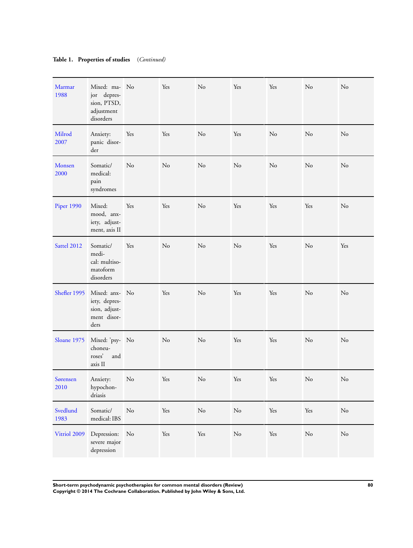## **Table 1. Properties of studies** (*Continued)*

| Marmar<br>1988    | Mixed: ma- No<br>jor depres-<br>sion, PTSD,<br>adjustment<br>disorders  |          | Yes      | No             | Yes      | Yes                  | No       | No             |
|-------------------|-------------------------------------------------------------------------|----------|----------|----------------|----------|----------------------|----------|----------------|
| Milrod<br>2007    | Anxiety:<br>panic disor-<br>der                                         | Yes      | Yes      | No             | Yes      | No                   | No       | No             |
| Monsen<br>2000    | Somatic/<br>medical:<br>pain<br>syndromes                               | No       | No       | No             | No       | No                   | No       | No             |
| <b>Piper 1990</b> | Mixed:<br>mood, anx-<br>iety, adjust-<br>ment, axis II                  | Yes      | Yes      | N <sub>o</sub> | Yes      | Yes                  | Yes      | N <sub>o</sub> |
| Sattel 2012       | Somatic/<br>medi-<br>cal: multiso-<br>matoform<br>disorders             | Yes      | No       | N <sub>o</sub> | No       | Yes                  | No       | Yes            |
| Shefler 1995      | Mixed: anx- No<br>iety, depres-<br>sion, adjust-<br>ment disor-<br>ders |          | Yes      | No             | Yes      | Yes                  | $\rm No$ | No             |
| Sloane 1975       | Mixed: 'psy- No<br>choneu-<br>roses'<br>and<br>axis II                  |          | $\rm No$ | No             | Yes      | Yes                  | $\rm No$ | No             |
| Sørensen<br>2010  | Anxiety:<br>hypochon-<br>driasis                                        | No       | Yes      | N <sub>o</sub> | Yes      | Yes                  | No       | No             |
| Svedlund<br>1983  | Somatic/<br>medical: IBS                                                | $\rm No$ | Yes      | No             | $\rm No$ | $\operatorname{Yes}$ | Yes      | $\rm No$       |
| Vitriol 2009      | Depression:<br>severe major<br>depression                               | No       | Yes      | Yes            | $\rm No$ | Yes                  | $\rm No$ | $\rm No$       |

**Short-term psychodynamic psychotherapies for common mental disorders (Review) 80 Copyright © 2014 The Cochrane Collaboration. Published by John Wiley & Sons, Ltd.**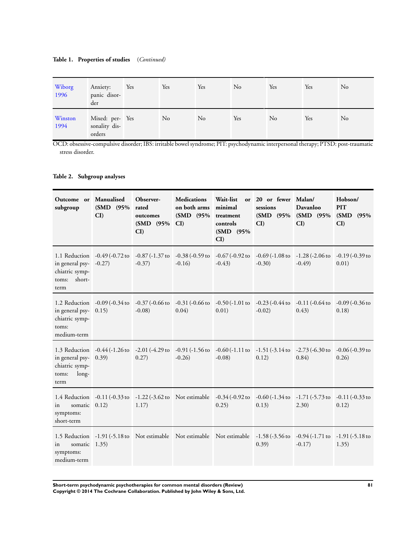#### **Table 1. Properties of studies** (*Continued)*

| Wiborg<br>1996  | Anxiety:<br>panic disor-<br>der            | Yes | Yes | Yes | No  | Yes | Yes | No |
|-----------------|--------------------------------------------|-----|-----|-----|-----|-----|-----|----|
| Winston<br>1994 | Mixed: per- Yes<br>sonality dis-<br>orders |     | No  | No  | Yes | No  | Yes | No |

OCD: obsessive-compulsive disorder; IBS: irritable bowel syndrome; PIT: psychodynamic interpersonal therapy; PTSD: post-traumatic stress disorder.

### **Table 2. Subgroup analyses**

| Outcome or Manualised<br>subgroup                                   | (SMD (95% rated<br>CI                                         | Observer-<br>outcomes<br>$(SMD \ 95\%$<br>CI                   | <b>Medications</b><br>on both arms<br>(SMD (95%)<br>CI | Wait-list<br>minimal<br>treatment<br>controls<br>(SMD (95%)<br>CI | or 20 or fewer Malan/<br>sessions<br>(SMD (95%)<br>CI                                                                | Davanloo<br>(SMD (95%)<br>CI | Hobson/<br><b>PIT</b><br>(SMD (95%)<br>CI |
|---------------------------------------------------------------------|---------------------------------------------------------------|----------------------------------------------------------------|--------------------------------------------------------|-------------------------------------------------------------------|----------------------------------------------------------------------------------------------------------------------|------------------------------|-------------------------------------------|
| in general psy- -0.27)<br>chiatric symp-<br>short-<br>toms:<br>term | 1.1 Reduction -0.49 (-0.72 to                                 | $-0.87(-1.37 \text{ to } -0.38(-0.59 \text{ to }$<br>$-0.37$ ) | $-0.16$                                                | $-0.43$                                                           | $-0.67$ (-0.92 to $-0.69$ (-1.08 to $-1.28$ (-2.06 to $-0.19$ (-0.39 to<br>$-0.30$ )                                 | $-0.49$                      | 0.01)                                     |
| in general psy- 0.15)<br>chiatric symp-<br>toms:<br>medium-term     | 1.2 Reduction -0.09 (-0.34 to -0.37 (-0.66 to -0.31 (-0.66 to | $-0.08$ )                                                      | 0.04)                                                  | 0.01)                                                             | $-0.50$ (-1.01 to $-0.23$ (-0.44 to $-0.11$ (-0.64 to<br>$-0.02$ )                                                   | 0.43)                        | $-0.09$ ( $-0.36$ to<br>0.18)             |
| in general psy- 0.39)<br>chiatric symp-<br>long-<br>toms:<br>term   | 1.3 Reduction -0.44 (-1.26 to -2.01 (-4.29 to -0.91 (-1.56 to | 0.27)                                                          | $-0.26$ )                                              | $-0.08$ )                                                         | $-0.60$ (-1.11 to $-1.51$ (-3.14 to $-2.73$ (-6.30 to<br>0.12)                                                       | 0.84)                        | -0.06 (-0.39 to<br>0.26                   |
| somatic 0.12)<br>in<br>symptoms:<br>short-term                      |                                                               | 1.17)                                                          |                                                        | 0.25)                                                             | 1.4 Reduction -0.11 (-0.33 to -1.22 (-3.62 to Not estimable -0.34 (-0.92 to -0.60 (-1.34 to -1.71 (-5.73 to<br>0.13) | (2.30)                       | $-0.11$ ( $-0.33$ to<br>0.12)             |
| somatic 1.35)<br>in<br>symptoms:<br>medium-term                     |                                                               |                                                                |                                                        |                                                                   | 1.5 Reduction -1.91 (-5.18 to Not estimable Not estimable Not estimable -1.58 (-3.56 to -0.94 (-1.71 to<br>0.39)     | $-0.17$                      | $-1.91$ (-5.18 to<br>1.35)                |

**Short-term psychodynamic psychotherapies for common mental disorders (Review) 81 Copyright © 2014 The Cochrane Collaboration. Published by John Wiley & Sons, Ltd.**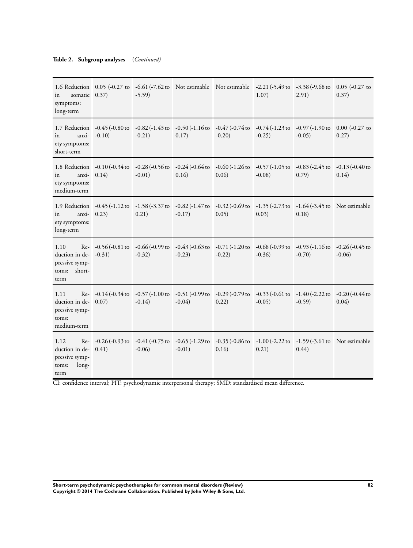### **Table 2. Subgroup analyses** (*Continued)*

| somatic 0.37)<br>in<br>symptoms:<br>long-term                                 |                                                                               | $-5.59$                       |                                 | 1.6 Reduction 0.05 (-0.27 to -6.61 (-7.62 to Not estimable Not estimable -2.21 (-5.49 to -3.38 (-9.68 to                  | 1.07)                                                                                 | 2.91)                          | $0.05$ (-0.27 to<br>0.37)       |
|-------------------------------------------------------------------------------|-------------------------------------------------------------------------------|-------------------------------|---------------------------------|---------------------------------------------------------------------------------------------------------------------------|---------------------------------------------------------------------------------------|--------------------------------|---------------------------------|
| in<br>ety symptoms:<br>short-term                                             | 1.7 Reduction -0.45 (-0.80 to<br>$anxi - 0.10$                                | -0.82 (-1.43 to<br>$-0.21)$   | $-0.50$ (-1.16 to<br>0.17)      | -0.47 (-0.74 to<br>$-0.20$                                                                                                | $-0.74$ (-1.23 to<br>$-0.25$ )                                                        | $-0.97$ (-1.90 to<br>$-0.05$ ) | $0.00$ (-0.27 to<br>0.27)       |
| anxi-<br>in<br>ety symptoms:<br>medium-term                                   | 1.8 Reduction -0.10 (-0.34 to<br>0.14)                                        | $-0.28$ (-0.56 to<br>$-0.01)$ | $-0.24$ (-0.64 to<br>0.16       | 0.06)                                                                                                                     | $-0.60$ ( $-1.26$ to $-0.57$ ( $-1.05$ to<br>$-0.08$ )                                | $-0.83$ ( $-2.45$ to<br>0.79)  | $-0.13(-0.40)$ to<br>0.14)      |
| anxi-<br>in<br>ety symptoms:<br>long-term                                     | 1.9 Reduction -0.45 (-1.12 to -1.58 (-3.37 to -0.82 (-1.47 to<br>0.23)        | 0.21)                         | $-0.17$ )                       | 0.05)                                                                                                                     | $-0.32$ ( $-0.69$ to $-1.35$ ( $-2.73$ to $-1.64$ ( $-3.45$ to Not estimable<br>0.03) | 0.18)                          |                                 |
| 1.10<br>duction in de- $-0.31$ )<br>pressive symp-<br>short-<br>toms:<br>term | Re- $-0.56$ ( $-0.81$ to $-0.66$ ( $-0.99$ to                                 | $-0.32$ )                     | $-0.43$ ( $-0.63$ to<br>$-0.23$ | $-0.71$ ( $-1.20$ to<br>$-0.22$                                                                                           | $-0.68$ ( $-0.99$ to $-0.93$ ( $-1.16$ to<br>$-0.36$                                  | $-0.70$                        | $-0.26$ ( $-0.45$ to<br>$-0.06$ |
| 1.11<br>duction in de- 0.07)<br>pressive symp-<br>toms:<br>medium-term        | Re- $-0.14(-0.34 \text{ to } -0.57(-1.00 \text{ to } -0.51(-0.99 \text{ to }$ | $-0.14$ )                     | $-0.04$ )                       | 0.22)                                                                                                                     | $-0.29$ (-0.79 to $-0.33$ (-0.61 to $-1.40$ (-2.22 to<br>$-0.05$ )                    | $-0.59$                        | $-0.20$ ( $-0.44$ to<br>0.04)   |
| 1.12<br>duction in de- $0.41$ )<br>pressive symp-<br>long-<br>toms:<br>term   |                                                                               | $-0.06$ )                     | $-0.01)$                        | Re- -0.26 (-0.93 to -0.41 (-0.75 to -0.65 (-1.29 to -0.35 (-0.86 to -1.00 (-2.22 to -1.59 (-3.61 to Not estimable<br>0.16 | 0.21)                                                                                 | 0.44)                          |                                 |

CI: confidence interval; PIT: psychodynamic interpersonal therapy; SMD: standardised mean difference.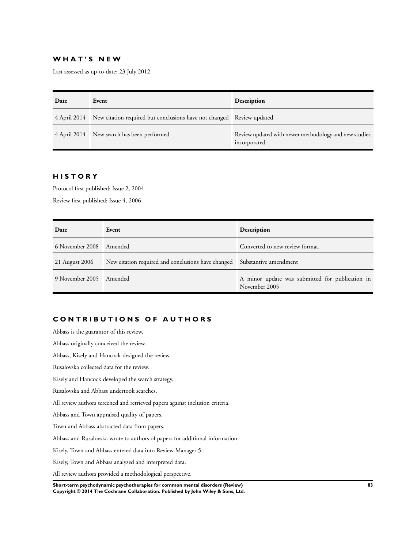### **W H A T ' S N E W**

Last assessed as up-to-date: 23 July 2012.

| Date | Event                                                                              | Description                                                           |
|------|------------------------------------------------------------------------------------|-----------------------------------------------------------------------|
|      | 4 April 2014 New citation required but conclusions have not changed Review updated |                                                                       |
|      | 4 April 2014 New search has been performed                                         | Review updated with newer methodology and new studies<br>incorporated |

## **H I S T O R Y**

Protocol first published: Issue 2, 2004

Review first published: Issue 4, 2006

| Date            | Event                                                                    | Description                                                      |
|-----------------|--------------------------------------------------------------------------|------------------------------------------------------------------|
| 6 November 2008 | Amended                                                                  | Converted to new review format.                                  |
| 21 August 2006  | New citation required and conclusions have changed Substantive amendment |                                                                  |
| 9 November 2005 | Amended                                                                  | A minor update was submitted for publication in<br>November 2005 |

# **C O N T R I B U T I O N S O F A U T H O R S**

Abbass is the guarantor of this review. Abbass originally conceived the review. Abbass, Kisely and Hancock designed the review. Rusalovska collected data for the review. Kisely and Hancock developed the search strategy. Rusalovska and Abbass undertook searches. All review authors screened and retrieved papers against inclusion criteria. Abbass and Town appraised quality of papers. Town and Abbass abstracted data from papers. Abbass and Rusalovska wrote to authors of papers for additional information. Kisely, Town and Abbass entered data into Review Manager 5. Kisely, Town and Abbass analysed and interpreted data. All review authors provided a methodological perspective. **Short-term psychodynamic psychotherapies for common mental disorders (Review) 83**

**Copyright © 2014 The Cochrane Collaboration. Published by John Wiley & Sons, Ltd.**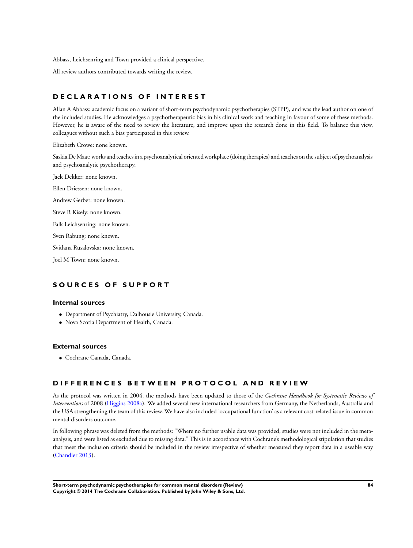Abbass, Leichsenring and Town provided a clinical perspective.

All review authors contributed towards writing the review.

### **D E C L A R A T I O N S O F I N T E R E S T**

Allan A Abbass: academic focus on a variant of short-term psychodynamic psychotherapies (STPP), and was the lead author on one of the included studies. He acknowledges a psychotherapeutic bias in his clinical work and teaching in favour of some of these methods. However, he is aware of the need to review the literature, and improve upon the research done in this field. To balance this view, colleagues without such a bias participated in this review.

Elizabeth Crowe: none known.

Saskia DeMaat: works and teaches in a psychoanalytical oriented workplace (doing therapies) and teaches on the subject of psychoanalysis and psychoanalytic psychotherapy.

Jack Dekker: none known.

Ellen Driessen: none known.

Andrew Gerber: none known.

Steve R Kisely: none known.

Falk Leichsenring: none known.

Sven Rabung: none known.

Svitlana Rusalovska: none known.

Joel M Town: none known.

### **S O U R C E S O F S U P P O R T**

#### **Internal sources**

- Department of Psychiatry, Dalhousie University, Canada.
- Nova Scotia Department of Health, Canada.

#### **External sources**

• Cochrane Canada, Canada.

## **D I F F E R E N C E S B E T W E E N P R O T O C O L A N D R E V I E W**

As the protocol was written in 2004, the methods have been updated to those of the *Cochrane Handbook for Systematic Reviews of Interventions* of 2008 ([Higgins 2008a](#page-22-0)). We added several new international researchers from Germany, the Netherlands, Australia and the USA strengthening the team of this review. We have also included 'occupational function' as a relevant cost-related issue in common mental disorders outcome.

In following phrase was deleted from the methods: "Where no further usable data was provided, studies were not included in the metaanalysis, and were listed as excluded due to missing data." This is in accordance with Cochrane's methodological stipulation that studies that meet the inclusion criteria should be included in the review irrespective of whether measured they report data in a useable way [\(Chandler 2013](#page-22-0)).

**Short-term psychodynamic psychotherapies for common mental disorders (Review) 84 Copyright © 2014 The Cochrane Collaboration. Published by John Wiley & Sons, Ltd.**